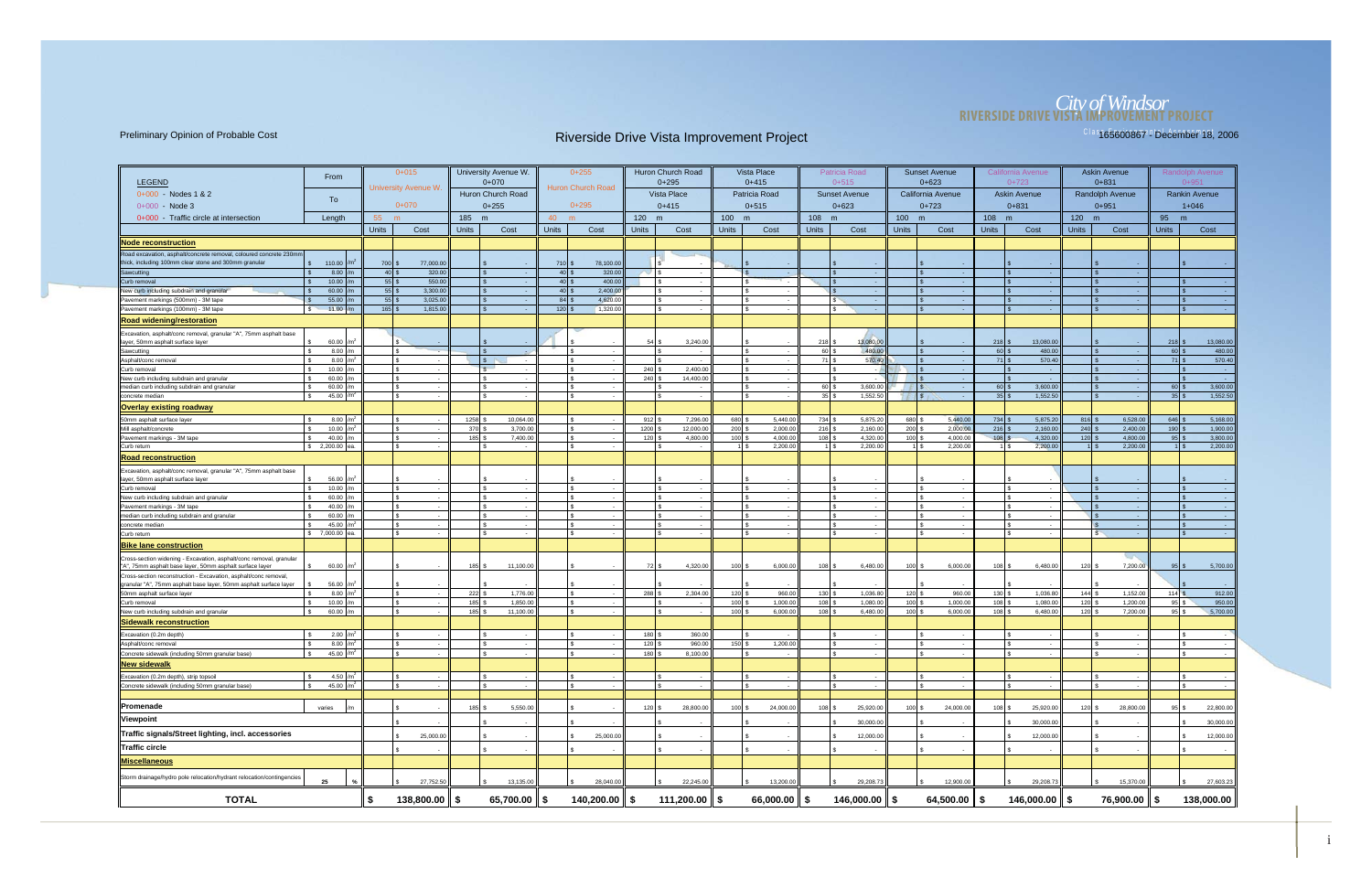## *City of Windsor* **RIVERSIDE DRIVE VISTA IMPROVEMENT PROJECT**

| <b>LEGEND</b>                                                                                                                         | From                         |                 |                    | $0+015$<br>University Avenue W. |              | University Avenue W.<br>$0+070$ |                                          | $0+255$<br>Huron Church Road |                  | Huron Church Road<br>$0+295$ |                  | Vista Place<br>$0+415$ |                  | Patricia Road<br>$0+515$    |                  | <b>Sunset Avenue</b><br>$0 + 623$ |              | California Avenue<br>$0+723$ |                       | <b>Askin Avenue</b><br>$0 + 831$ |                            | Randolph Avenue<br>$0 + 951$ |
|---------------------------------------------------------------------------------------------------------------------------------------|------------------------------|-----------------|--------------------|---------------------------------|--------------|---------------------------------|------------------------------------------|------------------------------|------------------|------------------------------|------------------|------------------------|------------------|-----------------------------|------------------|-----------------------------------|--------------|------------------------------|-----------------------|----------------------------------|----------------------------|------------------------------|
| 0+000 - Nodes 1 & 2                                                                                                                   | To                           |                 |                    |                                 |              | Huron Church Road               |                                          |                              |                  | Vista Place                  |                  | Patricia Road          |                  | <b>Sunset Avenue</b>        |                  | California Avenue                 |              | <b>Askin Avenue</b>          |                       | Randolph Avenue                  |                            | <b>Rankin Avenue</b>         |
| $0+000 - Node 3$                                                                                                                      |                              |                 |                    | $0 + 070$                       |              | $0+255$                         |                                          | $0+295$                      |                  | $0+415$                      |                  | $0 + 515$              |                  | $0+623$                     |                  | $0+723$                           |              | $0 + 831$                    |                       | $0 + 951$                        |                            | $1 + 046$                    |
| 0+000 - Traffic circle at intersection                                                                                                | Length                       |                 | 55                 |                                 | 185 m        |                                 | 40                                       | m                            | 120 m            |                              | 100 m            |                        | 108 m            |                             | 100 m            |                                   | 108 m        |                              | 120 m                 |                                  | 95 m                       |                              |
|                                                                                                                                       |                              |                 | <b>Units</b>       | Cost                            | <b>Units</b> | Cost                            | <b>Units</b>                             | Cost                         | <b>Units</b>     | Cost                         | <b>Units</b>     | Cost                   | <b>Units</b>     | Cost                        | <b>Units</b>     | Cost                              | <b>Units</b> | Cost                         | <b>Units</b>          | Cost                             | <b>Units</b>               | Cost                         |
| <b>Node reconstruction</b>                                                                                                            |                              |                 |                    |                                 |              |                                 |                                          |                              |                  |                              |                  |                        |                  |                             |                  |                                   |              |                              |                       |                                  |                            |                              |
| Road excavation, asphalt/concrete removal, coloured concrete 230mn                                                                    |                              |                 |                    |                                 |              |                                 |                                          |                              |                  |                              |                  |                        |                  |                             |                  |                                   |              |                              |                       |                                  |                            |                              |
| thick, including 100mm clear stone and 300mm granular                                                                                 | \$ 110.00                    | /m'             | 700 \$             | 77,000.00                       |              |                                 | $710$ \$                                 | 78,100.00                    |                  |                              |                  |                        |                  |                             |                  |                                   |              |                              |                       |                                  |                            |                              |
| Sawcutting<br>Curb removal                                                                                                            | 8.00<br>$\mathbf{s}$         |                 | $40$ \$            | 320.00                          |              |                                 | $40 \,$ \$                               | 320.00                       |                  | $\sim$                       |                  | $\sim$                 |                  | $\sim 10^{-1}$              |                  |                                   |              |                              |                       |                                  |                            |                              |
| New curb including subdrain and granular                                                                                              | 10.00<br>60.00               |                 | $55$ \$<br>$55$ \$ | 550.00<br>3,300.00              |              |                                 | $40$ \$<br>$40 \overline{\smash{\circ}}$ | 400.00<br>2,400.00           |                  |                              |                  |                        |                  | <b>College</b><br>$\sim$    |                  |                                   |              |                              |                       |                                  |                            |                              |
| Pavement markings (500mm) - 3M tape                                                                                                   | 55.00<br>$\mathbf{\hat{s}}$  |                 | $55$ \$            | 3,025.00                        |              | l \$                            | $84$ \$                                  | 4,620.00                     |                  | $\sim$                       |                  | $\sim$                 |                  | l S<br>$\sim$ $\sim$        |                  |                                   |              |                              |                       |                                  |                            | <b>Contract</b>              |
| Pavement markings (100mm) - 3M tape                                                                                                   | 11.00<br><b>S</b>            |                 | $165$ \$           | 1,815.00                        |              |                                 | 120                                      | 1,320.00                     |                  |                              |                  |                        |                  | $\sim$                      |                  |                                   |              | $\sim$                       |                       |                                  |                            | - 1                          |
| Road widening/restoration                                                                                                             |                              |                 |                    |                                 |              |                                 |                                          |                              |                  |                              |                  |                        |                  |                             |                  |                                   |              |                              |                       |                                  |                            |                              |
| Excavation, asphalt/conc removal, granular "A", 75mm asphalt base                                                                     |                              |                 |                    |                                 |              |                                 |                                          |                              |                  |                              |                  |                        |                  |                             |                  |                                   |              |                              |                       |                                  |                            |                              |
| layer, 50mm asphalt surface layer                                                                                                     | 60.00                        |                 |                    |                                 |              |                                 |                                          |                              | 54 \$            | 3,240.00                     |                  |                        | $218$ \$         | 13,080.00                   |                  |                                   | 218          | 13,080.00                    |                       |                                  | 218                        | 13,080.00                    |
| Sawcutting                                                                                                                            | 8.00<br>$\mathcal{F}$        |                 |                    | ۱s.                             |              |                                 |                                          | $\mathbb{R}$                 |                  |                              |                  |                        | 60 \$            | 480.00                      |                  |                                   | $60$ \$      | 480.00                       |                       |                                  | $60$ \$                    | 480.00                       |
| Asphalt/conc removal                                                                                                                  | 8.00<br>$\mathbf{\hat{S}}$   | /m <sup>2</sup> |                    | \$                              |              | IS.                             |                                          |                              |                  |                              |                  |                        | 71 \$            | 570.40                      |                  |                                   | $71$ \ \$    | 570.40                       |                       |                                  | $71$ s                     | 570.40                       |
| Curb removal                                                                                                                          | 10.00                        |                 |                    |                                 |              | $\mathbb{R}$                    |                                          |                              | 240 <sup>°</sup> | 2,400.00                     |                  |                        |                  |                             |                  |                                   |              |                              |                       |                                  |                            | $\sim$ $\sim$                |
| New curb including subdrain and granular<br>median curb including subdrain and granular                                               | 60.00<br>∣ s<br>60.00<br>∣\$ |                 |                    | Ι۹<br>l s                       |              |                                 |                                          | l S                          | $240$ \$         | 14,400.00<br>$\sim$          |                  | $\sim$                 | 60 \$            | ء ا<br>3,600.00             |                  |                                   | $60$ \$      | 3,600.00                     |                       | - 3                              | $60$ \$                    | 3,600.00                     |
| concrete median                                                                                                                       | 45.00<br>-S                  |                 |                    | \$                              |              |                                 |                                          | <b>S</b>                     |                  | $\sim$                       |                  | $\sim$                 | $35$ \$          | 1,552.50                    |                  |                                   | 35           | 1,552.50                     |                       | $\sim$                           | $35\overline{\smash{)}\,}$ | 1,552.50                     |
| <b>Overlay existing roadway</b>                                                                                                       |                              |                 |                    |                                 |              |                                 |                                          |                              |                  |                              |                  |                        |                  |                             |                  |                                   |              |                              |                       |                                  |                            |                              |
| 50mm asphalt surface layer                                                                                                            | 8.00                         |                 |                    |                                 | 1258         | 10,064.00                       |                                          | £.                           | 912 \$           | 7,296.00                     | 680              | 5.440.00               | 734 \$           | 5,875.20                    | 680              | 5,440.00                          | $734$ \$     | 5,875.20                     | $816$ $\frac{9}{3}$   | 6,528,00                         | $646$ \$                   | 5,168.00                     |
| Mill asphalt/concrete                                                                                                                 | 10.00                        |                 |                    | $\hat{\mathcal{L}}$             | 370          | 3,700.00                        |                                          | $\mathcal{F}$                | 1200             | 12,000.00                    | 200              | 2,000.00               | $216$ \$         | 2,160.00                    | 200              | 2,000.00                          | 216          | 2,160.00                     | 240                   | 2,400.00                         | 190                        | 1,900.00                     |
| Pavement markings - 3M tape                                                                                                           | 40.00<br>$\mathbb{R}$        | /m              |                    | $\mathbf{R}$                    | 185          | 7,400.00                        |                                          | $\mathcal{F}$                | 120              | 4,800.00                     | 100              | 4,000.00               | 108 <sup>°</sup> | 4,320.00                    | 100 <sup>1</sup> | 4,000.00                          | 108          | 4,320.00                     | $120$ :               | 4,800.00                         | $95$ $\frac{9}{3}$         | 3,800.00                     |
| Curb return                                                                                                                           | \$ 2,200.00 ea.              |                 |                    | \$                              |              |                                 |                                          | <b>S</b>                     |                  | $\sim$                       |                  | 2,200.00               |                  | 2,200.00                    |                  | 2,200.00                          |              | 2,200.00                     |                       | 2,200.00                         |                            | 2,200.00                     |
| <b>Road reconstruction</b>                                                                                                            |                              |                 |                    |                                 |              |                                 |                                          |                              |                  |                              |                  |                        |                  |                             |                  |                                   |              |                              |                       |                                  |                            |                              |
| Excavation, asphalt/conc removal, granular "A", 75mm asphalt base                                                                     |                              |                 |                    |                                 |              |                                 |                                          |                              |                  |                              |                  |                        |                  |                             |                  |                                   |              |                              |                       |                                  |                            |                              |
| layer, 50mm asphalt surface layer                                                                                                     | 56.00                        |                 |                    |                                 |              |                                 |                                          |                              |                  |                              |                  |                        |                  |                             |                  |                                   |              |                              |                       |                                  |                            |                              |
| <b>ICurb</b> removal                                                                                                                  | 10.00<br>ls.                 |                 |                    | l s                             |              | l S                             |                                          | l \$                         |                  | $\sim$                       |                  | $\sim$                 |                  | $\sim$ $-$                  |                  |                                   |              |                              |                       |                                  |                            | $\sim$ $\sim$                |
| New curb including subdrain and granular                                                                                              | 60.00<br>-8<br>40.00         |                 |                    | $\mathbf{\mathfrak{F}}$         |              |                                 |                                          | $\mathcal{F}$                |                  |                              |                  |                        |                  |                             |                  |                                   |              |                              |                       |                                  |                            | $\sim$ 100 $\mu$             |
| Pavement markings - 3M tape<br>median curb including subdrain and granular                                                            | 60.00<br>$\mathbf{\hat{S}}$  |                 |                    | ۱s.                             |              |                                 |                                          | $\mathcal{F}$                |                  |                              |                  |                        |                  | $\sim$                      |                  |                                   |              |                              |                       |                                  |                            | $\sim$ $\sim$                |
| concrete mediar                                                                                                                       | 45.00                        |                 |                    | $\mathbf{s}$                    |              |                                 |                                          | $\mathcal{F}$                |                  |                              |                  |                        |                  |                             |                  |                                   |              |                              |                       |                                  |                            |                              |
| Curb return                                                                                                                           | \$7,000.00                   |                 |                    | $\mathbf{s}$                    |              |                                 |                                          | <b>S</b>                     |                  |                              |                  | $\sim$                 |                  | $\sim$                      |                  |                                   |              | $\sim$                       |                       |                                  |                            | $\sim$                       |
| <b>Bike lane construction</b>                                                                                                         |                              |                 |                    |                                 |              |                                 |                                          |                              |                  |                              |                  |                        |                  |                             |                  |                                   |              |                              |                       |                                  |                            |                              |
| Cross-section widening - Excavation, asphalt/conc removal, granular<br>"A", 75mm asphalt base layer, 50mm asphalt surface layer       | 60.00<br>$\mathbf{S}$        |                 |                    |                                 | 185          | 11,100.00                       |                                          |                              | 72 \$            | 4,320.00                     | 100              | 6,000.00               | 108              | 6,480.00                    | 100              | 6,000.00                          | $108$ \$     | 6,480.00                     | $120$ \ $\frac{1}{3}$ | 7,200.00                         | $95$ \$                    | 5,700.00                     |
| Cross-section reconstruction - Excavation, asphalt/conc removal,<br>granular "A", 75mm asphalt base layer, 50mm asphalt surface layer | 56.00                        |                 |                    |                                 |              |                                 |                                          |                              |                  |                              |                  |                        |                  |                             |                  |                                   |              |                              |                       |                                  |                            |                              |
| 50mm asphalt surface layer                                                                                                            | 8.00                         | /m <sup>2</sup> |                    |                                 | 222          | 1,776.00                        |                                          |                              | 288              | 2,304.00                     | 120              | 960.00                 | $130$ $\sqrt{2}$ | 1,036.80                    | $120$ :          | 960.00                            | 130          | 1,036.80                     | $144$ :               | 1,152.00                         | $114$ $\overline{3}$       | 912.00                       |
| Curb removal                                                                                                                          | 10.00                        |                 |                    | $\mathbf{R}$<br>$\sim$          | 185          | 1,850.00                        |                                          | l s                          |                  | $\sim$                       | 100              | 1,000.00               | 108 <sup>°</sup> | 1,080.00                    | 100              | 1,000.00                          | 108          | 1,080.00                     | 120                   | 1,200.00                         | $95 \mid$ \$               | 950.00                       |
| New curb including subdrain and granular                                                                                              | 60.00 /m                     |                 |                    |                                 | 185          | 11,100.00                       |                                          | $\mathbf{R}$                 |                  |                              | 100 <sub>5</sub> | 6,000.00               | 108 \$           | 6,480.00                    | $100$ :          | 6,000.00                          | 108          | 6,480.00                     | 120                   | 7,200.00                         | $95$ \ $\frac{1}{3}$       | 5,700.00                     |
| <b>Sidewalk reconstruction</b>                                                                                                        |                              |                 |                    |                                 |              |                                 |                                          |                              |                  |                              |                  |                        |                  |                             |                  |                                   |              |                              |                       |                                  |                            |                              |
| Excavation (0.2m depth)                                                                                                               | 2.00                         |                 |                    |                                 |              |                                 |                                          |                              | 180              | 360.00                       |                  |                        |                  |                             |                  |                                   |              |                              |                       |                                  |                            |                              |
| Asphalt/conc removal                                                                                                                  | 8.00                         |                 |                    |                                 |              |                                 |                                          |                              | 120              | 960.00                       | 150              | 1,200.00               |                  |                             |                  |                                   |              |                              |                       |                                  |                            |                              |
| Concrete sidewalk (including 50mm granular base)                                                                                      | 45.00 /m <sup>2</sup>        |                 |                    | $\mathbf{R}$                    |              |                                 |                                          |                              | 180 \$           | 8,100.00                     |                  | - 1                    |                  | $\sim$                      |                  |                                   |              |                              |                       |                                  |                            |                              |
| New sidewalk                                                                                                                          |                              |                 |                    |                                 |              |                                 |                                          |                              |                  |                              |                  |                        |                  |                             |                  |                                   |              |                              |                       |                                  |                            |                              |
| Excavation (0.2m depth), strip topsoil                                                                                                | 4.50 $/m^2$<br>ls.           |                 |                    | l \$                            |              |                                 |                                          | l \$                         |                  |                              |                  |                        |                  |                             |                  |                                   |              |                              |                       |                                  |                            |                              |
| Concrete sidewalk (including 50mm granular base)                                                                                      | 45.00 $/m^2$<br>S.           |                 |                    | l \$                            |              | l \$                            |                                          | $\mathbf{s}$                 |                  | \$.                          |                  |                        |                  |                             |                  |                                   |              |                              |                       |                                  |                            |                              |
|                                                                                                                                       |                              |                 |                    |                                 |              |                                 |                                          |                              |                  |                              |                  |                        |                  |                             |                  |                                   |              |                              |                       |                                  |                            |                              |
| <b>Promenade</b>                                                                                                                      | varies                       |                 |                    |                                 | 185          | 5,550.00                        |                                          |                              | $120$ \$         | 28,800.00                    | $100$ \$         | 24,000.00              | 108S             | 25,920.00                   | 100S             | 24,000.00                         | $108$ \$     | 25,920.00                    | $120$ \$              | 28,800.00                        | $95$ $\sqrt{5}$            | 22,800.00                    |
| Viewpoint                                                                                                                             |                              |                 |                    |                                 |              |                                 |                                          |                              |                  |                              |                  |                        |                  | 30,000.00                   |                  |                                   |              | 30,000.00                    |                       |                                  |                            | 30,000.00                    |
| Traffic signals/Street lighting, incl. accessories                                                                                    |                              |                 |                    | 25,000.00                       |              |                                 |                                          | 25,000.00                    |                  |                              |                  |                        |                  | 12,000.00                   |                  |                                   |              | 12,000.00                    |                       |                                  |                            | 12,000.00                    |
| ∥Traffic circle                                                                                                                       |                              |                 |                    |                                 |              |                                 |                                          |                              |                  |                              |                  |                        |                  |                             |                  |                                   |              |                              |                       |                                  |                            |                              |
| Miscellaneous                                                                                                                         |                              |                 |                    |                                 |              |                                 |                                          |                              |                  |                              |                  |                        |                  |                             |                  |                                   |              |                              |                       |                                  |                            |                              |
| Storm drainage/hydro pole relocation/hydrant relocation/contingencies                                                                 |                              |                 |                    |                                 |              |                                 |                                          |                              |                  |                              |                  |                        |                  |                             |                  |                                   |              |                              |                       |                                  |                            |                              |
|                                                                                                                                       | 25                           |                 |                    | 27,752.50                       |              | 13,135.00                       |                                          | 28,040.00<br>- \$            |                  | 22,245.00                    |                  | 13,200.00              |                  | 29,208.73                   |                  | 12,900.00                         |              | 29,208.73                    |                       | 15,370.00                        |                            | 27,603.23                    |
| <b>TOTAL</b>                                                                                                                          |                              |                 | \$                 | $138,800.00$ \$                 |              | 65,700.00 $\ \$$                |                                          | 140,200.00 $\parallel$ \$    |                  | 111,200.00 $\parallel$ \$    |                  | $66,000.00$   \$       |                  | $146,000.00$ $\parallel$ \$ |                  | 64,500.00 $\ $ \$                 |              | 146,000.00 $\parallel$ \$    |                       | $76,900.00$ $\parallel$ \$       |                            | 138,000.00                   |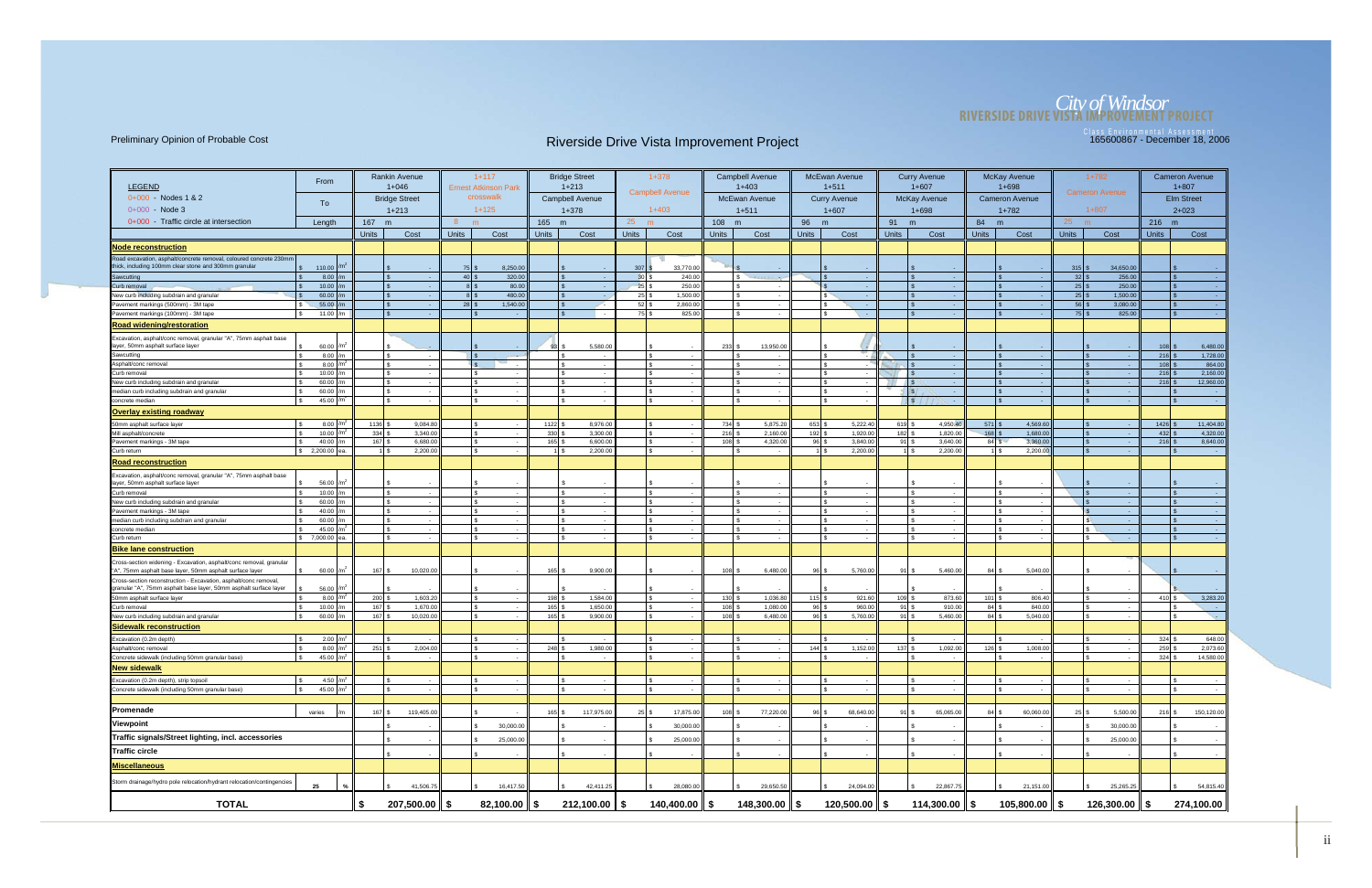# *City of Windsor* **RIVERSIDE DRIVE VISTA IMPROVEMENT PROJECT**

|                                                                                                                                       |                           |                                | <b>Rankin Avenue</b> |                           | $1+117$                     |              | <b>Bridge Street</b>   |                    | $1 + 378$              |              | <b>Campbell Avenue</b>   |              | <b>McEwan Avenue</b>     |                                   | <b>Curry Avenue</b>                   |                      | <b>McKay Avenue</b>   |                    | $1+782$              |                      | <b>Cameron Avenue</b>              |
|---------------------------------------------------------------------------------------------------------------------------------------|---------------------------|--------------------------------|----------------------|---------------------------|-----------------------------|--------------|------------------------|--------------------|------------------------|--------------|--------------------------|--------------|--------------------------|-----------------------------------|---------------------------------------|----------------------|-----------------------|--------------------|----------------------|----------------------|------------------------------------|
| <b>LEGEND</b>                                                                                                                         | From                      |                                | $1 + 046$            |                           | <b>Ernest Atkinson Park</b> |              | $1 + 213$              |                    |                        |              | $1+403$                  |              | $1 + 511$                |                                   | $1+607$                               |                      | $1 + 698$             |                    |                      |                      | $1 + 807$                          |
| $0+000$ - Nodes 1 & 2                                                                                                                 |                           |                                | <b>Bridge Street</b> |                           | crosswalk                   |              | <b>Campbell Avenue</b> |                    | <b>Campbell Avenue</b> |              | <b>McEwan Avenue</b>     |              | <b>Curry Avenue</b>      |                                   | <b>McKay Avenue</b>                   |                      | <b>Cameron Avenue</b> |                    | Cameron Avenue       |                      | <b>Elm Street</b>                  |
| $0+000$ - Node 3                                                                                                                      | To                        |                                | $1 + 213$            |                           | $1+125$                     |              | $1 + 378$              |                    | $1+403$                |              | $1 + 511$                |              | $1+607$                  |                                   | $1 + 698$                             |                      | $1 + 782$             |                    | $1+807$              |                      | $2 + 023$                          |
| 0+000 Traffic circle at intersection                                                                                                  | Length                    | 167<br>m                       |                      | 8                         | m                           | 165 m        |                        | 25                 | m                      | 108 m        |                          | 96           | m                        | 91 m                              |                                       | 84 m                 |                       | 25<br>m            |                      | 216 m                |                                    |
|                                                                                                                                       |                           | <b>Units</b>                   | Cost                 | <b>Units</b>              | Cost                        | <b>Units</b> | Cost                   | <b>Units</b>       | Cost                   | <b>Units</b> | Cost                     | <b>Units</b> | Cost                     | <b>Units</b>                      | Cost                                  | <b>Units</b>         | Cost                  | <b>Units</b>       | Cost                 | <b>Units</b>         | Cost                               |
|                                                                                                                                       |                           |                                |                      |                           |                             |              |                        |                    |                        |              |                          |              |                          |                                   |                                       |                      |                       |                    |                      |                      |                                    |
| <b>Node reconstruction</b><br>Road excavation, asphalt/concrete removal, coloured concrete 230mm                                      |                           |                                |                      |                           |                             |              |                        |                    |                        |              |                          |              |                          |                                   |                                       |                      |                       |                    |                      |                      |                                    |
| thick, including 100mm clear stone and 300mm granular                                                                                 | 110.00                    |                                |                      | $75$ \$                   | 8,250.00                    |              |                        | $307$ \$           | 33,770.00              |              |                          |              |                          |                                   |                                       |                      |                       | $315$ \$           | 34,650.00            |                      |                                    |
| Sawcutting                                                                                                                            | 8.00                      |                                |                      | $40$ \ \$                 | 320.00                      |              | $\sqrt{3}$             | $30$ \$            | 240.00                 |              | l \$                     |              | $\sim$                   |                                   | $\sim$ $\sim$                         |                      |                       | $32$ \$            | 256.00               |                      | <b>Contract</b>                    |
| Curb removal                                                                                                                          | 10.00                     |                                |                      | $8$ $\sqrt{3}$            | 80.00                       |              | l s                    | $25$ \$            | 250.00                 |              | s                        |              |                          |                                   | $\sim$                                |                      | I S                   | $25$ \$            | 250.00               |                      |                                    |
| New curb including subdrain and granular<br>Pavement markings (500mm) - 3M tape                                                       | 60.00<br>55.00            |                                | <b>Contract</b>      | $8$ $\sqrt{3}$<br>$28$ \$ | 480.00<br>1,540.00          |              | l \$                   | $25$ \$<br>$52$ \$ | 1,500.00<br>2,860.00   |              | $\sim$                   |              | $\sim$<br>$\sim$         |                                   | $\sim$<br>$\sim$                      |                      |                       | $25$ \$<br>$56$ \$ | 1,500.00<br>3,080.00 |                      | <b>Contract</b><br><b>Contract</b> |
| Pavement markings (100mm) - 3M tape                                                                                                   | 11.00 /m                  |                                |                      |                           | \$.                         |              | l S                    | $75$ \$            | 825.00                 |              | $\sim$                   |              | $\sim$                   |                                   | $\sim$                                |                      |                       | $75$ \$            | 825.00               |                      | <b>Card</b>                        |
| <b>Road widening/restoration</b>                                                                                                      |                           |                                |                      |                           |                             |              |                        |                    |                        |              |                          |              |                          |                                   |                                       |                      |                       |                    |                      |                      |                                    |
| Excavation, asphalt/conc removal, granular "A", 75mm asphalt base                                                                     |                           |                                |                      |                           |                             |              |                        |                    |                        |              |                          |              |                          |                                   |                                       |                      |                       |                    |                      |                      |                                    |
| layer, 50mm asphalt surface layer                                                                                                     | 60.00 m                   |                                |                      |                           |                             | 93           | 5,580.0                |                    |                        | $233$ \$     | 13,950.00                |              |                          |                                   |                                       |                      |                       |                    |                      | $108$ :              | 6,480.00                           |
| Sawcutting                                                                                                                            | $8.00$ /m                 |                                |                      |                           |                             |              |                        |                    |                        |              |                          |              |                          |                                   |                                       |                      |                       |                    |                      | $216$ :              | 1,728.00                           |
| Asphalt/conc removal                                                                                                                  | 8.00 $/m2$                |                                |                      |                           |                             |              |                        |                    | l s                    |              | $\sim$                   |              |                          |                                   | <b>Card</b>                           |                      |                       |                    |                      | $108$ \$             | 864.00                             |
| Curb removal                                                                                                                          | 10.00 $/m$<br>60.00       |                                |                      |                           |                             |              |                        |                    |                        |              |                          |              |                          |                                   |                                       |                      |                       |                    |                      | $216$ \$<br>$216$ \$ | 2,160.00<br>12,960.00              |
| New curb including subdrain and granular<br>median curb including subdrain and granular                                               | 60.00                     |                                |                      |                           |                             |              | ١s                     |                    | l S                    |              | £.<br>$\sim$             |              | $\sim$<br>$\sim$         |                                   | $\sim$<br>$\sqrt{s}$<br>$\sim$ $\sim$ |                      | l s                   |                    | $\mathbf{s}$         |                      | <b>Contract</b>                    |
| concrete median                                                                                                                       | 45.00                     |                                |                      |                           |                             |              |                        |                    | l S                    |              | $\sim$                   |              | $\overline{\phantom{a}}$ |                                   | l s<br>$\sim$                         |                      | I S                   |                    |                      |                      | - 4                                |
| <b>Overlay existing roadway</b>                                                                                                       |                           |                                |                      |                           |                             |              |                        |                    |                        |              |                          |              |                          |                                   |                                       |                      |                       |                    |                      |                      |                                    |
| 50mm asphalt surface layer                                                                                                            | $8.00$ /m                 | 1136                           | 9,084.80             |                           |                             | 1122         | 8,976.00               |                    |                        | 734 \$       | 5,875.20                 | 653          | 5,222.40                 | $619$ S                           | 4,950.40                              |                      | 4,569.60              |                    |                      | $1426$ :             | 11,404.80                          |
| Mill asphalt/concrete                                                                                                                 | 10.00 $/m2$               | $334$ $\overline{\phantom{a}}$ | 3,340.00             |                           |                             | 330          | 3,300.00               |                    |                        | 216          | 2,160.00                 | 192          | 1,920.00                 |                                   | 1,820.00                              | 168                  | 1,680.00              |                    |                      | $432$ \$             | 4,320.00                           |
| Pavement markings - 3M tape                                                                                                           | 40.00 m                   | 167                            | 6,680.00             |                           |                             | 165          | 6,600.0                |                    | I۰                     | 108          | 4,320.00                 | 96I          | 3,840.00                 | 91 S                              | 3,640.00                              | 84S                  | 3,360.00              |                    |                      | 216                  | 8,640.00                           |
| Curb return                                                                                                                           | \$2,200.00<br>lea         |                                | 2,200.00             |                           | S                           |              | 2,200.00               |                    |                        |              | $\sim$                   |              | 2,200.00                 |                                   | 2,200.00                              |                      | 2,200.00              |                    |                      |                      | $\sim$ 100 $\pm$                   |
| <b>Road reconstruction</b>                                                                                                            |                           |                                |                      |                           |                             |              |                        |                    |                        |              |                          |              |                          |                                   |                                       |                      |                       |                    |                      |                      |                                    |
| Excavation, asphalt/conc removal, granular "A", 75mm asphalt base                                                                     |                           |                                |                      |                           |                             |              |                        |                    |                        |              |                          |              |                          |                                   |                                       |                      |                       |                    |                      |                      |                                    |
| layer, 50mm asphalt surface layer<br>Curb removal                                                                                     | 56.00                     |                                |                      |                           | £.                          |              | I۶                     |                    | l s                    |              | $\sim$                   |              | $\sim$                   |                                   | $\sim$                                |                      | Ιs                    |                    |                      |                      | <b>College</b>                     |
| New curb including subdrain and granular                                                                                              | 10.00<br>60.00 $/m$       |                                |                      |                           |                             |              |                        |                    | l S                    |              |                          |              |                          |                                   |                                       |                      |                       |                    |                      |                      | $\sim$                             |
| Pavement markings - 3M tape                                                                                                           | 40.00 $/m$                |                                |                      |                           |                             |              |                        |                    |                        |              |                          |              |                          |                                   |                                       |                      |                       |                    |                      |                      | <b>Contract</b>                    |
| median curb including subdrain and granular                                                                                           | 60.00                     |                                |                      |                           |                             |              |                        |                    |                        |              |                          |              |                          |                                   |                                       |                      |                       |                    |                      |                      |                                    |
| concrete mediar                                                                                                                       | 45.00                     |                                |                      |                           |                             |              |                        |                    |                        |              | $\sim$                   |              |                          |                                   | $\sim$                                |                      |                       |                    |                      |                      | <b>Contract</b>                    |
| Curb return                                                                                                                           | \$7,000.00<br>lea.        |                                |                      |                           |                             |              |                        |                    |                        |              | $\overline{\phantom{a}}$ |              | $\overline{\phantom{a}}$ |                                   | $\sim$                                |                      |                       |                    | <b>COL</b>           |                      | $\sim$ 10 $\pm$                    |
| <b>Bike lane construction</b>                                                                                                         |                           |                                |                      |                           |                             |              |                        |                    |                        |              |                          |              |                          |                                   |                                       |                      |                       |                    |                      |                      |                                    |
| Cross-section widening - Excavation, asphalt/conc removal, granular<br>"A", 75mm asphalt base layer, 50mm asphalt surface layer       | 60.00                     | 167                            | 10,020.00            |                           |                             | 165          | 9,900.0                |                    |                        | 108          | 6,480.00                 | 96           | 5,760.00                 | 91                                | 5,460.00                              | 84                   | 5,040.00              |                    |                      |                      |                                    |
| Cross-section reconstruction - Excavation, asphalt/conc removal,<br>granular "A", 75mm asphalt base layer, 50mm asphalt surface layer | 56.00 /m                  |                                |                      |                           |                             |              |                        |                    |                        |              |                          |              |                          |                                   |                                       |                      |                       |                    |                      |                      |                                    |
| 50mm asphalt surface layer                                                                                                            | 8.00                      | 200                            | 1,603.20             |                           |                             | 198          | 1,584.00               |                    |                        | 130          | 1,036.80                 | 115          | 921.60                   | $109$ $\frac{1}{3}$               | 873.60                                | 101                  | 806.40                |                    |                      | $410$ S              | 3,283.20                           |
| Curb removal                                                                                                                          | 10.00                     | 167                            | 1,670.00             |                           | \$.<br>- 1                  | 165          | 1,650.00               |                    | ls.                    | 108          | 1,080.00                 | 96           | 960.00                   | $91$ s                            | 910.00                                | $84$ \ $\frac{1}{3}$ | 840.00                |                    | I۶                   | $\mathbb{R}$         | <b>Contract</b>                    |
| New curb including subdrain and granular                                                                                              | 60.00 $/m$                | 167 \$                         | 10,020.00            |                           | S.                          | 165          | 9,900.00               |                    | l \$                   | 108S         | 6,480.00                 | 96   :       | 5,760.00                 | 91   \$                           | 5,460.00                              | $84$ \ $\frac{1}{3}$ | 5,040.00              |                    |                      | ۱\$.                 | <b>Section</b>                     |
| <b>Sidewalk reconstruction</b>                                                                                                        |                           |                                |                      |                           |                             |              |                        |                    |                        |              |                          |              |                          |                                   |                                       |                      |                       |                    |                      |                      |                                    |
| Excavation (0.2m depth)                                                                                                               | 2.00 $/m2$                |                                |                      |                           |                             |              |                        |                    |                        |              |                          |              |                          |                                   |                                       |                      |                       |                    |                      | $324$ \$             | 648.00                             |
| Asphalt/conc removal                                                                                                                  | 8.00 $/m2$                | $251$ $\overline{\phantom{0}}$ | 2,004.00             |                           |                             | 248          | 1,980.00               |                    |                        |              |                          | 144          | 1,152.00                 | $137$ $\overline{\phantom{1}}$ \$ | 1,092.00                              | 126                  | 1,008.00              |                    |                      | 259                  | 2,073.60                           |
| Concrete sidewalk (including 50mm granular base)                                                                                      | 45.00 $/m2$               |                                |                      |                           |                             |              |                        |                    |                        |              |                          |              |                          |                                   |                                       |                      |                       |                    |                      | 324                  | 14,580.00                          |
| <b>New sidewalk</b>                                                                                                                   |                           |                                |                      |                           |                             |              |                        |                    |                        |              |                          |              |                          |                                   |                                       |                      |                       |                    |                      |                      |                                    |
| Excavation (0.2m depth), strip topsoil                                                                                                | 4.50 $/m2$<br>45.00 $/m2$ |                                |                      |                           | S.                          |              |                        |                    | l s<br>l \$            |              |                          |              |                          |                                   |                                       |                      | l s<br>l s            |                    |                      | $\mathbb{R}$<br>∣\$. |                                    |
| Concrete sidewalk (including 50mm granular base)                                                                                      |                           |                                |                      |                           |                             |              |                        |                    |                        |              |                          |              |                          |                                   |                                       |                      |                       |                    |                      |                      |                                    |
| Promenade                                                                                                                             | varies                    | 167                            | 119,405.00           |                           |                             | $165$ \$     | 117,975.00             | $25$ \$            | 17,875.00              | 108          | 77,220.00                | 96           | 68,640.00                |                                   | 65,065.00                             | 84                   | 60,060.00             | $25$   \$          | 5,500.00             | $216$ \$             | 150,120.00                         |
|                                                                                                                                       |                           |                                |                      |                           |                             |              |                        |                    |                        |              |                          |              |                          |                                   |                                       |                      |                       |                    |                      |                      |                                    |
| Viewpoint                                                                                                                             |                           |                                |                      |                           | 30,000.00                   |              |                        |                    | 30,000.00              |              |                          |              |                          |                                   |                                       |                      |                       |                    | 30,000.00            |                      |                                    |
| Traffic signals/Street lighting, incl. accessories                                                                                    |                           |                                |                      |                           | 25,000.00                   |              |                        |                    | 25,000.00              |              |                          |              |                          |                                   |                                       |                      |                       |                    | 25,000.00            |                      |                                    |
| Traffic circle                                                                                                                        |                           |                                |                      |                           |                             |              |                        |                    |                        |              |                          |              |                          |                                   |                                       |                      |                       |                    |                      |                      |                                    |
| Miscellaneous                                                                                                                         |                           |                                |                      |                           |                             |              |                        |                    |                        |              |                          |              |                          |                                   |                                       |                      |                       |                    |                      |                      |                                    |
| Storm drainage/hydro pole relocation/hydrant relocation/contingencies                                                                 | 25                        |                                | 41,506.75            |                           | 16,417.50                   |              | 42,411.25              |                    | 28,080.00              |              | 29,650.50                |              | 24,094.00                |                                   | 22,867.75                             |                      | 21,151.00             |                    | 25,265.25            |                      | 54,815.40                          |
| <b>TOTAL</b>                                                                                                                          |                           | \$                             | $207,500.00$ \$      |                           | $82,100.00$ $\parallel$ \$  |              | $212,100.00$ \$        |                    | $140,400.00$ \$        |              | $148,300.00$   \$        |              | 120,500.00 ∥ \$          |                                   | 114,300.00 $\parallel$ \$             |                      | $105,800.00$   \$     |                    | $126,300.00$   \$    |                      | 274,100.00                         |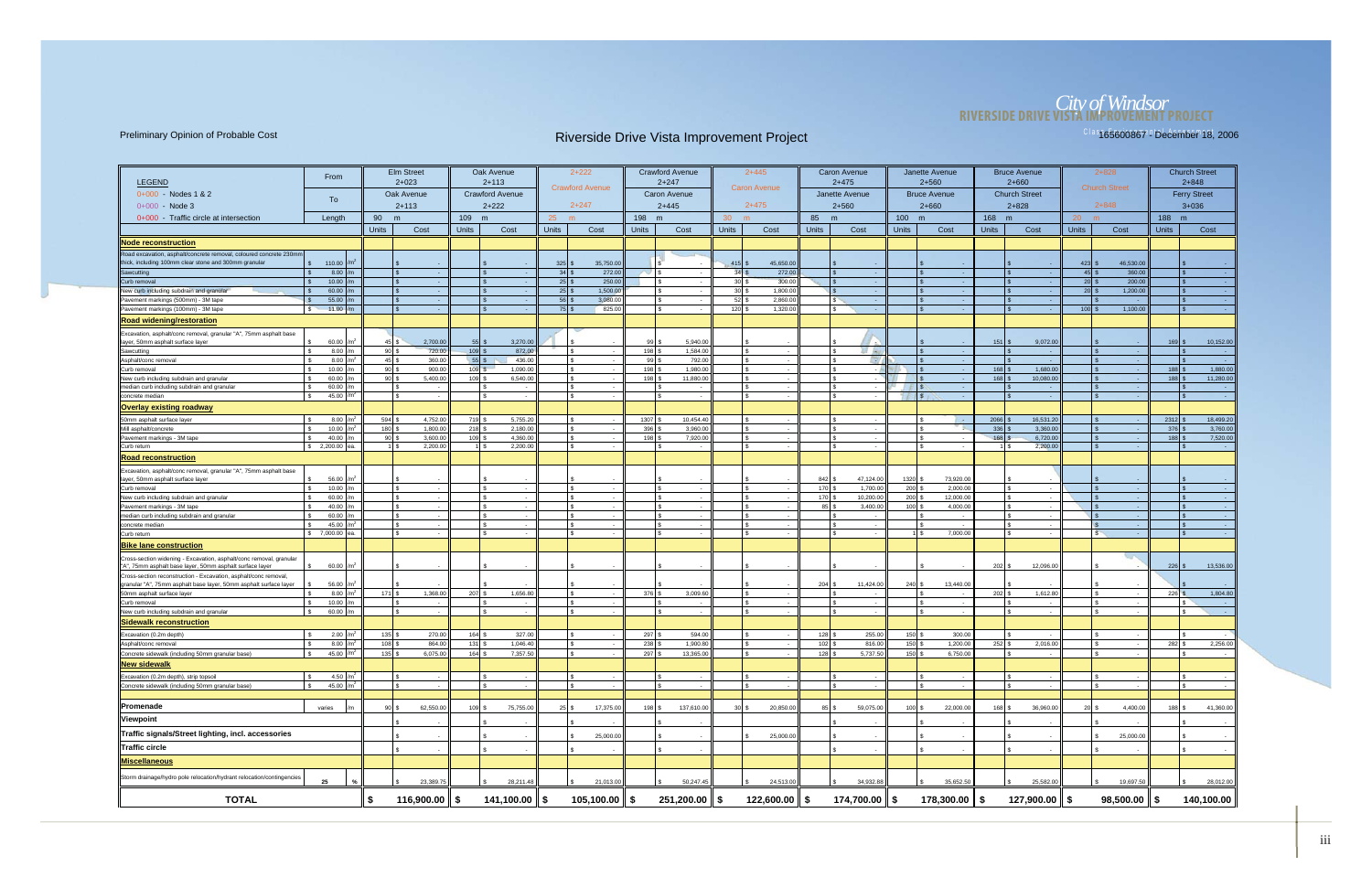# *City of Windsor* **RIVERSIDE DRIVE VISTA IMPROVEMENT PROJECT**

| <b>LEGEND</b>                                                                                                                   | From                  |                            | <b>Elm Street</b><br>$2 + 023$      |                  | Oak Avenue<br>$2 + 113$     |                    | $2 + 222$                   |              | <b>Crawford Avenue</b><br>$2 + 247$ |                      | $2+445$             |                                | <b>Caron Avenue</b><br>$2+475$        |              | Janette Avenue<br>$2 + 560$ |              | <b>Bruce Avenue</b><br>$2 + 660$ |                      | $2 + 828$                  |                  | <b>Church Street</b><br>$2 + 848$ |
|---------------------------------------------------------------------------------------------------------------------------------|-----------------------|----------------------------|-------------------------------------|------------------|-----------------------------|--------------------|-----------------------------|--------------|-------------------------------------|----------------------|---------------------|--------------------------------|---------------------------------------|--------------|-----------------------------|--------------|----------------------------------|----------------------|----------------------------|------------------|-----------------------------------|
| 0+000 - Nodes 1 & 2                                                                                                             |                       |                            | Oak Avenue                          |                  | <b>Crawford Avenue</b>      |                    | <b>Crawford Avenue</b>      |              | <b>Caron Avenue</b>                 |                      | <b>Caron Avenue</b> |                                | Janette Avenue                        |              | <b>Bruce Avenue</b>         |              | <b>Church Street</b>             |                      | <b>Church Street</b>       |                  | <b>Ferry Street</b>               |
| $0+000 - Node 3$                                                                                                                | To                    |                            | $2 + 113$                           |                  | $2+222$                     |                    | $2 + 247$                   |              | $2+445$                             |                      | $2+475$             |                                | $2 + 560$                             |              | $2 + 660$                   |              | $2 + 828$                        |                      | $2 + 848$                  |                  | $3 + 036$                         |
| 0+000 - Traffic circle at intersection                                                                                          | Length                | 90                         | m                                   | 109 m            |                             | $25$ m             |                             | 198 m        |                                     | 30 <sup>°</sup><br>m |                     | 85                             | m                                     | 100 m        |                             | 168 m        |                                  | 20 <sup>2</sup><br>m |                            | 188 m            |                                   |
|                                                                                                                                 |                       | <b>Units</b>               | Cost                                | <b>Units</b>     | Cost                        | <b>Units</b>       | Cost                        | <b>Units</b> | Cost                                | <b>Units</b>         | Cost                | <b>Units</b>                   | Cost                                  | <b>Units</b> | Cost                        | <b>Units</b> | Cost                             | <b>Units</b>         | Cost                       | <b>Units</b>     | Cost                              |
|                                                                                                                                 |                       |                            |                                     |                  |                             |                    |                             |              |                                     |                      |                     |                                |                                       |              |                             |              |                                  |                      |                            |                  |                                   |
| <u>  Node reconstruction</u>                                                                                                    |                       |                            |                                     |                  |                             |                    |                             |              |                                     |                      |                     |                                |                                       |              |                             |              |                                  |                      |                            |                  |                                   |
| Road excavation, asphalt/concrete removal, coloured concrete 230mm<br>thick, including 100mm clear stone and 300mm granular     | 110.00                |                            |                                     |                  |                             | 325                | 35,750.00                   |              |                                     | 415                  | 45,650.00           |                                |                                       |              |                             |              |                                  | $423$ \$             | 46,530.00                  |                  |                                   |
| Sawcutting                                                                                                                      | 8.00<br>$\mathbf{s}$  |                            | l \$<br>- 1                         |                  |                             | 34S                | 272.00                      |              | $\sqrt{3}$                          | 34S                  | 272.00              |                                | na.                                   |              | $\sim$                      |              |                                  | $45$ \$              | 360.00                     |                  | <b>College</b>                    |
| Curb removal                                                                                                                    | 10.00                 |                            |                                     |                  |                             | $25$ \$            | 250.00                      |              |                                     | 30 <sup>3</sup>      | 300.00              |                                | $\sim$                                |              |                             |              |                                  | $20$ \$              | 200.00                     |                  | $\sim$                            |
| New curb including subdrain and granular                                                                                        | 60.00                 |                            |                                     |                  |                             | $25$ \$            | 1,500.00                    |              |                                     | 30 <sup>3</sup>      | 1,800.0             |                                | $\sim$                                |              | - 1                         |              |                                  | $20$ s               | 1,200.00                   |                  | - 1                               |
| Pavement markings (500mm) - 3M tape                                                                                             | 55.00<br>11.00<br>l S |                            | $\sqrt{3}$<br>l \$                  |                  | $\mathbf{R}$                | $56$ \$<br>$75$ \$ | 3,080.00<br>825.00          |              |                                     | 52<br>120            | 2,860.0<br>1,320.00 |                                | $\sqrt{s}$<br>$\sim$<br>l S<br>$\sim$ |              | - 1<br>- 4                  |              |                                  | $100$ \$             | 1,100.00                   |                  | - 2                               |
| Pavement markings (100mm) - 3M tape                                                                                             |                       |                            |                                     |                  |                             |                    |                             |              |                                     |                      |                     |                                |                                       |              |                             |              |                                  |                      |                            |                  | - 10                              |
| <b>Road widening/restoration</b>                                                                                                |                       |                            |                                     |                  |                             |                    |                             |              |                                     |                      |                     |                                |                                       |              |                             |              |                                  |                      |                            |                  |                                   |
| Excavation, asphalt/conc removal, granular "A", 75mm asphalt base                                                               |                       |                            |                                     | 55               |                             |                    |                             |              |                                     |                      |                     |                                |                                       |              |                             |              |                                  |                      |                            |                  |                                   |
| layer, 50mm asphalt surface layer<br>Sawcutting                                                                                 | 60.00<br>8.00         | $45$ $\sqrt{5}$<br>$90$ \$ | 2,700.00<br>720.00                  | 109S             | 3,270.00<br>872.00          |                    |                             | 99<br>198 \$ | 5,940.00<br>1,584.00                |                      |                     |                                | <b>Ed Alu</b>                         |              |                             | 151          | 9,072.00                         |                      |                            | 169              | 10,152.00                         |
| Asphalt/conc removal                                                                                                            | 8.00                  | $45 \,$ \$                 | 360.00                              | 55S              | 436.00                      |                    |                             | 99 \$        | 792.00                              |                      | $\sim$ $-$          |                                | <b>CEV</b><br>l s                     |              | $\sim$                      |              | - 14                             |                      | $\sim$                     |                  | $\sim$ 10 $\mu$                   |
| Curb removal                                                                                                                    | 10.00                 | $90$ \$                    | 900.00                              | 109S             | 1,090.00                    |                    |                             | 198 \$       | 1,980.00                            |                      | $\sim$              |                                |                                       |              | - 14                        | 168          | 1,680.00                         |                      |                            | 188              | 1,880.00                          |
| New curb including subdrain and granular                                                                                        | 60.00                 | $90$ \$                    | 5,400.00                            | 109 \$           | 6,540.00                    |                    |                             | 198          | 11,880.00                           |                      |                     |                                |                                       |              |                             | 168          | 10,080.00                        |                      |                            | 188 <sup>l</sup> | 11,280.00                         |
| median curb including subdrain and granular                                                                                     | 60.00                 |                            | IS.<br>$\sim$<br>l \$               |                  | l s                         |                    | - \$                        |              | - \$<br>$\sim$                      |                      | $\sim$              |                                | l S<br>$\sim$                         |              | - 4                         |              | $\sim$                           |                      |                            |                  | $\sim$ $\sim$                     |
| concrete median                                                                                                                 | 45.00                 |                            |                                     |                  | <b>S</b>                    |                    |                             |              |                                     |                      |                     |                                |                                       |              |                             |              |                                  |                      |                            |                  |                                   |
| <u>  Overlay existing roadway</u>                                                                                               |                       |                            |                                     |                  |                             |                    |                             |              |                                     |                      |                     |                                |                                       |              |                             |              |                                  |                      |                            |                  |                                   |
| 50mm asphalt surface layer                                                                                                      | 8.00                  | 594S                       | 4,752.00                            | 719 \$           | 5,755.20                    |                    |                             | 1307 \$      | 10,454.40                           |                      |                     |                                |                                       |              | <b>Contract</b>             | 2066         | 16,531.20                        |                      |                            | 2312             | 18,499.20                         |
| Mill asphalt/concrete<br>Pavement markings - 3M tape                                                                            | 10.00<br>40.00        | 180 \$<br>90S              | 1,800.00<br>3,600.00                | 218S<br>$109$ \$ | 2,180.00<br>4,360.00        |                    |                             | 396<br>198   | 3,960.00<br>7,920.00                |                      |                     |                                |                                       |              |                             | 336<br>168   | 3,360.00<br>6,720.00             |                      |                            | 376<br>188       | 3,760.00<br>7,520.00              |
| Curb return                                                                                                                     | \$2,200.00            |                            | 2,200.00<br>$1 \overline{\text{S}}$ |                  | 2,200.00<br>1   \$          |                    |                             |              | ٠.                                  |                      |                     |                                | - \$<br>$\sim$                        |              |                             |              | 2,200.00                         |                      | $\sim$                     |                  | $\sim$                            |
| <b>Road reconstruction</b>                                                                                                      |                       |                            |                                     |                  |                             |                    |                             |              |                                     |                      |                     |                                |                                       |              |                             |              |                                  |                      |                            |                  |                                   |
| Excavation, asphalt/conc removal, granular "A", 75mm asphalt base<br>layer, 50mm asphalt surface laye                           | 56.00                 |                            |                                     |                  |                             |                    |                             |              |                                     |                      |                     |                                | 47,124.00                             | 1320         | 73,920.00                   |              |                                  |                      |                            |                  |                                   |
| Curb removal                                                                                                                    | 10.00                 |                            | ls.<br>$\sim$                       |                  | ls.                         |                    |                             |              | $\mathbf{s}$<br>$\sim$              |                      | $\sim$              | 842<br>170 \$                  | 1,700.00                              | 200          | 2,000.00                    |              | l s                              |                      |                            |                  | $\sim$ $\sim$                     |
| New curb including subdrain and granular                                                                                        | 60.00                 |                            | l \$                                |                  |                             |                    |                             |              |                                     |                      |                     | 170 \$                         | 10,200.00                             | 200          | 12,000.00                   |              |                                  |                      |                            |                  |                                   |
| Pavement markings - 3M tape                                                                                                     | 40.00                 |                            |                                     |                  |                             |                    |                             |              |                                     |                      | $\sim$              | 85                             | 3,400.00                              | 100          | 4,000.00                    |              |                                  |                      |                            |                  |                                   |
| median curb including subdrain and granular                                                                                     | 60.00                 |                            |                                     |                  | $\sqrt{2}$                  |                    |                             |              |                                     |                      |                     |                                | $\sim$                                |              |                             |              |                                  |                      |                            |                  |                                   |
| concrete median                                                                                                                 | 45.00                 |                            | $\mathbb{R}$                        |                  |                             |                    |                             |              |                                     |                      | $\sim$              |                                | $\sim$                                |              | $\sim$                      |              |                                  |                      |                            |                  | - 1                               |
| Curb return                                                                                                                     | \$7,000.00            |                            | l \$                                |                  | <b>S</b>                    |                    | $\overline{\phantom{a}}$    |              |                                     |                      | $\sim$              |                                | l \$<br>$\sim 10^{-1}$                | $1 \mid$ \$  | 7,000.00                    |              | $\sim$                           | IS.                  | $\sim$ $\sim$              |                  | $\sim$ $-$                        |
| <u>  Bike lane construction</u>                                                                                                 |                       |                            |                                     |                  |                             |                    |                             |              |                                     |                      |                     |                                |                                       |              |                             |              |                                  |                      |                            |                  |                                   |
| Cross-section widening - Excavation, asphalt/conc removal, granular<br>"A", 75mm asphalt base layer, 50mm asphalt surface layer | 60.00                 |                            |                                     |                  |                             |                    |                             |              |                                     |                      |                     |                                |                                       |              |                             | 202          | 12,096.00                        |                      |                            | 226              | 13,536.00                         |
| Cross-section reconstruction - Excavation, asphalt/conc removal,                                                                |                       |                            |                                     |                  |                             |                    |                             |              |                                     |                      |                     | $204$ \$                       | 11,424.00                             |              | 13,440.00                   |              |                                  |                      |                            |                  |                                   |
| granular "A", 75mm asphalt base layer, 50mm asphalt surface layer<br>50mm asphalt surface layer                                 | 56.00<br>8.00         | $171$ s                    | 1.368.00                            | 207              | 1,656.80                    |                    |                             | 376          | 3,009.60                            |                      |                     |                                |                                       | $240$ \$     |                             | 202          | 1,612.80                         |                      |                            | 226              | 1,804.80                          |
| Curb removal                                                                                                                    | 10.00                 |                            | l s<br>$\sim$                       |                  | l s                         |                    |                             |              |                                     |                      | $\sim$              |                                | $\sim$ $-$                            |              | $\sim$ 100 $\mu$            |              | $\sim$                           |                      |                            |                  | $\mathcal{L}$<br>$\sim$ 100 $\mu$ |
| New curb including subdrain and granular                                                                                        | 60.00                 |                            | l \$                                |                  |                             |                    |                             |              |                                     |                      |                     |                                |                                       |              |                             |              |                                  |                      |                            |                  |                                   |
| Sidewalk reconstruction                                                                                                         |                       |                            |                                     |                  |                             |                    |                             |              |                                     |                      |                     |                                |                                       |              |                             |              |                                  |                      |                            |                  |                                   |
| Excavation (0.2m depth)                                                                                                         | 2.00                  | $135$ \$                   | 270.00                              | 164 \$           | 327.00                      |                    |                             | 297 \$       | 594.00                              |                      |                     | $128$ $\overline{\phantom{a}}$ | 255.00                                | 150          | 300.00                      |              |                                  |                      |                            |                  |                                   |
| Asphalt/conc removal                                                                                                            | 8.00                  | $108$ \$                   | 864.00                              | 131 \$           | 1,046.40                    |                    |                             | 238          | 1,900.80                            |                      |                     | $102$ \$                       | 816.00                                | $150$ $\pm$  | 1,200.00                    | $252$ \$     | 2,016.00                         |                      |                            | 282              | 2,256.00                          |
| Concrete sidewalk (including 50mm granular base)                                                                                | 45.00<br>Ι\$          | $135$ \$                   | 6,075.00                            | 164 \$           | 7,357.50                    |                    | $\mathbf{R}$                | 297 \$       | 13,365.00                           |                      |                     | $128$ \$                       | 5,737.50                              | 150S         | 6,750.00                    |              | $\sim$                           |                      |                            |                  |                                   |
| New sidewalk                                                                                                                    |                       |                            |                                     |                  |                             |                    |                             |              |                                     |                      |                     |                                |                                       |              |                             |              |                                  |                      |                            |                  |                                   |
| Excavation (0.2m depth), strip topsoil                                                                                          | 4.50 / $m^2$          |                            |                                     |                  |                             |                    |                             |              |                                     |                      |                     |                                | $\sim$                                |              | $\sim$                      |              |                                  |                      |                            |                  |                                   |
| Concrete sidewalk (including 50mm granular base)                                                                                | 45.00 / $m^2$         |                            |                                     |                  |                             |                    |                             |              |                                     |                      |                     |                                |                                       |              |                             |              |                                  |                      |                            |                  |                                   |
|                                                                                                                                 |                       |                            |                                     |                  |                             |                    |                             |              |                                     |                      |                     |                                |                                       |              |                             |              |                                  |                      |                            |                  |                                   |
| <b>Promenade</b>                                                                                                                | varies                | $90$ \$                    | 62,550.00                           | 109 \$           | 75,755.00                   | $25$ \$            | 17,375.00                   | 198 \$       | 137,610.00                          | 30                   | 20,850.00           | $85$ \$                        | 59,075.00                             | 100S         | 22,000.00                   | 168 \$       | 36,960.00                        | 20I                  | 4,400.00                   | $188$ $\sqrt{5}$ | 41,360.00                         |
| Viewpoint                                                                                                                       |                       |                            |                                     |                  |                             |                    |                             |              |                                     |                      |                     |                                |                                       |              |                             |              |                                  |                      |                            |                  |                                   |
| Traffic signals/Street lighting, incl. accessories                                                                              |                       |                            |                                     |                  |                             |                    | 25,000.00                   |              |                                     |                      | 25,000.00           |                                |                                       |              |                             |              |                                  |                      | 25,000.00                  |                  |                                   |
| ∥Traffic circle                                                                                                                 |                       |                            |                                     |                  |                             |                    |                             |              |                                     |                      |                     |                                |                                       |              |                             |              |                                  |                      |                            |                  |                                   |
|                                                                                                                                 |                       |                            |                                     |                  |                             |                    |                             |              |                                     |                      |                     |                                |                                       |              |                             |              |                                  |                      |                            |                  |                                   |
| <b>Miscellaneous</b>                                                                                                            |                       |                            |                                     |                  |                             |                    |                             |              |                                     |                      |                     |                                |                                       |              |                             |              |                                  |                      |                            |                  |                                   |
| Storm drainage/hydro pole relocation/hydrant relocation/contingencies                                                           | 25                    |                            | 23,389.75                           |                  | 28,211.48                   |                    | 21,013.00                   |              | 50,247.45                           |                      | 24,513.00           |                                | 34,932.88                             |              | 35,652.50                   |              | 25,582.00                        |                      | 19,697.50                  |                  | 28,012.00                         |
| <b>TOTAL</b>                                                                                                                    |                       | \$                         | 116,900.00 \$                       |                  | $141,100.00$ $\parallel$ \$ |                    | $105,100.00$ $\parallel$ \$ |              | $251,200.00$ $\parallel$ \$         |                      | $122,600.00$   \$   |                                | 174,700.00 ∥ \$                       |              | 178,300.00 ∥ \$             |              | 127,900.00 ∥ \$                  |                      | $98,500.00$ $\parallel$ \$ |                  | 140,100.00                        |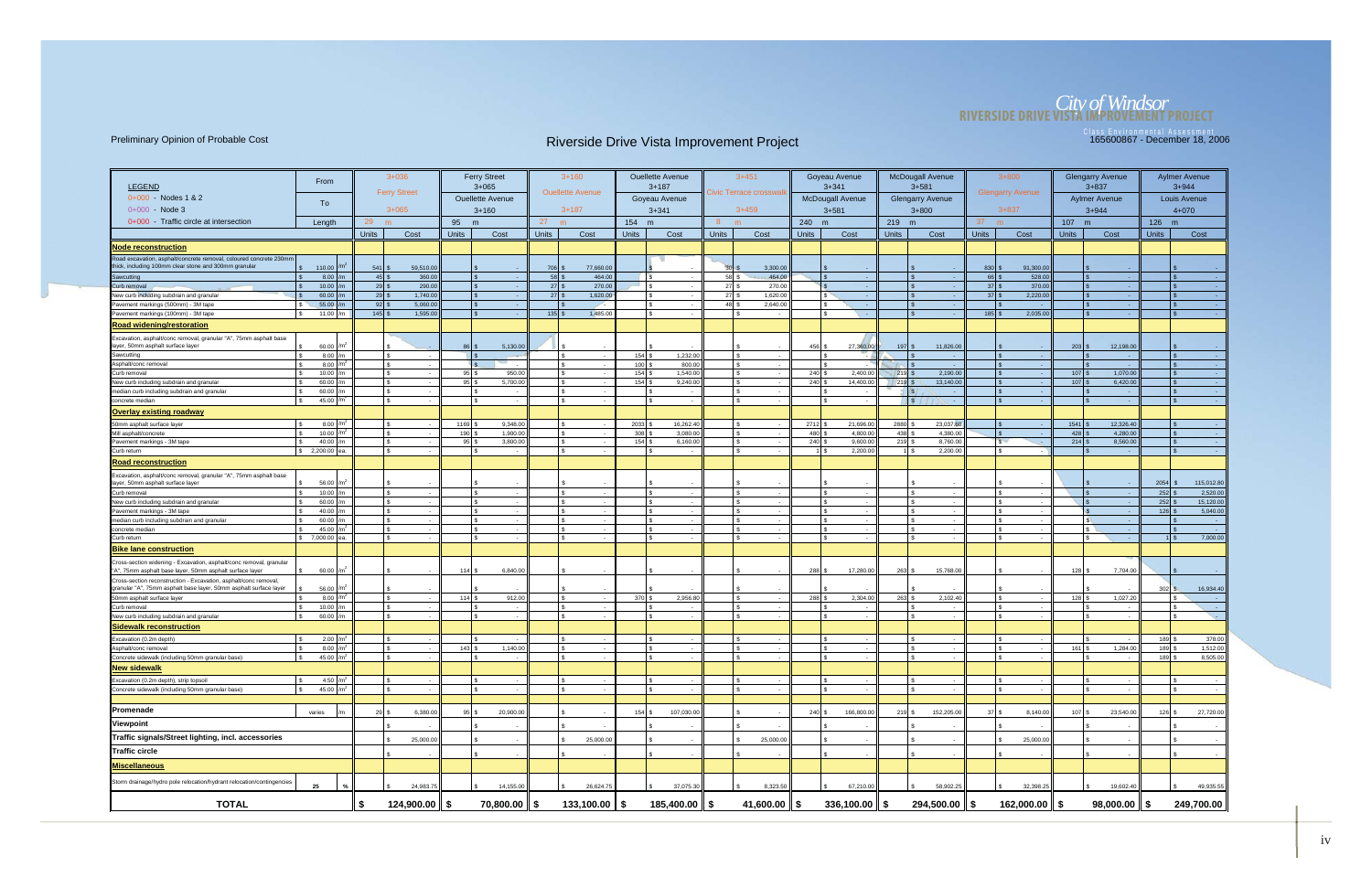# *City of Windsor* **RIVERSIDE DRIVE VISTA IMPROVEMENT PROJECT**

|                                                                                                                                       | From                                   |                          | $3 + 036$            |                                | <b>Ferry Street</b>        |              | $3+160$                 |                     | <b>Ouellette Avenue</b> |              | $3+451$                 |                     | Goyeau Avenue            |                                   | <b>McDougall Avenue</b> |                    | $3 + 800$               |              | <b>Glengarry Avenue</b> |                            | <b>Aylmer Avenue</b>   |
|---------------------------------------------------------------------------------------------------------------------------------------|----------------------------------------|--------------------------|----------------------|--------------------------------|----------------------------|--------------|-------------------------|---------------------|-------------------------|--------------|-------------------------|---------------------|--------------------------|-----------------------------------|-------------------------|--------------------|-------------------------|--------------|-------------------------|----------------------------|------------------------|
| <b>LEGEND</b>                                                                                                                         |                                        |                          | <b>Ferry Street</b>  |                                | $3 + 065$                  |              | <b>Ouellette Avenue</b> |                     | $3 + 187$               |              | Civic Terrace crosswall |                     | $3 + 341$                |                                   | $3 + 581$               |                    | <b>Glengarry Avenue</b> |              | $3 + 837$               |                            | $3 + 944$              |
| $0+000 - Nodes 1 & 2$                                                                                                                 | To                                     |                          |                      |                                | <b>Ouellette Avenue</b>    |              |                         |                     | Goyeau Avenue           |              |                         |                     | <b>McDougall Avenue</b>  |                                   | <b>Glengarry Avenue</b> |                    |                         |              | <b>Aylmer Avenue</b>    |                            | Louis Avenue           |
| 0+000 - Node 3                                                                                                                        |                                        |                          | $3 + 065$            |                                | $3 + 160$                  |              | $3 + 187$               |                     | $3 + 341$               |              | $3 + 459$               |                     | $3 + 581$                |                                   | $3 + 800$               |                    | $3 + 837$               |              | $3 + 944$               |                            | $4 + 070$              |
| 0+000 - Traffic circle at intersection                                                                                                | Length                                 | 29                       |                      | 95                             | m                          | 27<br>m      |                         | 154 m               |                         | -8           | m                       | 240 m               |                          | 219 m                             |                         | 37 <sup>2</sup>    |                         | 107 m        |                         | 126 m                      |                        |
|                                                                                                                                       |                                        | <b>Units</b>             | Cost                 | <b>Units</b>                   | Cost                       | <b>Units</b> | Cost                    | <b>Units</b>        | Cost                    | <b>Units</b> | Cost                    | <b>Units</b>        | Cost                     | <b>Units</b>                      | Cost                    | <b>Units</b>       | Cost                    | <b>Units</b> | Cost                    | <b>Units</b>               | Cost                   |
| Node reconstruction                                                                                                                   |                                        |                          |                      |                                |                            |              |                         |                     |                         |              |                         |                     |                          |                                   |                         |                    |                         |              |                         |                            |                        |
| Road excavation, asphalt/concrete removal, coloured concrete 230mm                                                                    |                                        |                          |                      |                                |                            |              |                         |                     |                         |              |                         |                     |                          |                                   |                         |                    |                         |              |                         |                            |                        |
| thick, including 100mm clear stone and 300mm granular                                                                                 | 110.00                                 | 541S                     | 59,510.00            |                                |                            | 706          | 77,660.00               |                     |                         |              | 3,300.00                |                     |                          |                                   |                         | 830                | 91,300.00               |              |                         |                            |                        |
| Sawcutting                                                                                                                            | 8.00                                   | $45 \overline{\text{S}}$ | 360.00               |                                |                            |              | 464.00                  |                     | l s                     | $58$ :       | 464.00                  |                     | . .                      |                                   |                         | $66$ \$            | 528.00                  |              |                         | l s                        |                        |
| Curb removal                                                                                                                          | 10.00 $/m$                             | $29$ \$                  | 290.00               |                                |                            |              | 270.00                  |                     | l s                     | $27$ :       | 270.00                  |                     | - 1                      |                                   | $\sim$                  | $37$ $\frac{1}{3}$ | 370.00                  |              |                         | $\sqrt{3}$                 |                        |
| New curb including subdrain and granular<br>Pavement markings (500mm) - 3M tape                                                       | 60.00<br>55.00                         | $29$ \$<br>$92 \mid$ \$  | 1,740.00<br>5,060.00 |                                |                            |              | 1,620.00                |                     | l \$<br>ls.             | 27<br>48     | 1,620.00<br>2,640.00    |                     | $\sim$<br>$\sim$         |                                   | $\sim$<br>$\sim$        | $37$ $\frac{9}{3}$ | 2,220.00                |              |                         |                            |                        |
| Pavement markings (100mm) - 3M tape<br>l \$                                                                                           | 11.00 /m                               | $145$ \$                 | 1,595.00             |                                |                            |              | 1,485.00                |                     | ls.                     |              |                         |                     | $\sim$                   |                                   | $\mathcal{F}$<br>- 1    | $185$ \$           | 2,035.00                |              | $\sim$                  | $\sqrt{3}$                 |                        |
| <b>Road widening/restoration</b>                                                                                                      |                                        |                          |                      |                                |                            |              |                         |                     |                         |              |                         |                     |                          |                                   |                         |                    |                         |              |                         |                            |                        |
| Excavation, asphalt/conc removal, granular "A", 75mm asphalt base                                                                     |                                        |                          |                      |                                |                            |              |                         |                     |                         |              |                         |                     |                          |                                   |                         |                    |                         |              |                         |                            |                        |
| layer, 50mm asphalt surface layer                                                                                                     | 60.00 /m <sup>2</sup>                  |                          |                      | 86 L                           | 5,130.00                   |              |                         |                     |                         |              |                         | $456$ $\sqrt{5}$    | 27,360.00                | $197$ $\frac{\text{S}}{\text{S}}$ | 11,826.00               |                    |                         | $203$ :      | 12,198.00               |                            |                        |
| Sawcutting                                                                                                                            | $8.00$ /m                              |                          | $\sim$               |                                |                            |              |                         | $154$ \$            | 1,232.00                |              | $\sim$                  |                     |                          |                                   | - 1                     |                    |                         |              | $\sim$                  |                            |                        |
| Asphalt/conc removal                                                                                                                  | 8.00                                   |                          | Ι۹<br>$\sim$         |                                |                            |              |                         | 100                 | 800.00                  |              |                         |                     |                          |                                   | - 1                     |                    |                         |              |                         |                            |                        |
| Curb removal                                                                                                                          | 10.00<br>l/m                           |                          | l s                  | $95$ $\sqrt{5}$                | 950.00                     |              |                         | $154$ $\frac{9}{2}$ | 1,540.00                |              |                         | $240$ :             | 2,400.00                 | 219S                              | 2,190.00                |                    |                         | $107$ \$     | 1,070.00                |                            |                        |
| New curb including subdrain and granular<br>median curb including subdrain and granular                                               | 60.00<br>60.00                         |                          | l s                  | 95                             | 5,700.00                   | l \$         |                         | $154$ \$            | 9,240.00                |              |                         | $240$ :             | 14,400.00                | 219 \$                            | 13,140.00<br> s         |                    |                         | $107$ :      | 6,420.00                |                            |                        |
| concrete median                                                                                                                       | 45.00                                  |                          | l S<br>$\sim$        |                                |                            | l \$         |                         |                     | l s                     |              |                         |                     |                          |                                   | $\sqrt{s}$<br>$\sim$    |                    |                         |              | $\sim$                  | $\mathbf{\hat{s}}$         |                        |
| <b>Overlay existing roadway</b>                                                                                                       |                                        |                          |                      |                                |                            |              |                         |                     |                         |              |                         |                     |                          |                                   |                         |                    |                         |              |                         |                            |                        |
| 50mm asphalt surface layer                                                                                                            | 8.00 $/m2$                             |                          | l s                  | 1169                           | 9,348.00                   |              |                         | $2033$ \$           | 16,262.40               |              |                         | 2712                | 21,696.0                 | $2880$ \$                         | 23,037.60               |                    |                         | $1541$       | 12,326.40               |                            |                        |
| Mill asphalt/concrete                                                                                                                 | 10.00<br>$\mathsf{Im}^i$               |                          |                      | 190                            | 1.900.00                   |              |                         | 308                 | 3,080.00                |              |                         | $480$ :             | 4,800.00                 | $438$ \$                          | 4,380.00                |                    |                         | 428          | 4,280.00                |                            |                        |
| Pavement markings - 3M tape                                                                                                           | 40.00                                  |                          |                      | -asl                           | 3,800.00                   |              |                         | 154                 | 6,160.00                |              |                         | 240                 | 9,600.0                  | 219                               | 8,760.00                |                    |                         | 214          | 8,560.00                |                            |                        |
| Curb return                                                                                                                           | $$2,200.00$ ea.                        |                          | $\sqrt{3}$<br>$\sim$ |                                | $\sim$                     | l S          |                         |                     | IS.<br>$\sim$           |              |                         |                     | 2,200.0                  | 1   \$                            | 2,200.00                |                    |                         |              |                         | I \$                       |                        |
| <b>Road reconstruction</b>                                                                                                            |                                        |                          |                      |                                |                            |              |                         |                     |                         |              |                         |                     |                          |                                   |                         |                    |                         |              |                         |                            |                        |
| Excavation, asphalt/conc removal, granular "A", 75mm asphalt base                                                                     |                                        |                          |                      |                                |                            |              |                         |                     |                         |              |                         |                     |                          |                                   |                         |                    |                         |              |                         |                            |                        |
| layer, 50mm asphalt surface layer                                                                                                     | 56.00<br>$\mathsf{Im}^2$               |                          |                      |                                |                            |              |                         |                     | l s                     |              |                         |                     |                          |                                   |                         |                    |                         |              |                         | 2054                       | 115,012.80<br>2,520.00 |
| Curb removal<br>New curb including subdrain and granular                                                                              | 10.00<br>60.00<br>1/m                  |                          | ls.<br>$\sim$        |                                |                            |              |                         |                     | ls.                     |              |                         |                     | $\sim$                   |                                   | l s<br>$\sim$           |                    |                         |              |                         | 252<br>$252$ \$            | 15,120.00              |
| Pavement markings - 3M tape                                                                                                           | 40.00 $/m$                             |                          |                      |                                |                            |              |                         |                     |                         |              |                         |                     |                          |                                   | $\sim$                  |                    |                         |              |                         | $126$ \$                   | 5,040.00               |
| median curb including subdrain and granular                                                                                           | 60.00                                  |                          |                      |                                |                            |              |                         |                     |                         |              |                         |                     |                          |                                   | $\sim$                  |                    |                         |              |                         |                            | $\sim$ 100 $\pm$       |
| concrete mediar                                                                                                                       | 45.00                                  |                          |                      |                                |                            |              |                         |                     |                         |              |                         |                     |                          |                                   | $\sim$                  |                    |                         |              |                         |                            |                        |
| Curb return                                                                                                                           | \$7,000.00<br>lea.                     |                          | l S<br>$\sim$        |                                |                            |              |                         |                     | IS.                     |              |                         |                     | $\sim$                   |                                   | IS.<br>$\sim$           |                    |                         |              |                         | II \$                      | 7,000.00               |
| <b>Bike lane construction</b>                                                                                                         |                                        |                          |                      |                                |                            |              |                         |                     |                         |              |                         |                     |                          |                                   |                         |                    |                         |              |                         |                            |                        |
| Cross-section widening - Excavation, asphalt/conc removal, granular<br>"A", 75mm asphalt base layer, 50mm asphalt surface layer       | 60.00<br>l/m'                          |                          |                      | $114$ $\overline{\phantom{1}}$ | 6,840.00                   |              |                         |                     |                         |              |                         | $288$ $\frac{9}{3}$ | 17,280.00                | $263$ \$                          | 15,768.00               |                    |                         | 128          | 7,704.00                |                            |                        |
| Cross-section reconstruction - Excavation, asphalt/conc removal,<br>granular "A", 75mm asphalt base layer, 50mm asphalt surface layer | 56.00                                  |                          |                      |                                |                            |              |                         |                     |                         |              |                         |                     |                          |                                   |                         |                    |                         |              |                         | $302 \vert \text{S} \vert$ | 16,934.40              |
| 50mm asphalt surface layer                                                                                                            | 8.00                                   |                          |                      | $114$ :                        | 912.00                     |              |                         | $370$ $\frac{1}{3}$ | 2,956.80                |              |                         | 288                 | 2,304.00                 | $263$ \$                          | 2,102.40                |                    |                         | $128$ \$     | 1,027.20                | $\mathbf{R}$               |                        |
| Curb removal                                                                                                                          | 10.00                                  |                          | l s                  |                                |                            |              |                         |                     |                         |              |                         |                     |                          |                                   |                         |                    |                         |              |                         |                            | $\sim$ $\sim$          |
| New curb including subdrain and granular                                                                                              | 60.00 $/m$                             |                          | Ιs                   |                                |                            |              |                         |                     |                         |              |                         |                     | $\overline{\phantom{a}}$ |                                   | $\sim$                  |                    |                         |              |                         | l s                        | S.                     |
| <b>Sidewalk reconstruction</b>                                                                                                        |                                        |                          |                      |                                |                            |              |                         |                     |                         |              |                         |                     |                          |                                   |                         |                    |                         |              |                         |                            |                        |
| Excavation (0.2m depth)<br>IS.                                                                                                        | $2.00$ $/m2$                           |                          | l s                  |                                |                            |              |                         |                     | l s                     |              |                         |                     |                          |                                   | l s                     |                    |                         |              |                         | $189$ $\sqrt{5}$           | 378.00                 |
| Asphalt/conc removal                                                                                                                  | 8.00<br>$\mathsf{Im}^2$<br>45.00 $/m2$ |                          | l \$<br>l \$         | $143$ \$                       | 1,140.00                   |              |                         |                     | $\mathbf{R}$<br>l s     |              |                         |                     |                          |                                   |                         |                    |                         | $161$ \$     | 1,284.00                | $189$ \$<br>$189$ \$       | 1,512.00<br>8,505.00   |
| Concrete sidewalk (including 50mm granular base)                                                                                      |                                        |                          |                      |                                |                            |              |                         |                     |                         |              |                         |                     |                          |                                   |                         |                    |                         |              |                         |                            |                        |
| <b>New sidewalk</b>                                                                                                                   |                                        |                          |                      |                                |                            |              |                         |                     |                         |              |                         |                     |                          |                                   |                         |                    |                         |              |                         |                            |                        |
| Excavation (0.2m depth), strip topsoil<br>Concrete sidewalk (including 50mm granular base)                                            | 4.50 $/m2$<br>45.00 $/m2$              |                          | l s                  |                                |                            |              |                         |                     | Is                      |              |                         |                     | $\sim$                   |                                   | l s                     |                    |                         |              |                         | I ۾                        |                        |
|                                                                                                                                       |                                        |                          |                      |                                |                            |              |                         |                     |                         |              |                         |                     |                          |                                   |                         |                    |                         |              |                         |                            |                        |
| Promenade                                                                                                                             | varies                                 | 29S                      | 6,380.00             |                                | 20,900.00                  |              |                         | $154$ \$            | 107,030.00              |              |                         | $240$ \$            | 166,800.00               | $219$ \$                          | 152,205.00              |                    | 8,140.00                | $107$ \$     | 23,540.00               | $126$ \$                   | 27,720.00              |
| Viewpoint                                                                                                                             |                                        |                          |                      |                                |                            |              |                         |                     |                         |              |                         |                     |                          |                                   |                         |                    |                         |              |                         |                            |                        |
|                                                                                                                                       |                                        |                          |                      |                                |                            |              |                         |                     |                         |              |                         |                     |                          |                                   |                         |                    |                         |              |                         |                            |                        |
| Traffic signals/Street lighting, incl. accessories                                                                                    |                                        |                          | 25,000.00            |                                |                            |              | 25,000.00               |                     |                         |              | 25,000.00               |                     |                          |                                   |                         |                    | 25,000.00               |              |                         |                            |                        |
| Traffic circle                                                                                                                        |                                        |                          |                      |                                |                            |              |                         |                     |                         |              |                         |                     |                          |                                   |                         |                    |                         |              |                         |                            |                        |
| <b>Miscellaneous</b>                                                                                                                  |                                        |                          |                      |                                |                            |              |                         |                     |                         |              |                         |                     |                          |                                   |                         |                    |                         |              |                         |                            |                        |
| Storm drainage/hydro pole relocation/hydrant relocation/contingencies                                                                 | 25                                     |                          | 24,983.75            |                                | 14,155.00                  |              | 26,624.75               |                     | 37,075.30               |              | 8,323.50                |                     | 67,210.00                |                                   | 58,902.25               |                    | 32,398.25               |              | 19,602.40               |                            | 49,935.55              |
| <b>TOTAL</b>                                                                                                                          |                                        | \$                       | $124,900.00$ \$      |                                | $70,800.00$ $\parallel$ \$ |              | $133,100.00$ \$         |                     | $185,400.00$   \$       |              | 41,600.00 $\ \$$        |                     | $336,100.00$ \$          |                                   | $294,500.00$ \$         |                    | 162,000.00 \$           |              | $98,000.00$   \$        |                            | 249,700.00             |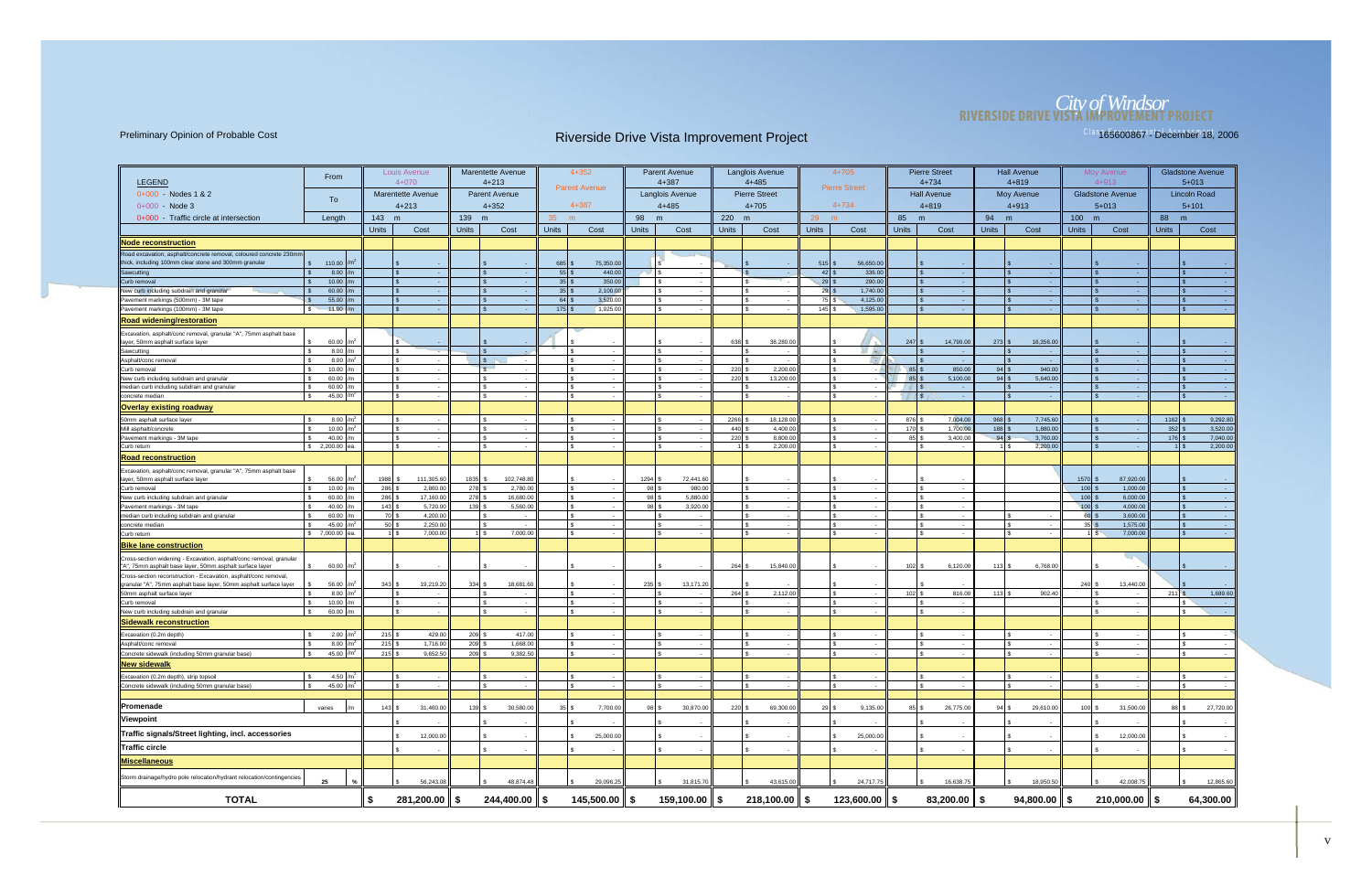## *City of Windsor* **RIVERSIDE DRIVE VISTA IMPROVEMENT PROJECT**

| <b>LEGEND</b>                                                                                                                | From                           |              | Louis Avenue<br>$4 + 070$ |              | <b>Marentette Avenue</b><br>$4 + 213$ |                 | $4 + 352$<br><b>Parent Avenue</b> |              | <b>Parent Avenue</b><br>$4 + 387$ |                    | Langlois Avenue<br>$4 + 485$ | $4 + 705$<br><b>Pierre Street</b>        |                              | <b>Pierre Street</b><br>$4 + 734$ |              | <b>Hall Avenue</b><br>$4 + 819$ |                         | Moy Avenue<br>$4 + 913$ |                         | <b>Gladstone Avenue</b><br>$5 + 013$ |
|------------------------------------------------------------------------------------------------------------------------------|--------------------------------|--------------|---------------------------|--------------|---------------------------------------|-----------------|-----------------------------------|--------------|-----------------------------------|--------------------|------------------------------|------------------------------------------|------------------------------|-----------------------------------|--------------|---------------------------------|-------------------------|-------------------------|-------------------------|--------------------------------------|
| $0+000 -$ Nodes 1 & 2                                                                                                        | To                             |              | <b>Marentette Avenue</b>  |              | <b>Parent Avenue</b>                  |                 |                                   |              | <b>Langlois Avenue</b>            |                    | <b>Pierre Street</b>         |                                          |                              | <b>Hall Avenue</b>                |              | <b>Moy Avenue</b>               |                         | <b>Gladstone Avenue</b> |                         | <b>Lincoln Road</b>                  |
| $0+000 - Node 3$                                                                                                             |                                |              | $4 + 213$                 |              | $4 + 352$                             |                 | 4+387                             |              | $4 + 485$                         |                    | $4 + 705$                    | $4 + 734$                                |                              | $4 + 819$                         |              | $4 + 913$                       |                         | $5 + 013$               |                         | $5 + 101$                            |
| 0+000 - Traffic circle at intersection                                                                                       | Length                         | 143 m        |                           | 139 m        |                                       | 35 <sup>°</sup> | m                                 | 98           | m                                 | 220 m              |                              | 29<br>m                                  | 85                           | m                                 | 94           | m                               | 100                     | m                       | 88 m                    |                                      |
|                                                                                                                              |                                | <b>Units</b> | Cost                      | <b>Units</b> | Cost                                  | <b>Units</b>    | Cost                              | <b>Units</b> | Cost                              | <b>Units</b>       | Cost                         | <b>Units</b><br>Cost                     | <b>Units</b>                 | Cost                              | <b>Units</b> | Cost                            | <b>Units</b>            | Cost                    | <b>Units</b>            | Cost                                 |
| <b>Node reconstruction</b>                                                                                                   |                                |              |                           |              |                                       |                 |                                   |              |                                   |                    |                              |                                          |                              |                                   |              |                                 |                         |                         |                         |                                      |
| Road excavation, asphalt/concrete removal, coloured concrete 230mm                                                           |                                |              |                           |              |                                       |                 |                                   |              |                                   |                    |                              |                                          |                              |                                   |              |                                 |                         |                         |                         |                                      |
| thick, including 100mm clear stone and 300mm granular                                                                        | $\frac{1}{2}$ 110.00           |              |                           |              |                                       | 685             | 75,350.00                         |              |                                   |                    |                              | 515<br>56,650.00                         |                              |                                   |              |                                 |                         |                         |                         |                                      |
| Sawcutting                                                                                                                   | ls.<br>8.00                    |              |                           |              |                                       | 55              | 440.00                            |              | $\sim$                            |                    |                              | $42 \overline{\text{}}$<br>336.00        |                              | <b>Contract</b>                   |              | - 1                             |                         | $\sim$                  |                         |                                      |
| Curb removal                                                                                                                 | 10.00                          |              |                           |              |                                       | 35              | 350.00                            |              | $\sim$                            |                    |                              | 29S<br>290.00                            |                              | $\sim$ $-$                        |              |                                 |                         |                         |                         |                                      |
| New curb including subdrain and granular<br>Pavement markings (500mm) - 3M tape                                              | 60.00<br>55.00<br>l s          |              | \$.                       |              |                                       | 35<br>$64$ :    | 2,100.00<br>3,520.00              |              | $\sim$<br>$\sim$                  |                    | - \$                         | $29$ \$<br>1,740.00<br>75 \$<br>4,125.00 |                              | $\sqrt{3}$<br>$\sim$              |              |                                 |                         | l s                     |                         |                                      |
| Pavement markings (100mm) - 3M tape                                                                                          | 11.00<br>$\mathbf{s}$          |              |                           |              |                                       | $175$ :         | 1,925.00                          |              | $\sim$                            |                    |                              | $145$ \$<br>1,595.00                     |                              | <b>Contract</b>                   |              |                                 |                         | l \$<br>$\sim$          |                         |                                      |
| <b>Road widening/restoration</b>                                                                                             |                                |              |                           |              |                                       |                 |                                   |              |                                   |                    |                              |                                          |                              |                                   |              |                                 |                         |                         |                         |                                      |
|                                                                                                                              |                                |              |                           |              |                                       |                 |                                   |              |                                   |                    |                              |                                          |                              |                                   |              |                                 |                         |                         |                         |                                      |
| Excavation, asphalt/conc removal, granular "A", 75mm asphalt base<br>layer, 50mm asphalt surface layer                       | 60.00                          |              |                           |              |                                       |                 |                                   |              |                                   | 638                | 38,280.00                    |                                          | $247$ \$                     | 14,790.00                         | 273          | 16,356.00                       |                         |                         |                         |                                      |
| Sawcutting                                                                                                                   | 8.00<br>Ιs                     |              |                           |              |                                       |                 | $\overline{\phantom{a}}$          |              | $\sim$                            |                    | I S<br>$\sim$                | 29 AL                                    |                              | $\sim 100$                        |              | <b>College</b>                  |                         | l s                     |                         |                                      |
| Asphalt/conc removal                                                                                                         | 8.00                           |              |                           |              | $\sqrt{s}$                            |                 |                                   |              | $\sim$                            |                    |                              |                                          | - 1                          |                                   |              |                                 |                         |                         |                         |                                      |
| Curb removal                                                                                                                 | 10.00<br>$\mathcal{F}$         |              |                           |              | $\mathcal{R}$                         |                 |                                   |              | $\sim$                            | 220 \$             | 2,200.00                     |                                          | $85$ \ $\frac{1}{3}$         | 850.00                            | 94           | 940.00                          |                         |                         |                         |                                      |
| New curb including subdrain and granular                                                                                     | 60.00                          |              |                           |              |                                       |                 |                                   |              | $\sim$                            | 220 \$             | 13,200.00                    |                                          | 85 \$                        | 5,100.00                          | 94           | 5,640.00                        |                         |                         |                         |                                      |
| median curb including subdrain and granular<br>concrete median                                                               | 60.00<br>45.00                 |              |                           |              |                                       |                 | $\overline{\phantom{a}}$          |              | $\sim$                            |                    | $\sim$                       |                                          |                              | $\sim$ 100 $\mu$                  |              |                                 |                         | $\sim$                  |                         |                                      |
|                                                                                                                              |                                |              |                           |              |                                       |                 |                                   |              | $\sim$                            |                    |                              | $\sim$                                   |                              | IS.<br>$\sim$ $\sim$              |              |                                 |                         | $\sim$                  |                         |                                      |
| <b>Overlay existing roadway</b>                                                                                              |                                |              |                           |              |                                       |                 |                                   |              |                                   |                    |                              |                                          |                              |                                   |              |                                 |                         |                         |                         |                                      |
| 50mm asphalt surface layer                                                                                                   | 8.00                           |              |                           |              |                                       |                 |                                   |              |                                   | 2266               | 18,128.00                    |                                          | 876 \$                       | 7,004.00                          | 968          | 7,745.60                        |                         |                         | 1162                    | 9,292.80                             |
| Mill asphalt/concrete<br>Pavement markings - 3M tape                                                                         | 10.00<br>40.00                 |              |                           |              |                                       |                 |                                   |              | $\sim$                            | 440 \$<br>$220$ \$ | 4,400.00<br>8,800.00         |                                          | 170 \$<br>$85$ $\frac{1}{3}$ | 1,700.00<br>3,400.00              | 188<br>94    | 1,880.00<br>3,760.00            |                         | l s                     | 352<br>$176$ $\sqrt{5}$ | 3,520.00<br>7,040.00                 |
| Curb return                                                                                                                  | \$2,200.00<br>эа               |              | \$.                       |              | - \$                                  |                 |                                   |              | $\sim$                            |                    | 2,200.00                     |                                          | $\sim$                       | $\sim$                            |              | 2,200.00                        |                         | l s<br><b>Card</b>      |                         | 2,200.00                             |
| <u>Road reconstruction</u>                                                                                                   |                                |              |                           |              |                                       |                 |                                   |              |                                   |                    |                              |                                          |                              |                                   |              |                                 |                         |                         |                         |                                      |
| Excavation, asphalt/conc removal, granular "A", 75mm asphalt base                                                            |                                |              |                           |              |                                       |                 |                                   |              |                                   |                    |                              |                                          |                              |                                   |              |                                 |                         |                         |                         |                                      |
| layer, 50mm asphalt surface layer<br>Curb removal                                                                            | 56.00<br>10.00<br>$\mathbf{s}$ | 1988<br>286  | 111,305.60<br>2,860.00    | 1835<br>278  | 102,748.80<br>2,780.00                |                 |                                   | 1294<br>98   | 72,441.60<br>980.00               |                    |                              |                                          |                              |                                   |              |                                 | $1570$ \$<br>$100$ \$   | 87,920.00<br>1,000.00   |                         |                                      |
| New curb including subdrain and granular                                                                                     | 60.00                          | 286          | 17,160.00                 | 278          | 16,680.00                             |                 |                                   | 98           | 5.880.00                          |                    |                              |                                          |                              |                                   |              |                                 | $100$ \$                | 6,000.00                |                         |                                      |
| Pavement markings - 3M tape                                                                                                  | 40.00                          | 143          | 5,720.00                  | 139          | 5,560.00                              |                 |                                   | 98           | 3,920.00                          |                    |                              |                                          |                              |                                   |              |                                 | $100$ \$                | 4,000.00                |                         |                                      |
| median curb including subdrain and granular                                                                                  | 60.00                          | 70 \$        | 4,200.00                  |              | $\sim$                                |                 | $\sim$                            |              | $\sim$ $-$                        |                    |                              |                                          |                              | l s<br>$\sim$                     |              |                                 | $60$ \$                 | 3,600.00                |                         |                                      |
| concrete median                                                                                                              | 45.00                          | $50$ \$      | 2,250.00                  |              |                                       |                 |                                   |              | ۰.                                |                    |                              |                                          |                              |                                   |              |                                 | $35 \,$ $\frac{1}{5}$   | 1,575.00                |                         |                                      |
| Curb return                                                                                                                  | \$7,000.00                     |              | 7,000.00<br>$1 \mid$ \$   |              | $1$ \$<br>7,000.00                    |                 |                                   |              | $\sim$                            |                    |                              |                                          |                              | l \$<br>$\sim$                    |              |                                 | $1 \overline{\text{S}}$ | 7,000.00                |                         |                                      |
| <b>Bike lane construction</b><br>Cross-section widening - Excavation, asphalt/conc removal, granular                         |                                |              |                           |              |                                       |                 |                                   |              |                                   |                    |                              |                                          |                              |                                   |              |                                 |                         |                         |                         |                                      |
| "A", 75mm asphalt base layer, 50mm asphalt surface layer<br>Cross-section reconstruction - Excavation, asphalt/conc removal, | 60.00                          |              |                           |              |                                       |                 |                                   |              |                                   | 264                | 15,840.00                    |                                          | $102$ $\bar{\text{s}}$       | 6,120.00                          | 113          | 6.768.00                        |                         |                         |                         |                                      |
| granular "A", 75mm asphalt base layer, 50mm asphalt surface layer                                                            | 56.00                          | $343$ \$     | 19,219.20                 | 334S         | 18,681.60                             |                 |                                   | 235          | 13,171.20                         |                    |                              |                                          |                              |                                   |              |                                 | $240$ \$                | 13,440.00               |                         |                                      |
| 50mm asphalt surface layer                                                                                                   | 8.00<br>Ιs                     |              |                           |              |                                       |                 |                                   |              | $\sim$                            | 264 \$             | 2,112.00                     |                                          | 102S                         | 816.00                            | 113          | 902.40                          |                         | l s                     | 211                     | 1,689.60                             |
| Curb removal                                                                                                                 | 10.00                          |              |                           |              |                                       |                 |                                   |              |                                   |                    |                              |                                          |                              |                                   |              |                                 |                         | ١s                      |                         | \$.                                  |
| New curb including subdrain and granular                                                                                     | 60.00                          |              |                           |              |                                       |                 |                                   |              |                                   |                    |                              |                                          |                              |                                   |              |                                 |                         |                         |                         |                                      |
| <b>Sidewalk reconstruction</b>                                                                                               |                                |              |                           |              |                                       |                 |                                   |              |                                   |                    |                              |                                          |                              |                                   |              |                                 |                         |                         |                         |                                      |
| Excavation (0.2m depth)                                                                                                      | 2.00                           | 215          | 429.00                    | 209          | 417.00                                |                 |                                   |              |                                   |                    |                              |                                          |                              |                                   |              |                                 |                         |                         |                         |                                      |
| Asphalt/conc removal                                                                                                         | 8.00<br>I۹                     | 215          | 1,716.00                  | $209$ \$     | 1,668.00                              |                 |                                   |              | $\sim$                            |                    | - \$                         |                                          |                              | l s                               |              |                                 |                         | l s                     |                         | \$.                                  |
| Concrete sidewalk (including 50mm granular base)                                                                             | 45.00<br>Ιs                    | 215S         | 9,652.50                  | 209S         | 9,382.50                              |                 |                                   |              |                                   |                    | -S                           |                                          |                              | l \$                              |              |                                 |                         | l s                     |                         |                                      |
| New sidewalk                                                                                                                 |                                |              |                           |              |                                       |                 |                                   |              |                                   |                    |                              |                                          |                              |                                   |              |                                 |                         |                         |                         |                                      |
| Excavation (0.2m depth), strip topsoil                                                                                       | 4.50 $/m2$                     |              |                           |              |                                       |                 |                                   |              |                                   |                    |                              |                                          |                              |                                   |              |                                 |                         |                         |                         |                                      |
| Concrete sidewalk (including 50mm granular base)                                                                             | 45.00 / $m^2$<br>l s           |              | \$.                       |              |                                       |                 |                                   |              | $\sim$                            |                    |                              |                                          |                              | $\mathbb{R}$                      |              |                                 |                         | l s                     |                         | \$                                   |
|                                                                                                                              |                                |              |                           |              |                                       |                 |                                   |              |                                   |                    |                              |                                          |                              |                                   |              |                                 |                         |                         |                         |                                      |
| Promenade                                                                                                                    | varies                         | 143S         | 31,460.00                 | 139 \$       | 30,580.00                             | 35              | 7,700.00                          | 98 \$        | 30,870.00                         | 220 \$             | 69,300.00                    | $29$ \$<br>9,135.00                      |                              | 26,775.00<br>85 \$                | 94           | 29,610.00                       | $100$ \$                | 31,500.00               | 88 \$                   | 27,720.00                            |
| Viewpoint                                                                                                                    |                                |              |                           |              |                                       |                 |                                   |              |                                   |                    |                              |                                          |                              |                                   |              |                                 |                         |                         |                         |                                      |
| Traffic signals/Street lighting, incl. accessories                                                                           |                                |              | 12,000.00                 |              |                                       |                 | 25,000.00                         |              |                                   |                    |                              | 25,000.00                                |                              |                                   |              |                                 |                         | 12,000.00               |                         |                                      |
| Traffic circle                                                                                                               |                                |              |                           |              |                                       |                 |                                   |              |                                   |                    |                              |                                          |                              |                                   |              |                                 |                         |                         |                         |                                      |
| <b>Miscellaneous</b>                                                                                                         |                                |              |                           |              |                                       |                 |                                   |              |                                   |                    |                              |                                          |                              |                                   |              |                                 |                         |                         |                         |                                      |
| Storm drainage/hydro pole relocation/hydrant relocation/contingencies                                                        |                                |              |                           |              |                                       |                 |                                   |              |                                   |                    |                              |                                          |                              |                                   |              |                                 |                         |                         |                         |                                      |
|                                                                                                                              | 25<br>$\%$                     |              | 56,243.08                 |              | 48,874.48                             |                 | 29,096.25                         |              | 31,815.70                         |                    | 43,615.00                    | 24,717.75                                |                              | 16,638.75                         |              | 18,950.50                       |                         | 42,008.75<br>l s        |                         | 12,865.60                            |
| <b>TOTAL</b>                                                                                                                 |                                | \$           | $281,200.00$ \$           |              | $244,400.00$ \$                       |                 | 145,500.00 \$                     |              | 159,100.00 \$                     |                    | $218,100.00$ \$              | 123,600.00 $\parallel$ \$                |                              | $83,200.00$ \$                    |              | $94,800.00$ \$                  |                         | $210,000.00$   \$       |                         | 64,300.00                            |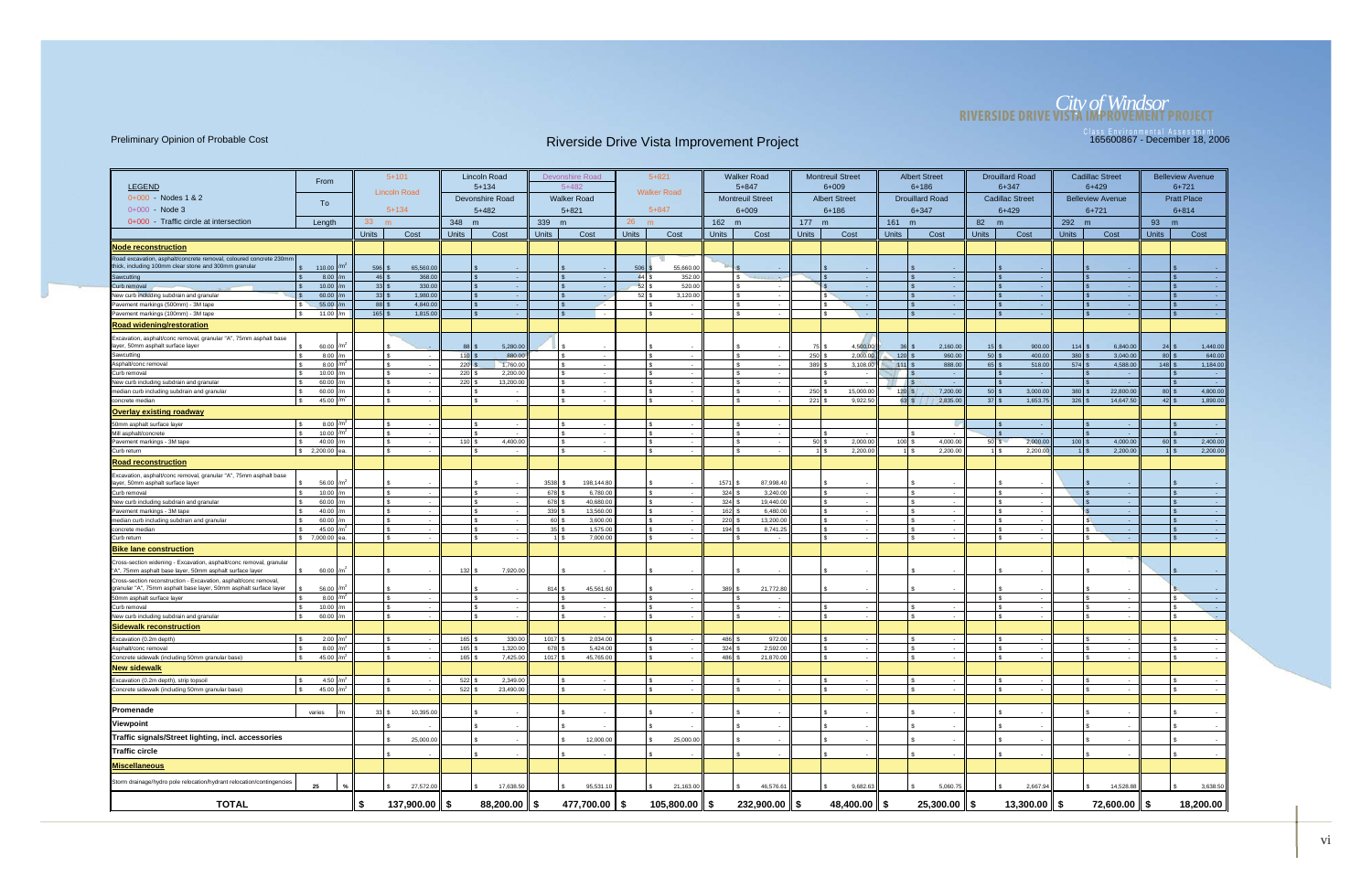# *City of Windsor* **RIVERSIDE DRIVE VISTA IMPROVEMENT PROJECT**

|                                                                                                                                       | From                                         |                                | $5 + 101$                              |              | <b>Lincoln Road</b>        |                  | Devonshire Road       |                | $5 + 821$                   |              | <b>Walker Road</b>       |                                 | <b>Montreuil Street</b>    |                  | <b>Albert Street</b>   |              | <b>Drouillard Road</b>   |                 | <b>Cadillac Street</b>  |                                | <b>Belleview Avenue</b> |
|---------------------------------------------------------------------------------------------------------------------------------------|----------------------------------------------|--------------------------------|----------------------------------------|--------------|----------------------------|------------------|-----------------------|----------------|-----------------------------|--------------|--------------------------|---------------------------------|----------------------------|------------------|------------------------|--------------|--------------------------|-----------------|-------------------------|--------------------------------|-------------------------|
| <b>LEGEND</b>                                                                                                                         |                                              |                                | <b>Lincoln Road</b>                    |              | $5 + 134$                  |                  | $5 + 482$             |                | <b>Walker Road</b>          |              | $5 + 847$                |                                 | $6 + 009$                  |                  | $6 + 186$              |              | $6 + 347$                |                 | $6+429$                 |                                | $6 + 721$               |
| 0+000 - Nodes 1 & 2                                                                                                                   | To                                           |                                |                                        |              | Devonshire Road            |                  | <b>Walker Road</b>    |                |                             |              | <b>Montreuil Street</b>  |                                 | <b>Albert Street</b>       |                  | <b>Drouillard Road</b> |              | <b>Cadillac Street</b>   |                 | <b>Belleview Avenue</b> |                                | <b>Pratt Place</b>      |
| $0+000 - Node 3$                                                                                                                      |                                              |                                | $5 + 134$                              |              | $5+482$                    |                  | $5 + 821$             |                | $5 + 847$                   |              | $6 + 009$                |                                 | $6 + 186$                  |                  | $6 + 347$              |              | $6 + 429$                |                 | $6 + 721$               |                                | $6 + 814$               |
| 0+000 - Traffic circle at intersection                                                                                                | Length                                       | 33                             | m                                      | 348 m        |                            | 339 m            |                       | 26             | m                           | 162 m        |                          | 177 m                           |                            | 161 m            |                        | 82 m         |                          | 292 m           |                         | 93                             | m                       |
|                                                                                                                                       |                                              | <b>Units</b>                   | Cost                                   | <b>Units</b> | Cost                       | <b>Units</b>     | Cost                  | <b>Units</b>   | Cost                        | <b>Units</b> | Cost                     | <b>Units</b>                    | Cost                       | <b>Units</b>     | Cost                   | <b>Units</b> | Cost                     | <b>Units</b>    | Cost                    | <b>Units</b>                   | Cost                    |
| Node reconstruction                                                                                                                   |                                              |                                |                                        |              |                            |                  |                       |                |                             |              |                          |                                 |                            |                  |                        |              |                          |                 |                         |                                |                         |
| Road excavation, asphalt/concrete removal, coloured concrete 230mm                                                                    |                                              |                                |                                        |              |                            |                  |                       |                |                             |              |                          |                                 |                            |                  |                        |              |                          |                 |                         |                                |                         |
| thick, including 100mm clear stone and 300mm granular                                                                                 | \$ 110.00                                    | 596S                           | 65,560.00                              |              |                            |                  |                       | 506            | 55,660.00                   |              |                          |                                 |                            |                  |                        |              |                          |                 |                         |                                |                         |
| Sawcutting                                                                                                                            | 8.00<br>10.00                                | 46S<br>$33 \mid$ \$            | 368.00<br>330.00                       |              | l s                        |                  | ls.<br>l \$           | 44S<br>$52$ \$ | 352.00<br>520.00            |              | - 2                      |                                 | $\sim 10^{-1}$             |                  |                        |              |                          |                 |                         |                                | - 40                    |
| Curb removal<br>New curb including subdrain and granular                                                                              | 60.00                                        | $33 \overline{\smash{\big)}\}$ | 1,980.00                               |              |                            |                  |                       |                | $52$ \$<br>3,120.00         |              | $\overline{\phantom{a}}$ |                                 | $\sim$<br>$\sim$ 100 $\pm$ |                  |                        |              |                          |                 | $\sim$                  |                                | $\sim$                  |
| Pavement markings (500mm) - 3M tape                                                                                                   | 55.00                                        | 88 \$                          | 4,840.00                               |              |                            |                  | $\mathbf{s}$          |                |                             |              |                          |                                 | $\sim$ $-$                 |                  |                        |              |                          |                 |                         |                                |                         |
| Pavement markings (100mm) - 3M tape                                                                                                   | 11.00 /m<br>\$.                              | $165$ \$                       | 1,815.00                               |              |                            |                  | ls.                   |                | $\sim$                      |              |                          |                                 | o en                       |                  |                        |              |                          |                 | - 4                     |                                | $\mathcal{S}$<br>- 1    |
| <b>Road widening/restoration</b>                                                                                                      |                                              |                                |                                        |              |                            |                  |                       |                |                             |              |                          |                                 |                            |                  |                        |              |                          |                 |                         |                                |                         |
| Excavation, asphalt/conc removal, granular "A", 75mm asphalt base                                                                     |                                              |                                |                                        |              |                            |                  |                       |                |                             |              |                          |                                 |                            |                  |                        |              |                          |                 |                         |                                |                         |
| layer, 50mm asphalt surface layer                                                                                                     | 60.00 /m                                     |                                |                                        | 88           | 5,280.00                   |                  |                       |                |                             |              |                          | $75$ $\frac{1}{3}$              | 4,500.00                   | -36              | 2,160.00               |              | 900.00                   | $114$ \$        | 6,840.00                | $24$ :                         | 1,440.00                |
| Sawcutting<br>Asphalt/conc removal                                                                                                    | 8.00<br>/m<br>8.00<br>/m                     |                                | $\mathbf{R}$                           | $110$<br>220 | 880.00<br>1,760.00         |                  | Ιs<br>ls.             |                |                             |              |                          | $250$ \$<br>$389$ $\frac{8}{3}$ | 2,000.00<br>3,108.00       | $120$<br>$111$ : | 960.00<br>888.00       | $50$ \$      | 400.00<br>518.00         | 380<br>$574$ \$ | 3,040.00<br>4,588.00    | $80$ \$<br>$148$ \$            | 640.00<br>1,184.00      |
| Curb removal                                                                                                                          | 10.00 $/m$                                   |                                |                                        | 220          | 2,200.00                   |                  | Ιs                    |                |                             |              |                          |                                 |                            |                  |                        |              |                          |                 |                         |                                |                         |
| New curb including subdrain and granular                                                                                              | 60.00<br>/m                                  |                                |                                        | 220          | 13,200.00                  |                  | ls.                   |                |                             |              |                          |                                 | $\sim$                     |                  |                        |              |                          |                 |                         |                                | - 1                     |
| median curb including subdrain and granular                                                                                           | 60.00                                        |                                | -S<br>$\sim$                           |              |                            |                  | ls.                   |                | $\sim$                      |              | $\sim$                   | $250$ \$                        | 15,000.00                  | $120$ $\sqrt{s}$ | 7,200.00               | $50$ \$      | 3,000.00                 | $380$ \$        | 22,800.00               | $80$ \ \$                      | 4,800.00                |
| concrete median                                                                                                                       | 45.00                                        |                                | S.                                     |              |                            |                  | ls.                   |                |                             |              |                          | $221$ $\sqrt{5}$                | 9,922.50                   | 63S              | 2,835.00               |              | 1,653.75                 | $326$ \$        | 14,647.50               | $42 \overline{\phantom{a}}$ \$ | 1,890.00                |
| Overlay existing roadway                                                                                                              |                                              |                                |                                        |              |                            |                  |                       |                |                             |              |                          |                                 |                            |                  |                        |              |                          |                 |                         |                                |                         |
| 50mm asphalt surface layer                                                                                                            | 8.00 $/m2$                                   |                                |                                        |              |                            |                  | l s                   |                |                             |              |                          |                                 |                            |                  |                        |              |                          |                 |                         |                                |                         |
| Mill asphalt/concrete<br>Pavement markings - 3M tape                                                                                  | 10.00 $/m2$<br>40.00<br>l/m                  |                                | $\mathbf{C}$                           | $110$ :      | 4,400.00                   |                  | Ι۹                    |                |                             |              |                          | $50$ \ \$                       | 2,000.00                   | 100 <sup>1</sup> | 4,000.00               | $50$ $s$     | 2,000.00                 | $100$ \$        | 4,000.00                | $60$ \$                        | 2,400.00                |
| Curb return                                                                                                                           | \$ 2,200.00 ea.                              |                                | S.                                     |              |                            |                  | IS.                   |                | $\sim$                      |              |                          |                                 | 2,200.00                   |                  | 2,200.00               |              | 2,200.00<br>1 I S        |                 | 2,200.00                | $1$ $\sqrt{5}$                 | 2,200.00                |
| <b>Road reconstruction</b>                                                                                                            |                                              |                                |                                        |              |                            |                  |                       |                |                             |              |                          |                                 |                            |                  |                        |              |                          |                 |                         |                                |                         |
| Excavation, asphalt/conc removal, granular "A", 75mm asphalt base                                                                     |                                              |                                |                                        |              |                            |                  |                       |                |                             |              |                          |                                 |                            |                  |                        |              |                          |                 |                         |                                |                         |
| layer, 50mm asphalt surface layer                                                                                                     | 56.00<br>\$.                                 |                                | $\mathcal{R}$                          |              | Ιs                         | $3538$ \$<br>678 | 198,144.80            |                |                             | 1571         | 87,998.4<br>3,240.00     |                                 | $\sim$                     |                  |                        |              |                          |                 |                         |                                |                         |
| Curb removal<br>New curb including subdrain and granular                                                                              | 10.00<br>60.00 $/m$                          |                                | -S                                     |              |                            | 678              | 6,780.00<br>40,680.00 |                | $\sim$                      | 324<br>324   | 19,440.00                |                                 | $\sim$                     |                  |                        |              |                          |                 |                         |                                |                         |
| Pavement markings - 3M tape                                                                                                           | 40.00<br>/m                                  |                                |                                        |              |                            | 339              | 13,560.00             |                |                             | 162          | 6,480.00                 |                                 | $\sim$                     |                  |                        |              |                          |                 |                         |                                |                         |
| median curb including subdrain and granular                                                                                           | 60.00                                        |                                |                                        |              |                            | 60               | 3,600.00              |                |                             | 220          | 13,200.00                |                                 |                            |                  |                        |              |                          |                 |                         |                                |                         |
| concrete median                                                                                                                       | 45.00<br>ፍ                                   |                                | $\mathbf{R}$<br>$\mathcal{F}$          |              |                            |                  | 1,575.00              |                |                             | 194          | 8,741.25                 |                                 | $\sim$                     |                  |                        |              |                          |                 |                         |                                |                         |
| Curb return                                                                                                                           | \$7,000.00<br>lea                            |                                |                                        |              |                            |                  | 7,000.00              |                |                             |              | $\sim$                   |                                 | $\sim$                     |                  |                        |              |                          |                 |                         |                                |                         |
| Bike lane construction<br>Cross-section widening - Excavation, asphalt/conc removal, granular                                         |                                              |                                |                                        |              |                            |                  |                       |                |                             |              |                          |                                 |                            |                  |                        |              |                          |                 |                         |                                |                         |
| "A", 75mm asphalt base layer, 50mm asphalt surface layer                                                                              | 60.00                                        |                                |                                        | 132          | 7,920.00                   |                  |                       |                |                             |              |                          |                                 |                            |                  |                        |              |                          |                 |                         |                                |                         |
| Cross-section reconstruction - Excavation, asphalt/conc removal,<br>granular "A", 75mm asphalt base layer, 50mm asphalt surface layer | 56.00 /m <sup>2</sup>                        |                                |                                        |              |                            |                  | 45,561.60             |                |                             | 389          | 21,772.80                |                                 |                            |                  |                        |              |                          |                 |                         |                                |                         |
| 50mm asphalt surface layer                                                                                                            | 8.00 $/m2$                                   |                                |                                        |              |                            |                  |                       |                | $\sim$                      |              | $\overline{\phantom{a}}$ |                                 |                            |                  |                        |              |                          |                 |                         |                                | $\sim$                  |
| Curb removal<br>New curb including subdrain and granular                                                                              | 10.00<br>$\mathcal{R}$<br>60.00 $/m$<br>- \$ |                                | $\mathbf{R}$<br>$\sim$<br>$\mathbf{s}$ |              | ١s                         |                  | ls.<br>ls.            |                | \$<br>$\sim$<br>$\sim$      |              | $\sim$                   |                                 | $\sim$                     |                  |                        |              | $\hat{\tau}$             |                 |                         |                                | <b>College</b>          |
| <b>Sidewalk reconstruction</b>                                                                                                        |                                              |                                |                                        |              |                            |                  |                       |                |                             |              |                          |                                 |                            |                  |                        |              |                          |                 |                         |                                |                         |
| Excavation (0.2m depth)                                                                                                               | $2.00$ /m <sup>2</sup>                       |                                |                                        | 165          | 330.00                     | $1017$ \$        | 2,034.00              |                |                             | 486          | 972.00                   |                                 |                            |                  |                        |              |                          |                 |                         |                                |                         |
| Asphalt/conc removal                                                                                                                  | 8.00 $/m^2$                                  |                                |                                        | 165          | 1,320.00                   | 678              | 5,424.00              |                |                             | 324          | 2,592.00                 |                                 |                            |                  |                        |              |                          |                 |                         |                                |                         |
| Concrete sidewalk (including 50mm granular base)                                                                                      | 45.00 $/m2$                                  |                                |                                        | 165          | 7,425.00                   | $1017$ \$        | 45,765.00             |                |                             | 486          | 21,870.00                |                                 |                            |                  |                        |              |                          |                 |                         |                                |                         |
| New sidewalk                                                                                                                          |                                              |                                |                                        |              |                            |                  |                       |                |                             |              |                          |                                 |                            |                  |                        |              |                          |                 |                         |                                |                         |
| Excavation (0.2m depth), strip topsoil                                                                                                | 4.50 $/m2$<br>- \$                           |                                | $\mathbf{s}$                           | 522          | 2,349.00                   |                  | l s                   |                |                             |              |                          |                                 |                            |                  |                        |              | \$.                      |                 |                         |                                |                         |
| Concrete sidewalk (including 50mm granular base)                                                                                      | 45.00 $/m^2$<br>$\mathbf{s}$                 |                                | $\mathbf{s}$                           | $522$ \$     | 23,490.00                  |                  | ls.                   |                |                             |              |                          |                                 |                            |                  |                        |              | \$.                      |                 |                         |                                |                         |
|                                                                                                                                       |                                              |                                |                                        |              |                            |                  |                       |                |                             |              |                          |                                 |                            |                  |                        |              |                          |                 |                         |                                |                         |
| Promenade                                                                                                                             | varies<br>/m                                 |                                | 10,395.00                              |              |                            |                  |                       |                |                             |              |                          |                                 |                            |                  |                        |              |                          |                 |                         |                                |                         |
| Viewpoint                                                                                                                             |                                              |                                |                                        |              |                            |                  |                       |                |                             |              |                          |                                 |                            |                  |                        |              |                          |                 |                         |                                |                         |
| Traffic signals/Street lighting, incl. accessories                                                                                    |                                              |                                | 25,000.00                              |              |                            |                  | 12,000.00             |                | 25,000.00                   |              |                          |                                 |                            |                  |                        |              |                          |                 |                         |                                |                         |
| Traffic circle                                                                                                                        |                                              |                                |                                        |              |                            |                  |                       |                |                             |              |                          |                                 | $\sim$                     |                  |                        |              |                          |                 |                         |                                |                         |
| Miscellaneous                                                                                                                         |                                              |                                |                                        |              |                            |                  |                       |                |                             |              |                          |                                 |                            |                  |                        |              |                          |                 |                         |                                |                         |
| Storm drainage/hydro pole relocation/hydrant relocation/contingencies                                                                 | 25<br>$\frac{1}{2}$                          |                                | 27,572.00                              |              | 17,638.50                  |                  | 95,531.10<br>l s      |                | 21,163.00                   |              | 46,576.61                |                                 | 9,682.63                   |                  | 5,060.75               |              | 2,667.94                 |                 | 14,528.88               |                                | 3,638.50                |
| <b>TOTAL</b>                                                                                                                          |                                              | \$                             | 137,900.00 \$                          |              | $88,200.00$ $\parallel$ \$ |                  | 477,700.00 \$         |                | $105,800.00$ $\parallel$ \$ |              | $232,900.00$   \$        |                                 | 48,400.00 $\ $ \$          |                  | $25,300.00$ \$         |              | 13,300.00 $\parallel$ \$ |                 | $72,600.00$ \$          |                                | 18,200.00               |
|                                                                                                                                       |                                              |                                |                                        |              |                            |                  |                       |                |                             |              |                          |                                 |                            |                  |                        |              |                          |                 |                         |                                |                         |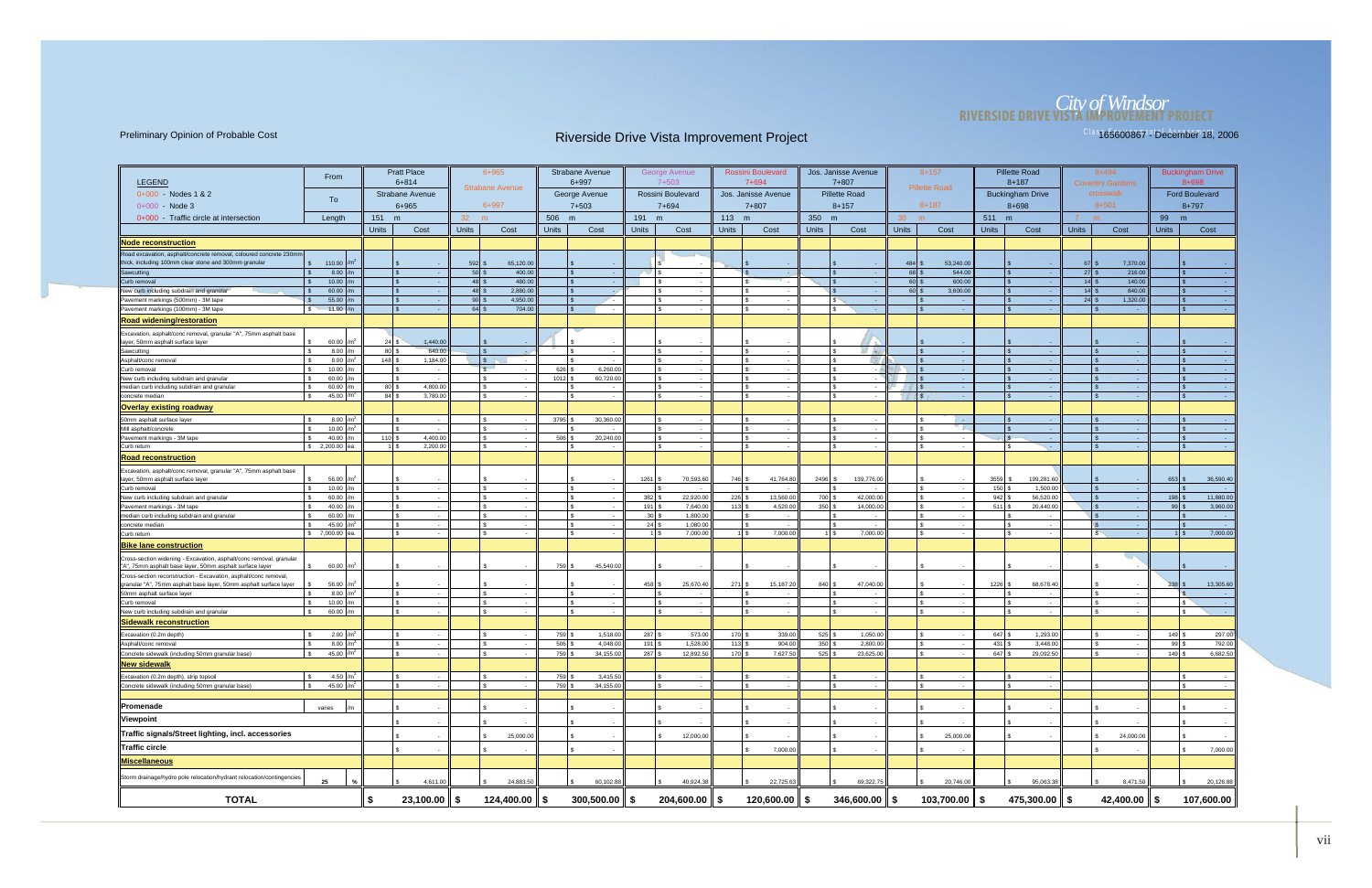# *City of Windsor* **RIVERSIDE DRIVE VISTA IMPROVEMENT PROJECT**

| <b>LEGEND</b>                                                                                                                         | From                           |                                | <b>Pratt Place</b><br>$6 + 814$ |                 | $6 + 965$                       |              | <b>Strabane Avenue</b><br>$6 + 997$ |                 | George Avenue<br>7+503 |              | <b>Rossini Boulevard</b><br>$7 + 694$ |              | Jos. Janisse Avenue<br>$7 + 807$ |                     | $8 + 157$              |                                       | <b>Pillette Road</b><br>$8 + 187$ |                               | 8+494<br><b>Coventry Gardens</b> |              | <b>Buckingham Drive</b><br>8+698 |
|---------------------------------------------------------------------------------------------------------------------------------------|--------------------------------|--------------------------------|---------------------------------|-----------------|---------------------------------|--------------|-------------------------------------|-----------------|------------------------|--------------|---------------------------------------|--------------|----------------------------------|---------------------|------------------------|---------------------------------------|-----------------------------------|-------------------------------|----------------------------------|--------------|----------------------------------|
| 0+000 Nodes 1 & 2                                                                                                                     |                                |                                | <b>Strabane Avenue</b>          |                 | <b>Strabane Avenue</b>          |              | George Avenue                       |                 | Rossini Boulevard      |              | Jos. Janisse Avenue                   |              | <b>Pillette Road</b>             |                     | <b>Pillette Road</b>   |                                       | <b>Buckingham Drive</b>           |                               | crosswalk                        |              | <b>Ford Boulevard</b>            |
| 0+000 - Node 3                                                                                                                        | To                             |                                | 6+965                           |                 | 6+997                           |              | $7 + 503$                           |                 | 7+694                  |              | $7 + 807$                             |              | $8 + 157$                        |                     | $8 + 187$              |                                       | 8+698                             |                               | $8 + 501$                        |              | $8 + 797$                        |
| 0+000 - Traffic circle at intersection                                                                                                | Length                         | 151                            | m                               | 32 <sup>2</sup> | m                               | 506 m        |                                     | 191 m           |                        | $113$ m      |                                       | 350 m        |                                  | 30 <sup>2</sup>     | m                      | 511 m                                 |                                   | 7<br>m                        |                                  | 99<br>m      |                                  |
|                                                                                                                                       |                                | <b>Units</b>                   | Cost                            | <b>Units</b>    | Cost                            | <b>Units</b> | Cost                                | <b>Units</b>    | Cost                   | <b>Units</b> | Cost                                  | <b>Units</b> | Cost                             | <b>Units</b>        | Cost                   | <b>Units</b>                          | Cost                              | <b>Units</b>                  | Cost                             | <b>Units</b> | Cost                             |
| Node reconstruction                                                                                                                   |                                |                                |                                 |                 |                                 |              |                                     |                 |                        |              |                                       |              |                                  |                     |                        |                                       |                                   |                               |                                  |              |                                  |
| Road excavation, asphalt/concrete removal, coloured concrete 230mn                                                                    |                                |                                |                                 |                 |                                 |              |                                     |                 |                        |              |                                       |              |                                  |                     |                        |                                       |                                   |                               |                                  |              |                                  |
| thick, including 100mm clear stone and 300mm granular                                                                                 | \$ 110.00                      |                                |                                 | 592             | 65,120.00                       |              |                                     |                 |                        |              |                                       |              |                                  | $484$ $\frac{9}{3}$ | 53,240.00              |                                       |                                   | $67$ $\overline{\phantom{0}}$ | 7,370.00                         |              |                                  |
| Sawcutting                                                                                                                            | 8.00                           |                                | $\sim$ $\sim$                   |                 | $50$ \$<br>400.00               |              | $\sim$                              |                 |                        |              | - 4                                   |              | $\sim$                           | 68 \$               | 544.00                 |                                       | <b>College</b>                    | $27$ \$                       | 216.00                           |              |                                  |
| Curb removal                                                                                                                          | 10.00                          |                                |                                 |                 | $48$ \$<br>480.00               |              |                                     |                 |                        |              | - 4                                   |              | $\sim$                           | $60$ \$             | 600.00                 |                                       |                                   | 14S                           | 140.00                           |              |                                  |
| New curb including subdrain and granular                                                                                              | 60.00                          |                                | l \$                            |                 | $48$ \$<br>2,880.00<br>4,950.00 |              | $\mathbf{S}$                        |                 |                        |              | $\sim$                                |              | $\sim$ $-$                       | $60$ \$             | 3,600.00               |                                       | - 14                              | $14$ \$                       | 840.00                           |              |                                  |
| Pavement markings (500mm) - 3M tape<br>Pavement markings (100mm) - 3M tape                                                            | 55.00<br>$\mathbf{s}$<br>11.00 |                                | l \$                            |                 | $90$ \$<br>$64$ \$<br>704.00    |              |                                     |                 |                        |              | $\sim$                                |              | - \$<br>$\sim$<br>- 4            |                     | $\sim$                 |                                       |                                   | $24$ \$                       | 1,320.00<br>- 1                  |              |                                  |
| <b>Road widening/restoration</b>                                                                                                      |                                |                                |                                 |                 |                                 |              |                                     |                 |                        |              |                                       |              |                                  |                     |                        |                                       |                                   |                               |                                  |              |                                  |
|                                                                                                                                       |                                |                                |                                 |                 |                                 |              |                                     |                 |                        |              |                                       |              |                                  |                     |                        |                                       |                                   |                               |                                  |              |                                  |
| Excavation, asphalt/conc removal, granular "A", 75mm asphalt base<br>layer, 50mm asphalt surface layer                                | 60.00                          | 24                             | 1,440.00                        |                 |                                 |              |                                     |                 |                        |              |                                       |              |                                  |                     |                        |                                       |                                   |                               |                                  |              |                                  |
| Sawcutting                                                                                                                            | 8.00                           | $80$ \$                        | 640.00                          |                 |                                 |              |                                     |                 |                        |              |                                       |              | F 80                             |                     |                        |                                       |                                   |                               |                                  |              |                                  |
| Asphalt/conc removal                                                                                                                  | 8.00                           | $148$ $\overline{\phantom{1}}$ | 1,184.00                        |                 | s                               |              |                                     |                 |                        |              |                                       |              | <b>EV</b>                        |                     | $\sim$                 |                                       |                                   |                               |                                  |              |                                  |
| Curb removal                                                                                                                          | 10.00                          |                                |                                 |                 | $\mathbb{S}$                    | 626          | 6,260.00                            |                 |                        |              |                                       |              | $\sim$                           |                     |                        |                                       |                                   |                               |                                  |              |                                  |
| New curb including subdrain and granular<br>median curb including subdrain and granular                                               | 60.00                          |                                | l s<br>$\sim$<br>4,800.00       |                 | £.                              | 1012         | 60,720.00                           |                 |                        |              | $\sim$                                |              | $\sim$                           |                     | <b>Contract</b>        |                                       | . .                               |                               |                                  |              |                                  |
| concrete median                                                                                                                       | 60.00<br>45.00                 | 80 \$<br>$84$ \$               | 3,780.00                        |                 | \$                              |              | . .                                 |                 |                        |              | $\sim$                                |              | $\sim$<br>$\sim$                 | <b>SIE</b>          | $\sim$<br>- 4          |                                       | - 1                               |                               | $\sim$                           |              |                                  |
| <b>Overlay existing roadway</b>                                                                                                       |                                |                                |                                 |                 |                                 |              |                                     |                 |                        |              |                                       |              |                                  |                     |                        |                                       |                                   |                               |                                  |              |                                  |
|                                                                                                                                       |                                |                                |                                 |                 |                                 |              |                                     |                 |                        |              |                                       |              |                                  |                     |                        |                                       |                                   |                               |                                  |              |                                  |
| 50mm asphalt surface layer<br>Mill asphalt/concrete                                                                                   | 8.00<br>10.00                  |                                | $\sim$                          |                 | $\sim$                          | 3795         | 30,360.00<br>$\sim$                 |                 |                        |              | $\sim$                                |              | $\sim 10^{-1}$                   |                     | <b>Contract</b><br>198 |                                       | $\sim$ $-$                        |                               | $\sim$                           |              |                                  |
| Pavement markings - 3M tape                                                                                                           | 40.00                          | 110S                           | 4,400.00                        |                 |                                 | 506          | 20,240.00                           |                 |                        |              |                                       |              |                                  |                     |                        |                                       |                                   |                               |                                  |              |                                  |
| Curb return                                                                                                                           | \$2,200.00                     |                                | 2,200.00<br>$1$ $\bar{s}$       |                 | \$.                             |              |                                     |                 |                        |              |                                       |              | $\sim$                           |                     |                        |                                       | s.                                |                               |                                  |              |                                  |
| <u>Road reconstruction</u>                                                                                                            |                                |                                |                                 |                 |                                 |              |                                     |                 |                        |              |                                       |              |                                  |                     |                        |                                       |                                   |                               |                                  |              |                                  |
| Excavation, asphalt/conc removal, granular "A", 75mm asphalt base                                                                     |                                |                                |                                 |                 |                                 |              |                                     |                 |                        |              |                                       |              |                                  |                     |                        |                                       |                                   |                               |                                  |              |                                  |
| layer, 50mm asphalt surface layer<br>Curb removal                                                                                     | 56.00                          |                                | ۱s.                             |                 | \$                              |              | $\mathcal{R}$                       | 1261            | 70,593.60              | 746 \$       | 41,764.80                             | 2496         | 139,776.00                       |                     |                        | 3559                                  | 199.281.60                        |                               |                                  | 653          | 36,590.40                        |
| New curb including subdrain and granular                                                                                              | 10.00<br>- \$<br>60.00         |                                | ١s                              |                 | £.                              |              |                                     | 382             | 22,920.00              | 226S         | 13,560.00                             | 700 \$       | ٠.<br>42,000.00                  |                     |                        | $150$ \$<br>$942 \overline{\text{S}}$ | 1,500.00<br>56,520.00             |                               | $\sim$                           | 198          | 11,880.00                        |
| Pavement markings - 3M tape                                                                                                           | 40.00                          |                                | l s                             |                 |                                 |              |                                     | 191             | 7,640.00               | 113          | 4,520.00                              | 350          | 14,000.00                        |                     |                        | $511$ \ \$                            | 20,440.00                         |                               |                                  | 99           | 3,960.00                         |
| median curb including subdrain and granular                                                                                           | 60.00                          |                                | l s                             |                 |                                 |              |                                     | 30 <sup>1</sup> | 1,800.00               |              | $\sim$                                |              | $\sim$                           |                     |                        |                                       | $\sim$                            |                               |                                  |              |                                  |
| Concrete median                                                                                                                       | 45.00                          |                                |                                 |                 |                                 |              |                                     | 24              | 1,080.00               |              |                                       |              | ٠.                               |                     |                        |                                       |                                   |                               | $\sim$                           |              |                                  |
| Curb return                                                                                                                           | \$7,000.00                     |                                |                                 |                 |                                 |              |                                     |                 | 7,000.00               |              | 7,000.00                              |              | 7,000.00<br>$1$ \ $\frac{6}{3}$  |                     |                        |                                       | $\sim$                            |                               | $\sim$                           |              | 7,000.00                         |
| <b>Bike lane construction</b>                                                                                                         |                                |                                |                                 |                 |                                 |              |                                     |                 |                        |              |                                       |              |                                  |                     |                        |                                       |                                   |                               |                                  |              |                                  |
| Cross-section widening - Excavation, asphalt/conc removal, granular<br>"A", 75mm asphalt base layer, 50mm asphalt surface layer       | 60.00                          |                                |                                 |                 |                                 | 759          | 45,540.00                           |                 |                        |              |                                       |              |                                  |                     |                        |                                       |                                   |                               |                                  |              |                                  |
| Cross-section reconstruction - Excavation, asphalt/conc removal,<br>granular "A", 75mm asphalt base layer, 50mm asphalt surface layer | 56.00                          |                                |                                 |                 |                                 |              |                                     | 458             | 25,670.40              | 271          | 15,187.20                             | 840          | 47,040.00                        |                     |                        | 1226                                  | 68,678.40                         |                               |                                  | 238          | 13,305.60                        |
| 50mm asphalt surface layer                                                                                                            | 8.00                           |                                |                                 |                 |                                 |              | $\sim$                              |                 |                        |              | $\sim$                                |              | $\sim$                           |                     | $\sim$                 |                                       | $\sim$                            |                               |                                  |              |                                  |
| Curb removal                                                                                                                          | 10.00                          |                                |                                 |                 |                                 |              |                                     |                 |                        |              |                                       |              | $\sim$                           |                     |                        |                                       | $\sim$                            |                               |                                  |              |                                  |
| New curb including subdrain and granular                                                                                              | 60.00                          |                                |                                 |                 |                                 |              |                                     |                 |                        |              |                                       |              | $\sim$                           |                     |                        |                                       |                                   |                               |                                  |              |                                  |
| <b>Sidewalk reconstruction</b>                                                                                                        |                                |                                |                                 |                 |                                 |              |                                     |                 |                        |              |                                       |              |                                  |                     |                        |                                       |                                   |                               |                                  |              |                                  |
| Excavation (0.2m depth)                                                                                                               | 2.00                           |                                |                                 |                 |                                 | 759          | 1,518.00                            | 287             | 573.00                 | 170          | 339.00                                | 525          | 1,050.00                         |                     |                        | 647                                   | 1,293.00                          |                               |                                  | 149          | 297.00                           |
| Asphalt/conc removal                                                                                                                  | 8.00                           |                                | l s                             |                 | $\sim$                          | 506          | 4,048.00                            | 191             | 1,528.00               | 113          | 904.00                                | 350          | 2,800.00                         |                     |                        | 431                                   | 3,448.00                          |                               |                                  | 99           | 792.00                           |
| Concrete sidewalk (including 50mm granular base)                                                                                      | 45.00 $/m2$                    |                                |                                 |                 |                                 | 759          | 34,155.00                           | 287             | 12,892.50              | 170 \$       | 7,627.50                              | 525          | 23,625.00                        |                     |                        | 647                                   | 29,092.50                         |                               |                                  | $149$ :      | 6,682.50                         |
| New sidewalk                                                                                                                          |                                |                                |                                 |                 |                                 |              |                                     |                 |                        |              |                                       |              |                                  |                     |                        |                                       |                                   |                               |                                  |              |                                  |
| Excavation (0.2m depth), strip topsoil                                                                                                | 4.50 /m <sup>2</sup>           |                                |                                 |                 |                                 | 759 \$       | 3,415.50                            |                 |                        |              |                                       |              |                                  |                     |                        |                                       |                                   |                               |                                  |              |                                  |
| Concrete sidewalk (including 50mm granular base)                                                                                      | 45.00 / $m^2$                  |                                |                                 |                 |                                 | 759 \$       | 34,155.00                           |                 |                        |              |                                       |              | $\sim$                           |                     |                        |                                       |                                   |                               |                                  |              |                                  |
| Promenade                                                                                                                             |                                |                                |                                 |                 |                                 |              |                                     |                 |                        |              |                                       |              |                                  |                     |                        |                                       |                                   |                               |                                  |              |                                  |
|                                                                                                                                       | varies                         |                                |                                 |                 |                                 |              |                                     |                 |                        |              |                                       |              |                                  |                     |                        |                                       |                                   |                               |                                  |              |                                  |
| Viewpoint                                                                                                                             |                                |                                |                                 |                 |                                 |              |                                     |                 |                        |              |                                       |              |                                  |                     |                        |                                       |                                   |                               |                                  |              |                                  |
| Traffic signals/Street lighting, incl. accessories                                                                                    |                                |                                |                                 |                 | 25,000.00                       |              |                                     |                 | 12,000.00              |              |                                       |              |                                  |                     | 25,000.00              |                                       |                                   |                               | 24,000.00                        |              |                                  |
| Traffic circle                                                                                                                        |                                |                                |                                 |                 |                                 |              |                                     |                 |                        |              | 7,000.00                              |              |                                  |                     |                        |                                       |                                   |                               |                                  |              | 7,000.00                         |
| Miscellaneous                                                                                                                         |                                |                                |                                 |                 |                                 |              |                                     |                 |                        |              |                                       |              |                                  |                     |                        |                                       |                                   |                               |                                  |              |                                  |
| Storm drainage/hydro pole relocation/hydrant relocation/contingencies                                                                 | 25                             |                                | 4,611.00                        |                 | 24,883.50                       |              | 60,102.88                           |                 | 40,924.38              |              | 22,725.63                             |              | 69,322.75                        |                     | 20,746.00              |                                       | 95,063.38                         |                               | 8,471.50                         |              | 20,126.88                        |
| <b>TOTAL</b>                                                                                                                          |                                | \$                             | $23,100.00$ \$                  |                 | $124,400.00$ \$                 |              | $300,500.00$ \$                     |                 | $204,600.00$ \$        |              | 120,600.00 $\ $ \$                    |              | $346,600.00$ \$                  |                     | $103,700.00$ \$        |                                       | 475,300.00 $\parallel$ \$         |                               | 42,400.00 $\ $ \$                |              | 107,600.00                       |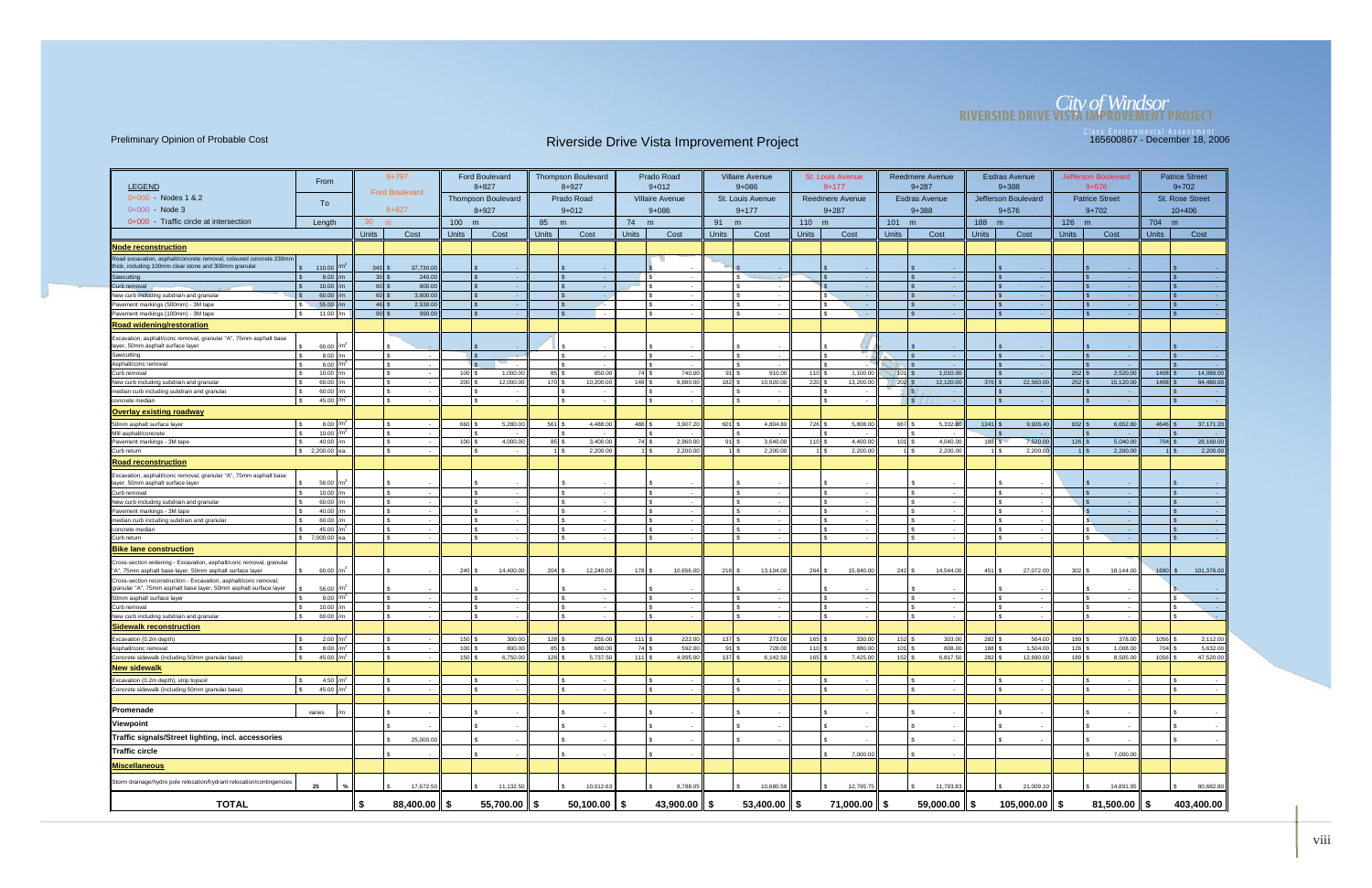# *City of Windsor* **RIVERSIDE DRIVE VISTA IMPROVEMENT PROJECT**

|                                                                                                                                       |                          |                    | $8 + 797$                  |                                | <b>Ford Boulevard</b>     |                      | <b>Thompson Boulevard</b> |                  | Prado Road                  |                   | <b>Villaire Avenue</b>   |                     | <b>St. Louis Avenue</b> |                              | Reedmere Avenue          |                            | <b>Esdras Avenue</b>     |                    | Jefferson Boulevard   |                 | <b>Patrice Street</b>  |
|---------------------------------------------------------------------------------------------------------------------------------------|--------------------------|--------------------|----------------------------|--------------------------------|---------------------------|----------------------|---------------------------|------------------|-----------------------------|-------------------|--------------------------|---------------------|-------------------------|------------------------------|--------------------------|----------------------------|--------------------------|--------------------|-----------------------|-----------------|------------------------|
| <b>LEGEND</b>                                                                                                                         | From                     |                    |                            |                                | $8 + 827$                 |                      | $8 + 927$                 |                  | $9 + 012$                   |                   | $9 + 086$                |                     | $9 + 177$               |                              | $9 + 287$                |                            | $9 + 388$                |                    | $9 + 576$             |                 | $9+702$                |
| $0+000 -$ Nodes 1 & 2                                                                                                                 |                          |                    | <b>Ford Boulevard</b>      |                                | <b>Thompson Boulevard</b> |                      | Prado Road                |                  | <b>Villaire Avenue</b>      |                   | St. Louis Avenue         |                     | <b>Reedmere Avenue</b>  |                              | <b>Esdras Avenue</b>     |                            | Jefferson Boulevard      |                    | <b>Patrice Street</b> |                 | <b>St. Rose Street</b> |
| $0+000$ - Node 3                                                                                                                      | To                       |                    | $8 + 827$                  |                                | $8 + 927$                 |                      | $9 + 012$                 |                  | $9 + 086$                   |                   | $9 + 177$                |                     | $9 + 287$               |                              | $9 + 388$                |                            | $9 + 576$                |                    | $9 + 702$             |                 | $10+406$               |
| 0+000 Traffic circle at intersection                                                                                                  | Length                   | 30                 | m                          | 100 m                          |                           | 85 m                 |                           | 74 m             |                             | 91                | m                        | $110 \text{ m}$     |                         | 101                          | m                        | 188 m                      |                          | 126 m              |                       | 704 m           |                        |
|                                                                                                                                       |                          | <b>Units</b>       | Cost                       | <b>Units</b>                   | Cost                      | <b>Units</b>         | Cost                      | <b>Units</b>     | Cost                        | <b>Units</b>      | Cost                     | <b>Units</b>        | Cost                    | <b>Units</b>                 | Cost                     | <b>Units</b>               | Cost                     | <b>Units</b>       | Cost                  | <b>Units</b>    | Cost                   |
|                                                                                                                                       |                          |                    |                            |                                |                           |                      |                           |                  |                             |                   |                          |                     |                         |                              |                          |                            |                          |                    |                       |                 |                        |
| <b>Node reconstruction</b><br>Road excavation, asphalt/concrete removal, coloured concrete 230mm                                      |                          |                    |                            |                                |                           |                      |                           |                  |                             |                   |                          |                     |                         |                              |                          |                            |                          |                    |                       |                 |                        |
| ick, including 100mm clear stone and 300mm granular                                                                                   | 110.00                   | $343$ \$           | 37,730.00                  |                                |                           |                      |                           |                  |                             |                   |                          |                     | $\sim$                  |                              |                          |                            |                          |                    |                       |                 |                        |
| Sawcutting                                                                                                                            | 8.00                     | 30S                | 240.00                     |                                |                           |                      |                           |                  | $\sqrt{s}$                  |                   |                          |                     | $\sim$                  |                              | $\sim$                   |                            |                          |                    |                       |                 |                        |
| Curb removal                                                                                                                          | 10.00                    | 60 \$              | 600.00                     |                                |                           |                      |                           |                  | l s                         |                   | . .                      |                     | - 1                     |                              | $\sim$                   |                            |                          |                    |                       | $\sqrt{3}$      |                        |
| New curb including subdrain and granular<br>Pavement markings (500mm) - 3M tape                                                       | 60.00<br>55.00           | $60$ \$<br>$46$ \$ | 3,600.00<br>2,530.00       |                                |                           |                      |                           |                  | l s                         |                   |                          |                     | $\sim$<br>$\sim$        |                              | I S<br>$\sim$            |                            |                          |                    |                       | <b>S</b>        |                        |
| Pavement markings (100mm) - 3M tape                                                                                                   | 11.00                    | $90$ \$            | 990.00                     |                                |                           |                      |                           |                  | Ιs                          |                   |                          |                     | o ko                    |                              | $\sim$                   |                            |                          |                    |                       |                 |                        |
| <b>Road widening/restoration</b>                                                                                                      |                          |                    |                            |                                |                           |                      |                           |                  |                             |                   |                          |                     |                         |                              |                          |                            |                          |                    |                       |                 |                        |
| Excavation, asphalt/conc removal, granular "A", 75mm asphalt base                                                                     |                          |                    |                            |                                |                           |                      |                           |                  |                             |                   |                          |                     |                         |                              |                          |                            |                          |                    |                       |                 |                        |
| layer, 50mm asphalt surface layer                                                                                                     | 60.00                    |                    |                            |                                |                           |                      |                           |                  |                             |                   |                          |                     |                         |                              |                          |                            |                          |                    |                       |                 |                        |
| Sawcutting                                                                                                                            | $8.00$ /m                |                    |                            |                                |                           |                      |                           |                  | Is                          |                   | $\sim$                   |                     |                         |                              | - 1                      |                            |                          |                    |                       |                 | $\sim$                 |
| Asphalt/conc removal<br>Curb removal                                                                                                  | 8.00<br>10.00            |                    | l s                        | $100$ $\sqrt{2}$               | 1,000.00                  | $85$ \ $\frac{1}{3}$ | 850.00                    | 74 S             | 740.00                      | 91                | 910.00                   | $110$ $\frac{1}{3}$ | 1,100.00                | $101$ S                      | 1,010.00                 |                            |                          | $252$ :            | 2,520.00              | 1408            | 14,080.00              |
| New curb including subdrain and granular                                                                                              | 60.00 $/m$               |                    |                            | $200$ \$                       | 12,000.00                 | $170$ \$             | 10,200.00                 | 148S             | 8,880.00                    | $182$ $\pm$       | 10,920.00                | $220$ :             | 13,200.00               | $202$ $\sqrt{s}$             | 12,120.00                | 376                        | 22,560.00                | 252                | 15,120.00             | 1408            | 84,480.00              |
| median curb including subdrain and granular                                                                                           | 60.00                    |                    | IS.                        |                                |                           |                      |                           |                  | I S                         |                   |                          |                     |                         |                              | $\sqrt{S}$<br>$\sim$     |                            |                          |                    |                       |                 |                        |
| concrete median                                                                                                                       | 45.00 /m <sup>2</sup>    |                    | l s<br>$\sim$              |                                | $\sim$                    |                      | $\sim$                    |                  | l s<br>$\sim$               |                   | $\overline{\phantom{a}}$ |                     | $\sim$                  |                              | $\sqrt{s}$<br>$\sim$ $-$ |                            | $\sim$                   |                    | $\sim$                | $\sqrt{3}$      | $\sim$                 |
| <b>Overlay existing roadway</b>                                                                                                       |                          |                    |                            |                                |                           |                      |                           |                  |                             |                   |                          |                     |                         |                              |                          |                            |                          |                    |                       |                 |                        |
| 50mm asphalt surface layer                                                                                                            | 8.00                     |                    | l s                        | 660                            | 5,280.00                  | 561                  | 4,488.00                  | 488              | 3,907.2                     | 601               | 4,804.80                 | 726                 | 5,808.00                | 667                          | 5,332.80                 | 1241                       | 9,926.40                 | $832$ :            | 6,652.8               | $4646$ \ \;     | 37,171.20              |
| Mill asphalt/concrete                                                                                                                 | 10.00 $/m2$              |                    |                            |                                |                           |                      |                           |                  |                             |                   |                          |                     |                         |                              |                          |                            |                          |                    |                       |                 |                        |
| Pavement markings - 3M tape<br>Curb return                                                                                            | 40.00<br>$$2,200.00$ ea. |                    | $\sqrt{3}$                 | $100$ $\frac{1}{3}$            | 4.000.00                  | $85$ $\sqrt{S}$      | 3.400.00<br>2,200.00      | 74S              | 2.960.00<br>2,200.00<br>1 S | $91$ s            | 3.640.00<br>2,200.0      | $110$ s             | 4.400.00<br>2,200.0     | $101$ s<br>1 I S             | 4.040.00<br>2,200.00     | $188$ $S$                  | 7,520.00<br>2,200.0      | 126                | 5.040.00<br>2,200.00  | $704$ \$<br>11S | 28,160.00<br>2,200.00  |
| <b>Road reconstruction</b>                                                                                                            |                          |                    |                            |                                |                           |                      |                           |                  |                             |                   |                          |                     |                         |                              |                          |                            |                          |                    |                       |                 |                        |
|                                                                                                                                       |                          |                    |                            |                                |                           |                      |                           |                  |                             |                   |                          |                     |                         |                              |                          |                            |                          |                    |                       |                 |                        |
| Excavation, asphalt/conc removal, granular "A", 75mm asphalt base<br>layer, 50mm asphalt surface layer                                | 56.00 /m <sup>2</sup>    |                    |                            |                                |                           |                      |                           |                  |                             |                   |                          |                     |                         |                              |                          |                            |                          |                    |                       |                 |                        |
| Curb removal                                                                                                                          | 10.00                    |                    | Is                         |                                |                           |                      |                           |                  | ١s                          |                   |                          |                     |                         |                              |                          |                            |                          |                    |                       |                 |                        |
| New curb including subdrain and granular                                                                                              | 60.00                    |                    | Ιs                         |                                |                           |                      |                           |                  | Ι۹                          |                   |                          |                     | $\sim$                  |                              | Ι۹<br>$\sim$             |                            |                          |                    |                       |                 |                        |
| Pavement markings - 3M tape<br>median curb including subdrain and granular                                                            | 40.00<br>60.00           |                    |                            |                                |                           |                      |                           |                  |                             |                   |                          |                     |                         |                              | $\sim$                   |                            |                          |                    |                       |                 |                        |
| concrete media                                                                                                                        | 45.00                    |                    |                            |                                |                           |                      |                           |                  |                             |                   |                          |                     |                         |                              |                          |                            |                          |                    |                       |                 |                        |
| Curb return                                                                                                                           | \$ 7,000.00 ea.          |                    | $\sqrt{3}$                 | -96                            |                           |                      |                           |                  | l s                         |                   | ٠.                       |                     | $\sim$                  |                              | l s<br>$\sim$            |                            |                          |                    | $\sim$                | $\mathcal{S}$   |                        |
| <b>Bike lane construction</b>                                                                                                         |                          |                    |                            |                                |                           |                      |                           |                  |                             |                   |                          |                     |                         |                              |                          |                            |                          |                    |                       |                 |                        |
| Cross-section widening - Excavation, asphalt/conc removal, granular<br>"A", 75mm asphalt base layer, 50mm asphalt surface layer       | 60.00                    |                    | $\mathbb{R}$               | $240$ $\overline{\phantom{0}}$ | 14,400.00                 | $204$ \$             | 12,240.00                 | $178$ $\sqrt{5}$ | 10,656.00                   | $218$ $\sqrt{5}$  | 13,104.00                | $264$ \$            | 15,840.00               | $242$ \$                     | 14,544.00                | $451$ \ \$                 | 27,072.00                | $302$ \$           | 18,144.00             | $1690$ \$       | 101,376.00             |
| Cross-section reconstruction - Excavation, asphalt/conc removal,<br>granular "A", 75mm asphalt base layer, 50mm asphalt surface layer | 56.00 /m <sup>2</sup>    |                    |                            |                                |                           |                      |                           |                  |                             |                   |                          |                     |                         |                              |                          |                            |                          |                    |                       |                 |                        |
| 50mm asphalt surface layer                                                                                                            | 8.00 $/m2$               |                    |                            |                                |                           |                      |                           |                  | Ι۹                          |                   |                          |                     |                         |                              |                          |                            |                          |                    |                       | l s             |                        |
| Curb removal                                                                                                                          | 10.00                    |                    | l s                        |                                |                           |                      |                           |                  | l s                         |                   |                          |                     | $\sim$                  |                              | l s<br>$\sim$            |                            |                          |                    |                       | l s             | <b>College</b>         |
| New curb including subdrain and granular                                                                                              | 60.00 $/m$               |                    | l s                        |                                | $\sim$                    |                      |                           |                  | l s                         |                   | $\sim$                   |                     | $\sim$                  |                              | Is<br>$\sim$             |                            | $\overline{\phantom{a}}$ |                    | $\sim$                | I ۾             | S.                     |
| <b>Sidewalk reconstruction</b>                                                                                                        |                          |                    |                            |                                |                           |                      |                           |                  |                             |                   |                          |                     |                         |                              |                          |                            |                          |                    |                       |                 |                        |
| Excavation (0.2m depth)                                                                                                               | $2.00$ /m <sup>2</sup>   |                    |                            | 150                            | 300.00                    | 128                  | 255.00                    | $111$ $\sqrt{3}$ | 222.00                      | 137               | 273.00                   | 165                 | 330.00                  | $152$ $\pm$                  | 303.00                   | 282                        | 564.00                   | 189                | 378.00                | 1056            | 2,112.00               |
| Asphalt/conc removal<br>Concrete sidewalk (including 50mm granular base)                                                              | 8.00<br>45.00 $/m2$      |                    |                            | 100<br>$150$ $\pm$             | 800.00<br>6,750.00        | $85$ \$<br>$128$ \$  | 680.00<br>5.737.50        | 74S<br>111S      | 592.00<br>4.995.00          | $91$ :<br>$137$ s | 728.00<br>6.142.50       | $110$ s<br>$165$ \$ | 880.00<br>7,425.00      | $101$ $\sqrt{5}$<br>$152$ \$ | 808.00<br>6,817,50       | 188<br>$282$ $\frac{1}{3}$ | 1,504.00<br>12,690.00    | $126$ :<br>$189$ : | 1,008.00<br>8,505.00  | 704<br>1056     | 5,632.00<br>47,520.00  |
| <b>New sidewalk</b>                                                                                                                   |                          |                    |                            |                                |                           |                      |                           |                  |                             |                   |                          |                     |                         |                              |                          |                            |                          |                    |                       |                 |                        |
| Excavation (0.2m depth), strip topsoil                                                                                                | 4.50 $/m2$               |                    | l s                        |                                |                           |                      |                           |                  | l s                         |                   |                          |                     |                         |                              |                          |                            |                          |                    |                       |                 |                        |
| Concrete sidewalk (including 50mm granular base)                                                                                      | 45.00 $/m2$              |                    | l s                        |                                |                           |                      |                           |                  | l s                         |                   |                          |                     |                         |                              | Is                       |                            |                          |                    |                       | I ۾             |                        |
|                                                                                                                                       |                          |                    |                            |                                |                           |                      |                           |                  |                             |                   |                          |                     |                         |                              |                          |                            |                          |                    |                       |                 |                        |
| Promenade                                                                                                                             | varies                   |                    |                            |                                |                           |                      |                           |                  |                             |                   |                          |                     |                         |                              |                          |                            |                          |                    |                       |                 |                        |
| Viewpoint                                                                                                                             |                          |                    |                            |                                |                           |                      |                           |                  |                             |                   |                          |                     |                         |                              |                          |                            |                          |                    |                       |                 |                        |
| Traffic signals/Street lighting, incl. accessories                                                                                    |                          |                    | 25,000.00                  |                                |                           |                      |                           |                  |                             |                   |                          |                     |                         |                              |                          |                            |                          |                    |                       |                 |                        |
| Traffic circle                                                                                                                        |                          |                    |                            |                                |                           |                      |                           |                  |                             |                   |                          |                     | 7,000.00                |                              |                          |                            |                          |                    | 7,000.00              |                 |                        |
| Miscellaneous                                                                                                                         |                          |                    |                            |                                |                           |                      |                           |                  |                             |                   |                          |                     |                         |                              |                          |                            |                          |                    |                       |                 |                        |
| Storm drainage/hydro pole relocation/hydrant relocation/contingencies                                                                 |                          |                    |                            |                                |                           |                      |                           |                  |                             |                   |                          |                     |                         |                              |                          |                            |                          |                    |                       |                 |                        |
|                                                                                                                                       | 25                       |                    | 17,672.50                  |                                | 11,132.50                 |                      | 10,012.63                 |                  | 8,788.05                    |                   | 10,680.58                |                     | 12,795.75               |                              | 11,793.83                |                            | 21,009.10                |                    | 14,891.95             |                 | 80,682.80              |
| <b>TOTAL</b>                                                                                                                          |                          | \$                 | $88,400.00$ $\parallel$ \$ |                                | 55,700.00 $\ \$$          |                      | $50,100.00$   \$          |                  | 43,900.00 $\parallel$ \$    |                   | 53,400.00 $\ $ \$        |                     | 71,000.00 ∥ \$          |                              | 59,000.00 $\ $ \$        |                            | $105,000.00$   \$        |                    | $81,500.00$   \$      |                 | 403,400.00             |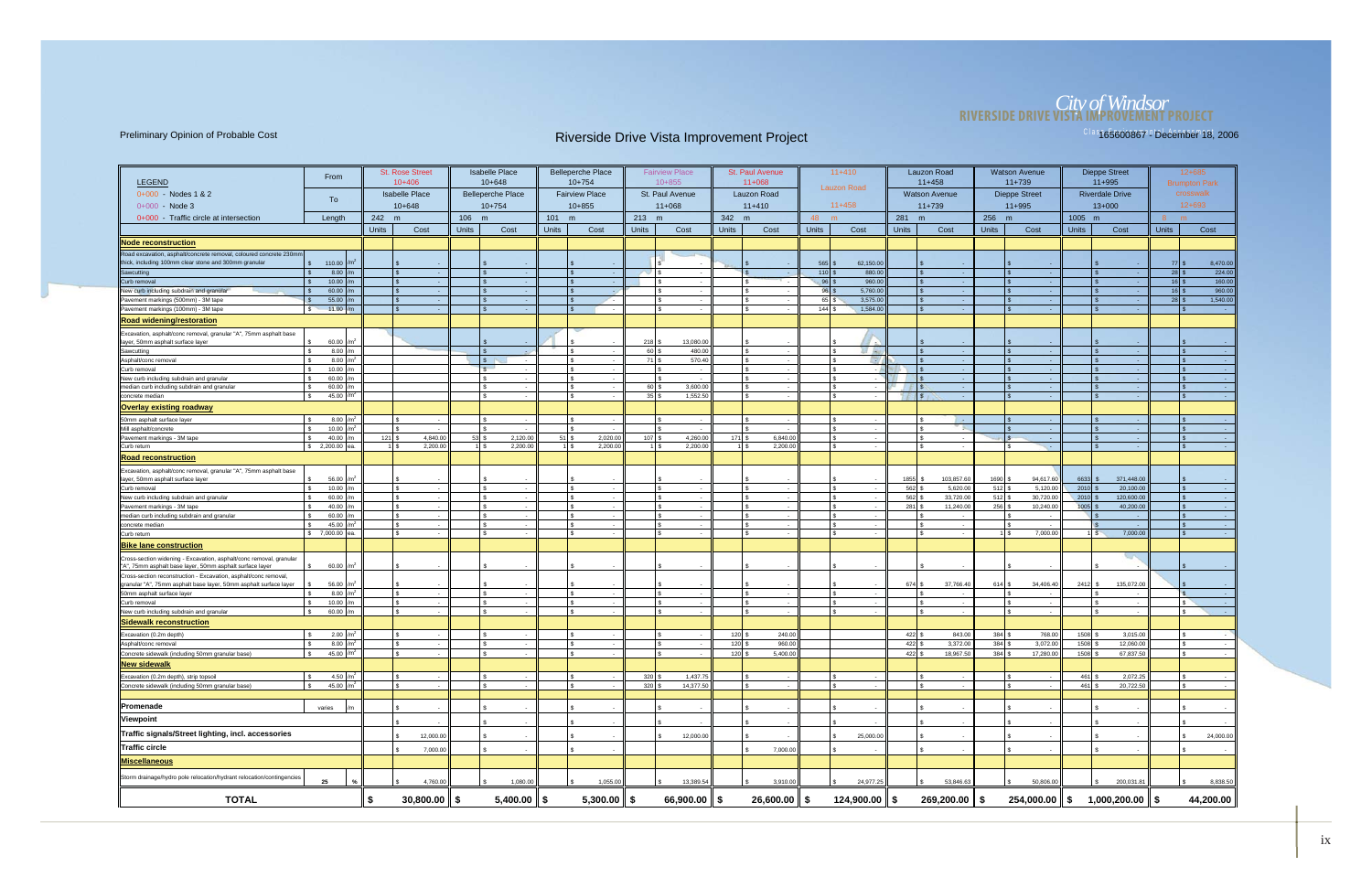# *City of Windsor* **RIVERSIDE DRIVE VISTA IMPROVEMENT PROJECT**

|                                                                                                                                       |                               |              | <b>St. Rose Street</b> |                          |                         | <b>Isabelle Place</b>    |                           | <b>Belleperche Place</b> |                           | <b>Fairview Place</b>      |                              | <b>St. Paul Avenue</b>     |                     | $11+410$           |                     | Lauzon Road                 |              | <b>Watson Avenue</b>  |                 | Dieppe Street                     |                 | $12 + 685$           |
|---------------------------------------------------------------------------------------------------------------------------------------|-------------------------------|--------------|------------------------|--------------------------|-------------------------|--------------------------|---------------------------|--------------------------|---------------------------|----------------------------|------------------------------|----------------------------|---------------------|--------------------|---------------------|-----------------------------|--------------|-----------------------|-----------------|-----------------------------------|-----------------|----------------------|
| <b>LEGEND</b>                                                                                                                         | From                          |              | $10+406$               |                          |                         | $10 + 648$               |                           | $10+754$                 |                           | $10 + 855$                 |                              | $11+068$                   |                     | <b>Lauzon Road</b> |                     | $11+458$                    |              | $11+739$              |                 | $11+995$                          |                 | <b>Brumpton Park</b> |
| 0+000 - Nodes 1 & 2                                                                                                                   | To                            |              | <b>Isabelle Place</b>  |                          |                         | <b>Belleperche Place</b> |                           | <b>Fairview Place</b>    |                           | St. Paul Avenue            |                              | <b>Lauzon Road</b>         |                     |                    |                     | <b>Watson Avenue</b>        |              | <b>Dieppe Street</b>  |                 | <b>Riverdale Drive</b>            |                 | crosswalk            |
| $0+000 - Node 3$                                                                                                                      |                               |              | $10+648$               |                          |                         | $10+754$                 |                           | $10+855$                 |                           | $11+068$                   |                              | $11+410$                   |                     | $11+458$           |                     | $11+739$                    |              | $11+995$              |                 | $13+000$                          |                 | $12+693$             |
| 0+000 - Traffic circle at intersection                                                                                                | Length                        | 242 m        |                        |                          | 106 m                   |                          | $101$ m                   |                          | 213                       | m                          | 342 m                        |                            | 48 m                |                    | 281 m               |                             | 256 m        |                       | 1005 m          |                                   | $8 \text{ m}$   |                      |
|                                                                                                                                       |                               | <b>Units</b> | Cost                   |                          | <b>Units</b>            | Cost                     | <b>Units</b>              | Cost                     | <b>Units</b>              | Cost                       | <b>Units</b>                 | Cost                       | <b>Units</b>        | Cost               | <b>Units</b>        | Cost                        | <b>Units</b> | Cost                  | <b>Units</b>    | Cost                              | <b>Units</b>    | Cost                 |
| <b>Node reconstruction</b>                                                                                                            |                               |              |                        |                          |                         |                          |                           |                          |                           |                            |                              |                            |                     |                    |                     |                             |              |                       |                 |                                   |                 |                      |
| Road excavation, asphalt/concrete removal, coloured concrete 230mm                                                                    |                               |              |                        |                          |                         |                          |                           |                          |                           |                            |                              |                            |                     |                    |                     |                             |              |                       |                 |                                   |                 |                      |
| thick, including 100mm clear stone and 300mm granular                                                                                 | \$ 110.00                     |              |                        |                          |                         |                          |                           |                          |                           |                            |                              |                            | $565$ \$            | 62,150.00          |                     |                             |              |                       |                 |                                   | $77$ \ \$       | 8,470.00             |
| Sawcutting                                                                                                                            | 8.00<br>10.00                 |              |                        | - 1                      | $\mathsf{S}$            |                          | l S<br>$\mathbf{\hat{s}}$ |                          | $\blacksquare$            |                            | $\overline{\text{S}}$<br>l s |                            | $110$ \$<br>$96$ \$ | 880.00<br>960.00   | l \$                |                             |              |                       |                 |                                   |                 | 224.00<br>160.00     |
| New curb including subdrain and granular                                                                                              | 60.00                         |              |                        | $\sim$                   |                         |                          |                           |                          |                           |                            |                              |                            | $96 \s$             | 5,760.00           |                     |                             |              |                       |                 | $\sim$                            | $16$ $\sqrt{5}$ | 960.00               |
| Pavement markings (500mm) - 3M tape                                                                                                   | 55.00                         |              |                        |                          | I s                     |                          | $\mathbf{s}$              |                          |                           |                            | I S.                         |                            | 65 \$               | 3,575.0            |                     |                             |              |                       |                 |                                   |                 | 1,540.00             |
| Pavement markings (100mm) - 3M tape                                                                                                   | 11.00<br>$\mathbf{s}$         |              | $\mathfrak{L}$         |                          | IS.                     |                          | <b>S</b>                  |                          |                           | l S                        |                              |                            | 144S                | 1,584.00           | l S                 |                             |              |                       |                 |                                   | l \$            |                      |
| <b>Road widening/restoration</b>                                                                                                      |                               |              |                        |                          |                         |                          |                           |                          |                           |                            |                              |                            |                     |                    |                     |                             |              |                       |                 |                                   |                 |                      |
| Excavation, asphalt/conc removal, granular "A", 75mm asphalt base                                                                     |                               |              |                        |                          |                         |                          |                           |                          |                           |                            |                              |                            |                     |                    |                     |                             |              |                       |                 |                                   |                 |                      |
| layer, 50mm asphalt surface layer                                                                                                     | 60.00<br>8.00                 |              |                        |                          |                         |                          |                           |                          | 218 <sup>5</sup><br>60 \$ | 13,080.00<br>480.00        | $\mathsf{ls}$                |                            |                     | EF Au              |                     |                             |              |                       |                 |                                   |                 |                      |
| Sawcutting<br>Asphalt/conc removal                                                                                                    | 8.00                          |              |                        |                          | s                       |                          | l s                       |                          | 71 S                      | 570.40                     | l s                          |                            |                     | <b>CRY</b>         |                     |                             |              |                       |                 | $\sim$                            |                 |                      |
| Curb removal                                                                                                                          | 10.00                         |              |                        |                          | $\mathbb{R}$            |                          | $\mathcal{F}$             |                          |                           |                            | l s                          |                            |                     |                    |                     |                             |              |                       |                 |                                   |                 |                      |
| New curb including subdrain and granular                                                                                              | 60.00                         |              |                        |                          |                         |                          |                           |                          |                           |                            | ا م                          |                            |                     |                    |                     |                             |              |                       |                 |                                   |                 |                      |
| median curb including subdrain and granular<br>concrete median                                                                        | 60.00<br>45.00                |              |                        |                          | l \$                    |                          | l \$<br><b>S</b>          |                          | 60 \$<br>35S              | 3,600.00<br>1,552.50       | $\sqrt{3}$                   |                            |                     | -S<br>$\sim$       | $\vert$ \$          |                             |              |                       |                 | - 4                               |                 |                      |
| <b>Overlay existing roadway</b>                                                                                                       |                               |              |                        |                          |                         |                          |                           |                          |                           |                            |                              |                            |                     |                    |                     |                             |              |                       |                 |                                   |                 |                      |
| 50mm asphalt surface layer                                                                                                            |                               |              |                        |                          |                         |                          |                           |                          |                           |                            |                              |                            |                     |                    |                     |                             |              |                       |                 |                                   |                 |                      |
| Mill asphalt/concrete                                                                                                                 | 8.00<br>10.00                 |              |                        | $\overline{\phantom{a}}$ |                         |                          |                           |                          |                           |                            |                              |                            |                     |                    |                     | - 4                         |              |                       |                 |                                   |                 |                      |
| Pavement markings - 3M tape                                                                                                           | 40.00                         | 121          |                        | 4.840.00                 | 53S                     | 2,120.00                 | 51S                       | 2,020.00                 | 107 <sup>°</sup>          | 4,260.00                   | 171 \$                       | 6,840.00                   |                     |                    |                     |                             |              |                       |                 |                                   |                 |                      |
| Curb return                                                                                                                           | \$ 2,200.00 ea                |              |                        | 2,200.00                 | $1 \overline{\text{S}}$ | 2,200.00                 |                           | 2,200.00                 |                           | 2,200.00                   |                              | 2,200.00                   |                     |                    |                     |                             |              | <b>Section</b>        |                 | $\sim$                            |                 |                      |
| <u>Road reconstruction</u>                                                                                                            |                               |              |                        |                          |                         |                          |                           |                          |                           |                            |                              |                            |                     |                    |                     |                             |              |                       |                 |                                   |                 |                      |
| Excavation, asphalt/conc removal, granular "A", 75mm asphalt base                                                                     |                               |              |                        |                          |                         |                          |                           |                          |                           |                            |                              |                            |                     |                    |                     |                             |              |                       |                 |                                   |                 |                      |
| layer, 50mm asphalt surface layer                                                                                                     | 56.00                         |              |                        |                          |                         |                          |                           |                          |                           |                            |                              |                            |                     |                    | 1855                | 103,857.60                  | 1690         | 94,617.60             | 6633            | 371,448.00                        |                 |                      |
| Curb removal                                                                                                                          | 10.00<br>60.00                |              |                        | $\sim$                   | $\mathbf{R}$            |                          | l s<br>l \$               | . .                      |                           |                            |                              |                            |                     |                    | 562<br>562          | 5,620.00<br>33,720.00       | 512<br>512   | 5,120.00<br>30,720.00 | 2010<br>2010    | 20,100.00<br>120,600.00           |                 |                      |
| New curb including subdrain and granular<br>Pavement markings - 3M tape                                                               | 40.00                         |              |                        | $\sim$                   |                         |                          |                           |                          |                           |                            |                              |                            |                     |                    | $281$ $\frac{1}{3}$ | 11,240.00                   | 256          | 10,240.00             | 1005            | 40,200.00                         |                 |                      |
| median curb including subdrain and granular                                                                                           | 60.00                         |              |                        |                          |                         |                          |                           |                          |                           |                            |                              |                            |                     |                    |                     |                             |              |                       |                 |                                   |                 |                      |
| concrete median                                                                                                                       | 45.00                         |              |                        | $\sim$                   | l s                     |                          | l s                       |                          |                           |                            |                              |                            |                     |                    |                     | - -                         |              |                       |                 | $\sim$                            |                 |                      |
| Curb return                                                                                                                           | \$ 7,000.00 ea.               |              | \$.                    | $\sim$                   | l \$                    |                          | l S                       |                          |                           | <b>S</b>                   | l s                          |                            |                     |                    |                     | . .                         |              | 7,000.00<br>ıl s      |                 | 7,000.00<br>$\overline{\text{S}}$ |                 |                      |
| <b>Bike lane construction</b>                                                                                                         |                               |              |                        |                          |                         |                          |                           |                          |                           |                            |                              |                            |                     |                    |                     |                             |              |                       |                 |                                   |                 |                      |
| Cross-section widening - Excavation, asphalt/conc removal, granular<br>"A", 75mm asphalt base layer, 50mm asphalt surface layer       | 60.00                         |              |                        |                          |                         |                          |                           |                          |                           |                            |                              |                            |                     |                    |                     |                             |              |                       |                 |                                   |                 |                      |
| Cross-section reconstruction - Excavation, asphalt/conc removal,<br>granular "A", 75mm asphalt base layer, 50mm asphalt surface layer | 56.00                         |              |                        |                          |                         |                          |                           |                          |                           |                            |                              |                            |                     |                    | 674 \$              | 37,766.40                   | $614$ \$     | 34,406.40             | 2412            | 135,072.00                        |                 |                      |
| 50mm asphalt surface layer                                                                                                            | 8.00                          |              |                        |                          |                         |                          |                           |                          |                           |                            |                              |                            |                     |                    |                     |                             |              |                       |                 |                                   |                 |                      |
| Curb removal                                                                                                                          | 10.00                         |              |                        | $\sim$                   | $\hat{\mathcal{L}}$     |                          | l s                       |                          |                           | $\sim$                     | Ι۹                           |                            |                     |                    |                     | $\sim$                      |              |                       |                 | $\sim$                            |                 |                      |
| New curb including subdrain and granular                                                                                              | 60.00                         |              |                        |                          |                         |                          |                           |                          |                           |                            |                              |                            |                     |                    |                     |                             |              |                       |                 |                                   |                 |                      |
| Sidewalk reconstruction                                                                                                               |                               |              |                        |                          |                         |                          |                           |                          |                           |                            |                              |                            |                     |                    |                     |                             |              |                       |                 |                                   |                 |                      |
| Excavation (0.2m depth)                                                                                                               | 2.00                          |              |                        |                          |                         |                          |                           |                          |                           |                            | 120 <sup>°</sup>             | 240.00                     |                     |                    | 422                 | 843.00                      | 384          | 768.00                | 1508            | 3,015.00                          |                 |                      |
| Asphalt/conc removal                                                                                                                  | 8.00<br>45.00                 |              | $\mathcal{F}$          |                          | ۱.s                     |                          | l s                       |                          |                           |                            | 120 <sup>5</sup><br>120 \$   | 960.00<br>5,400.00         |                     |                    | $422$ \$<br>422     | 3,372.00<br>18,967.50       | 384<br>384   | 3,072.00<br>17,280.00 | 1508<br>1508    | 12,060.00<br>67,837.50            |                 |                      |
| Concrete sidewalk (including 50mm granular base)                                                                                      |                               |              |                        |                          |                         |                          |                           |                          |                           |                            |                              |                            |                     |                    |                     |                             |              |                       |                 |                                   |                 |                      |
| New sidewalk                                                                                                                          |                               |              |                        |                          | l \$                    |                          |                           |                          |                           |                            |                              |                            |                     |                    |                     |                             |              |                       |                 |                                   |                 |                      |
| Excavation (0.2m depth), strip topsoil<br>Concrete sidewalk (including 50mm granular base)                                            | 4.50 / $m^2$<br>45.00 / $m^2$ |              |                        |                          |                         |                          | ls.<br><b>S</b>           |                          | 320 \$<br>320 \$          | 1,437.75<br>14,377.50      |                              |                            |                     |                    |                     |                             |              |                       | 461<br>$461$ \$ | 2,072.25<br>20,722.50             |                 |                      |
|                                                                                                                                       |                               |              |                        |                          |                         |                          |                           |                          |                           |                            |                              |                            |                     |                    |                     |                             |              |                       |                 |                                   |                 |                      |
| Promenade                                                                                                                             | varies                        |              |                        |                          |                         |                          |                           |                          |                           |                            |                              |                            |                     |                    |                     |                             |              |                       |                 |                                   |                 |                      |
| Viewpoint                                                                                                                             |                               |              |                        |                          |                         |                          |                           |                          |                           |                            |                              |                            |                     |                    |                     |                             |              |                       |                 |                                   |                 |                      |
|                                                                                                                                       |                               |              |                        |                          |                         |                          |                           |                          |                           |                            |                              |                            |                     |                    |                     |                             |              |                       |                 |                                   |                 |                      |
| Traffic signals/Street lighting, incl. accessories                                                                                    |                               |              |                        | 12,000.00                |                         |                          |                           |                          |                           | 12,000.00                  |                              |                            |                     | 25,000.00          |                     |                             |              |                       |                 |                                   |                 | 24,000.00            |
| Traffic circle                                                                                                                        |                               |              |                        | 7,000.00                 |                         |                          |                           |                          |                           |                            |                              | 7,000.00                   |                     |                    |                     |                             |              |                       |                 |                                   |                 |                      |
| <b>Miscellaneous</b>                                                                                                                  |                               |              |                        |                          |                         |                          |                           |                          |                           |                            |                              |                            |                     |                    |                     |                             |              |                       |                 |                                   |                 |                      |
| Storm drainage/hydro pole relocation/hydrant relocation/contingencies                                                                 | 25                            |              |                        | 4,760.00                 |                         | 1,080.00                 |                           | 1,055.00                 |                           | 13,389.54                  |                              | 3,910.00                   |                     | 24,977.25          |                     | 53,846.63                   |              | 50,806.00             |                 | 200,031.81                        |                 | 8,838.50             |
| <b>TOTAL</b>                                                                                                                          |                               | \$           | $30,800.00$   \$       |                          |                         | $5,400.00$ \$            |                           | $5,300.00$ \$            |                           | $66,900.00$ $\parallel$ \$ |                              | $26,600.00$ $\parallel$ \$ |                     | 124,900.00 ∥ \$    |                     | $269,200.00$ $\parallel$ \$ |              | 254,000.00 ∥ \$       |                 | $1,000,200.00$ $\parallel$ \$     |                 | 44,200.00            |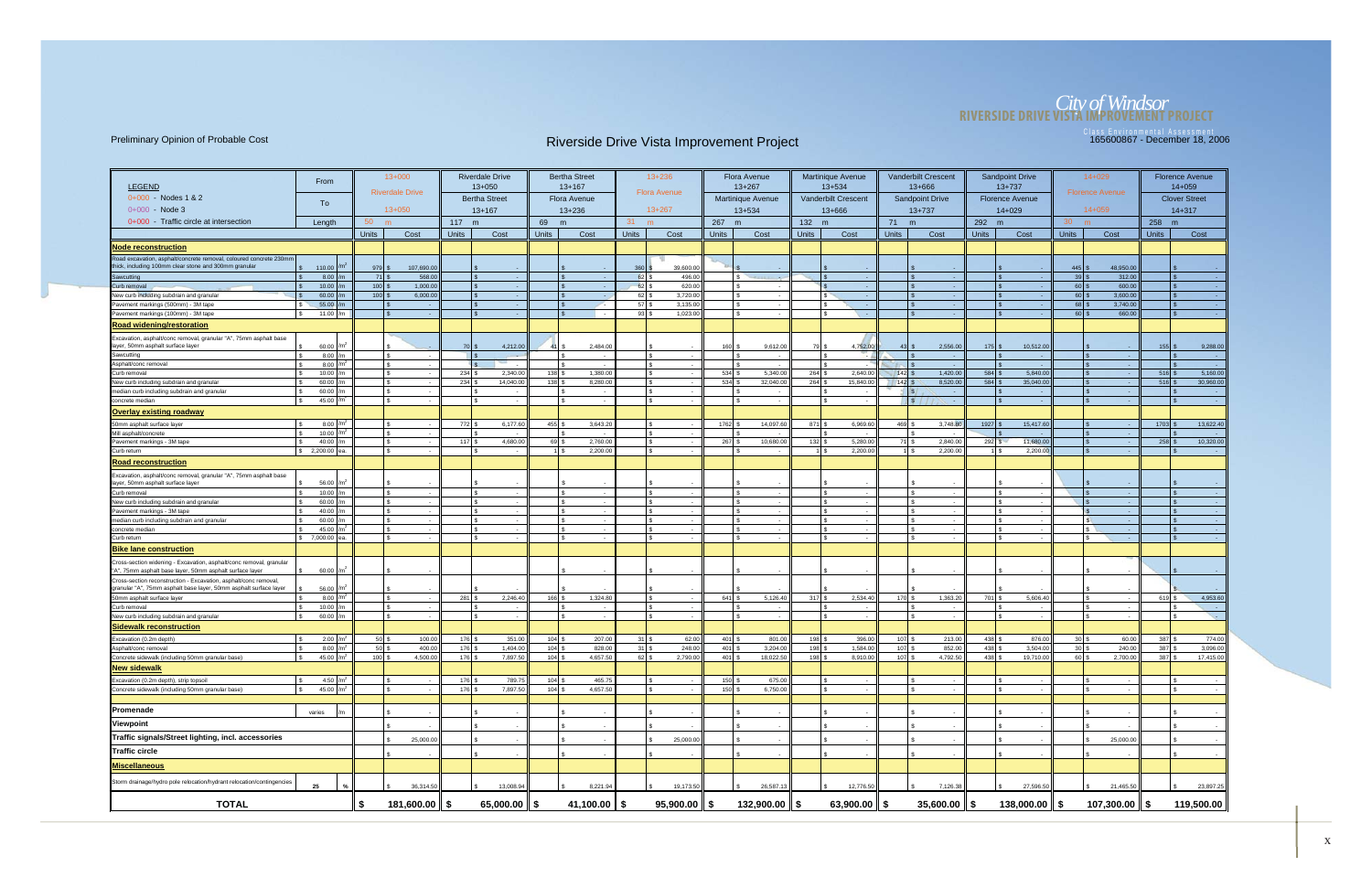## *City of Windsor* **RIVERSIDE DRIVE VISTA IMPROVEMENT PROJECT**

| <b>LEGEND</b>                                                                                                                         | From                           |                                     | $13+000$               |              | <b>Riverdale Drive</b><br>$13 + 050$ |                    | <b>Bertha Street</b><br>$13 + 167$ |                  | $13 + 236$          |              | <b>Flora Avenue</b><br>$13 + 267$ |              | <b>Martinique Avenue</b><br>$13 + 534$ |                                | <b>Vanderbilt Crescent</b><br>$13 + 666$ |                  | <b>Sandpoint Drive</b><br>$13 + 737$ |                    | 14+029                 |                  | <b>Florence Avenue</b><br>$14 + 059$ |
|---------------------------------------------------------------------------------------------------------------------------------------|--------------------------------|-------------------------------------|------------------------|--------------|--------------------------------------|--------------------|------------------------------------|------------------|---------------------|--------------|-----------------------------------|--------------|----------------------------------------|--------------------------------|------------------------------------------|------------------|--------------------------------------|--------------------|------------------------|------------------|--------------------------------------|
| $0+000 - Nodes 1 & 2$                                                                                                                 | To                             |                                     | <b>Riverdale Drive</b> |              | <b>Bertha Street</b>                 |                    | <b>Flora Avenue</b>                |                  | <b>Flora Avenue</b> |              | <b>Martinique Avenue</b>          |              | Vanderbilt Crescent                    |                                | <b>Sandpoint Drive</b>                   |                  | <b>Florence Avenue</b>               |                    | <b>Florence Avenue</b> |                  | <b>Clover Street</b>                 |
| $0+000$ - Node 3                                                                                                                      |                                |                                     | $13 + 050$             |              | $13 + 167$                           |                    | $13 + 236$                         |                  | $13+267$            |              | $13 + 534$                        |              | 13+666                                 |                                | $13 + 737$                               |                  | $14 + 029$                           |                    | $14 + 059$             |                  | $14 + 317$                           |
| 0+000 - Traffic circle at intersection                                                                                                | Length                         | 50                                  |                        | 117 m        |                                      | 69                 | m                                  | 31               | m                   | 267 m        |                                   | 132 m        |                                        | 71 m                           |                                          | 292 m            |                                      | 30<br>m            |                        | 258<br>m         |                                      |
|                                                                                                                                       |                                | <b>Units</b>                        | Cost                   | <b>Units</b> | Cost                                 | <b>Units</b>       | Cost                               | <b>Units</b>     | Cost                | <b>Units</b> | Cost                              | <b>Units</b> | Cost                                   | <b>Units</b>                   | Cost                                     | <b>Units</b>     | Cost                                 | <b>Units</b>       | Cost                   | <b>Units</b>     | Cost                                 |
| <b>Node reconstruction</b>                                                                                                            |                                |                                     |                        |              |                                      |                    |                                    |                  |                     |              |                                   |              |                                        |                                |                                          |                  |                                      |                    |                        |                  |                                      |
| Road excavation, asphalt/concrete removal, coloured concrete 230mm                                                                    |                                |                                     |                        |              |                                      |                    |                                    |                  |                     |              |                                   |              |                                        |                                |                                          |                  |                                      |                    |                        |                  |                                      |
| thick, including 100mm clear stone and 300mm granular                                                                                 | 110.00                         | 979                                 | 107,690.00             |              |                                      |                    |                                    | 360              | 39,600.00           |              |                                   |              |                                        |                                |                                          |                  |                                      | $445$ \$           | 48,950.00              |                  |                                      |
| Sawcutting                                                                                                                            | 8.00                           | $71$ $\sqrt{3}$                     | 568.00                 |              |                                      |                    |                                    | 62               | 496.00              |              | s.<br>- 4                         |              | $\sim$                                 |                                | $\sim$                                   |                  |                                      | $39$ \$            | 312.00                 |                  | <b>Card</b>                          |
| Curb removal<br>New curb including subdrain and granular                                                                              | 10.00<br>60.00                 | $100$ $\vert$ \$<br>$100$ $\approx$ | 1,000.00<br>6,000.00   |              | £.                                   |                    |                                    | 62 \$<br>$62$ \$ | 620.00<br>3,720.00  |              | $\sim$<br>$\sim$                  |              | <b>.</b><br>$\sim$                     |                                | <b>COL</b><br>- 10                       |                  |                                      | $60$ \$<br>$60$ \$ | 600.00<br>3,600.00     |                  | - 40<br>- 40                         |
| Pavement markings (500mm) - 3M tape                                                                                                   | 55.00                          |                                     |                        |              |                                      |                    |                                    | $57$ \ \$        | 3,135.00            |              |                                   |              | $\sim$                                 |                                | $\sim$                                   |                  |                                      | $68$ \$            | 3,740.00               |                  |                                      |
| Pavement markings (100mm) - 3M tape                                                                                                   | 11.00 $/m$                     | $\mathbb{S}$                        | - 1                    |              | $\mathbf{s}$<br>n.                   |                    | l s                                | $93$ \$          | 1,023.00            |              | $\overline{\phantom{a}}$          |              | $\sim$                                 |                                | $\sim 10^{-1}$                           |                  | $\mathbb{R}$                         | $60$ s             | 660.00                 |                  | <b>Card</b>                          |
| <b>Road widening/restoration</b>                                                                                                      |                                |                                     |                        |              |                                      |                    |                                    |                  |                     |              |                                   |              |                                        |                                |                                          |                  |                                      |                    |                        |                  |                                      |
| Excavation, asphalt/conc removal, granular "A", 75mm asphalt base                                                                     |                                |                                     |                        |              |                                      |                    |                                    |                  |                     |              |                                   |              |                                        |                                |                                          |                  |                                      |                    |                        |                  |                                      |
| layer, 50mm asphalt surface layer                                                                                                     | 60.00 $/m$                     |                                     |                        | <b>70 \$</b> | 4,212.00                             | 41 I S             | 2,484.0                            |                  |                     | 160          | 9,612.00                          |              | 4,752.00                               | $43$ $\frac{9}{2}$             | 2,556.00                                 | 175              | 10,512.00                            |                    |                        | $155$ $$$        | 9,288.00                             |
| Sawcutting                                                                                                                            | $8.00$ /m                      |                                     |                        |              |                                      |                    |                                    |                  |                     |              |                                   |              |                                        |                                | $\sim$                                   |                  |                                      |                    | $\sim$                 |                  | <b>Contract</b>                      |
| Asphalt/conc removal                                                                                                                  | 8.00 $/m2$                     |                                     |                        |              |                                      |                    |                                    |                  | l s                 |              |                                   |              |                                        |                                |                                          |                  |                                      |                    |                        |                  | $\sim$ 10 $\pm$                      |
| Curb removal                                                                                                                          | 10.00 $/m$                     |                                     |                        | 234S         | 2,340.00                             | $138$ :            | 1,380.00                           |                  | l \$                |              | 5,340.00                          | 264          | 2,640.00                               | $142$ $\sqrt{5}$               | 1,420.00                                 | $584$ \$         | 5,840.00                             |                    |                        | $516$ \$         | 5,160.00                             |
| New curb including subdrain and granular<br>median curb including subdrain and granular                                               | 60.00<br>60.00                 |                                     |                        | 234          | 14,040.00                            | 138                | 8,280.00                           |                  |                     | 534          | 32,040.00                         | 264          | 15,840.00                              | $142$ $\overline{\phantom{1}}$ | 8,520.00<br>- 1                          | $584$ \$         | 35,040.00                            |                    |                        | 516              | 30,960.00                            |
| concrete mediar                                                                                                                       | 45.00 $\frac{m}{2}$            |                                     |                        |              | $\sim$                               |                    | l S                                |                  | l \$                |              | $\sim$                            |              | $\overline{\phantom{a}}$               |                                | $\sqrt{s}$<br><b>College</b>             |                  |                                      |                    | - 1                    |                  | <b>College</b>                       |
| <b>Overlay existing roadway</b>                                                                                                       |                                |                                     |                        |              |                                      |                    |                                    |                  |                     |              |                                   |              |                                        |                                |                                          |                  |                                      |                    |                        |                  |                                      |
| 50mm asphalt surface layer                                                                                                            | 8.00 $/m2$                     |                                     |                        | 772 \$       | 6,177.60                             | 455                | 3,643.20                           |                  |                     | 1762         | 14,097.60                         | 871          | 6,969.60                               | $469$ $\frac{1}{3}$            | 3,748.80                                 | 1927             | 15,417.60                            |                    |                        | $1703$ :         | 13,622.40                            |
| Mill asphalt/concrete                                                                                                                 | 10.00                          |                                     |                        |              |                                      |                    |                                    |                  |                     |              |                                   |              |                                        |                                |                                          |                  |                                      |                    |                        |                  | $\sim$ 100 $\pm$                     |
| Pavement markings - 3M tape                                                                                                           | 40.00                          |                                     |                        | 117          | 4,680.00                             | 69                 | 2,760.0                            |                  |                     | 267          | 10,680.00                         | 132          | 5,280.00                               | 71 S                           | 2,840.00                                 | 292              | 11,680.0                             |                    |                        | 258              | 10,320.00                            |
| Curb return                                                                                                                           | \$2,200.00<br>lea              |                                     |                        |              | S<br>$\sim$                          |                    | 2,200.00<br>1 I S                  |                  | IS.                 |              | $\sim$                            |              | 2,200.00                               |                                | 2,200.00<br>1 I S                        |                  | 2,200.00<br>1 I S                    |                    | $\mathsf{S}$           |                  | $\sim 100$                           |
| <b>Road reconstruction</b>                                                                                                            |                                |                                     |                        |              |                                      |                    |                                    |                  |                     |              |                                   |              |                                        |                                |                                          |                  |                                      |                    |                        |                  |                                      |
| Excavation, asphalt/conc removal, granular "A", 75mm asphalt base                                                                     |                                |                                     |                        |              |                                      |                    |                                    |                  |                     |              |                                   |              |                                        |                                |                                          |                  |                                      |                    |                        |                  |                                      |
| layer, 50mm asphalt surface layer                                                                                                     | 56.00                          |                                     |                        |              |                                      |                    |                                    |                  |                     |              |                                   |              |                                        |                                |                                          |                  |                                      |                    |                        |                  |                                      |
| Curb removal                                                                                                                          | 10.00                          |                                     |                        |              |                                      |                    |                                    |                  |                     |              |                                   |              |                                        |                                |                                          |                  |                                      |                    |                        |                  |                                      |
| New curb including subdrain and granular<br>Pavement markings - 3M tape                                                               | 60.00 $\frac{1}{m}$<br>40.00 m |                                     |                        |              |                                      |                    |                                    |                  |                     |              | $\sim$                            |              | $\overline{\phantom{a}}$               |                                | $\sim$                                   |                  |                                      |                    |                        |                  | <b>Card</b>                          |
| median curb including subdrain and granular                                                                                           | 60.00                          |                                     |                        |              |                                      |                    |                                    |                  |                     |              |                                   |              |                                        |                                |                                          |                  |                                      |                    |                        |                  | $\sim$ $\sim$                        |
| concrete media                                                                                                                        | 45.00                          |                                     |                        |              |                                      |                    |                                    |                  |                     |              |                                   |              |                                        |                                |                                          |                  |                                      |                    |                        |                  | $\sim$ $\sim$                        |
| Curb return                                                                                                                           | \$7,000.00                     |                                     |                        |              | \$.                                  |                    |                                    |                  | l S                 |              | £.<br>$\sim$                      |              |                                        |                                | $\sim$                                   |                  | I S                                  |                    | -S                     | $\mathbb{S}$     | $\sim$ $-$                           |
| <b>Bike lane construction</b>                                                                                                         |                                |                                     |                        |              |                                      |                    |                                    |                  |                     |              |                                   |              |                                        |                                |                                          |                  |                                      |                    |                        |                  |                                      |
| Cross-section widening - Excavation, asphalt/conc removal, granular<br>"A", 75mm asphalt base layer, 50mm asphalt surface layer       | 60.00                          |                                     |                        |              |                                      |                    |                                    |                  |                     |              |                                   |              |                                        |                                |                                          |                  |                                      |                    |                        |                  |                                      |
| Cross-section reconstruction - Excavation, asphalt/conc removal,<br>granular "A", 75mm asphalt base layer, 50mm asphalt surface layer | 56.00                          |                                     |                        |              |                                      |                    |                                    |                  |                     |              |                                   |              |                                        |                                |                                          |                  |                                      |                    |                        |                  |                                      |
| 50mm asphalt surface layer                                                                                                            | 8.00 $/m2$                     |                                     |                        | 281          | 2,246.40                             | 166 \$             | 1,324.80                           |                  |                     | 641          | 5,126.40                          | 317          | 2,534.40                               | $170$ s                        | 1,363.20                                 | $701$ \$         | 5,606.40                             |                    |                        | $619$ $\sqrt{5}$ | 4,953.60                             |
| Curb removal                                                                                                                          | 10.00                          |                                     |                        |              |                                      |                    |                                    |                  |                     |              |                                   |              | $\overline{\phantom{a}}$               |                                |                                          |                  |                                      |                    |                        |                  | $\sim 100$                           |
| New curb including subdrain and granular                                                                                              | 60.00 $\frac{1}{m}$            |                                     |                        |              | $\sim$                               |                    |                                    |                  |                     |              | $\sim$                            |              | $\overline{\phantom{a}}$               |                                | $\sim$                                   |                  |                                      |                    | $\sim$                 |                  | S.                                   |
| <b>Sidewalk reconstruction</b>                                                                                                        |                                |                                     |                        |              |                                      |                    |                                    |                  |                     |              |                                   |              |                                        |                                |                                          |                  |                                      |                    |                        |                  |                                      |
| Excavation (0.2m depth)                                                                                                               | $2.00$ $/m2$                   | $50$ \$                             | 100.00                 | 176 \$       | 351.00                               | $104$ :            | 207.00                             | $31$ $\sqrt{5}$  | 62.00               | $401$ S      | 801.00                            | 198          | 396.00                                 | $107$ \$                       | 213.00                                   |                  | 876.00                               | $30$ \$            | 60.00                  | $387$ \$         | 774.00                               |
| Asphalt/conc removal                                                                                                                  | 8.00 $/m2$                     | $50$ \$                             | 400.00                 | $176$ \$     | 1,404.00                             | $104$ \$           | 828.00                             | $31$ \ \$        | 248.00              | $401$ \$     | 3,204.00                          | 198          | 1,584.00                               | $107$ \$                       | 852.00                                   | $438$ \$         | 3,504.00                             | $30$ \$            | 240.00                 | $387$ \$         | 3,096.00                             |
| Concrete sidewalk (including 50mm granular base)                                                                                      | 45.00 $/m2$                    | $100$ \$                            | 4,500.00               | $176$ \$     | 7,897.50                             | $104$ :            | 4,657.50                           | $62$ \$          | 2,790.00            | 401          | 18,022.50                         | 198          | 8,910.00                               | $107$ $s$                      | 4,792.50                                 | $438$ $\sqrt{5}$ | 19,710.00                            | $60$ \$            | 2,700.00               | $387$ \$         | 17,415.00                            |
| <b>New sidewalk</b>                                                                                                                   |                                |                                     |                        |              |                                      |                    |                                    |                  |                     |              |                                   |              |                                        |                                |                                          |                  |                                      |                    |                        |                  |                                      |
| Excavation (0.2m depth), strip topsoil                                                                                                | 4.50 $/m2$                     |                                     |                        | $176$ \$     | 789.75                               | 104                | 465.75                             |                  |                     | 150          | 675.00                            |              |                                        |                                |                                          |                  |                                      |                    |                        |                  |                                      |
| Concrete sidewalk (including 50mm granular base)                                                                                      | 45.00 $/m2$                    |                                     |                        | 176S         | 7,897.50                             | $104$ \ $\sqrt{3}$ | 4,657.50                           |                  | l s                 | $150$ \$     | 6,750.00                          |              |                                        |                                | $\sim$                                   |                  |                                      |                    |                        | $\mathbb{R}$     |                                      |
|                                                                                                                                       |                                |                                     |                        |              |                                      |                    |                                    |                  |                     |              |                                   |              |                                        |                                |                                          |                  |                                      |                    |                        |                  |                                      |
| Promenade                                                                                                                             | varies                         |                                     |                        |              |                                      |                    |                                    |                  |                     |              |                                   |              |                                        |                                |                                          |                  |                                      |                    |                        |                  |                                      |
| Viewpoint                                                                                                                             |                                |                                     |                        |              |                                      |                    |                                    |                  |                     |              |                                   |              |                                        |                                |                                          |                  |                                      |                    |                        |                  |                                      |
| Traffic signals/Street lighting, incl. accessories                                                                                    |                                |                                     | 25,000.00              |              |                                      |                    |                                    |                  | 25,000.00           |              |                                   |              |                                        |                                |                                          |                  |                                      |                    | 25,000.00              |                  |                                      |
| Traffic circle                                                                                                                        |                                |                                     |                        |              |                                      |                    |                                    |                  |                     |              |                                   |              |                                        |                                |                                          |                  |                                      |                    |                        |                  |                                      |
| <b>Miscellaneous</b>                                                                                                                  |                                |                                     |                        |              |                                      |                    |                                    |                  |                     |              |                                   |              |                                        |                                |                                          |                  |                                      |                    |                        |                  |                                      |
| Storm drainage/hydro pole relocation/hydrant relocation/contingencies                                                                 |                                |                                     |                        |              |                                      |                    |                                    |                  |                     |              |                                   |              |                                        |                                |                                          |                  |                                      |                    |                        |                  |                                      |
|                                                                                                                                       | 25                             |                                     | 36,314.50              |              | 13,008.94                            |                    | 8,221.94                           |                  | 19,173.50           |              | 26,587.13                         |              | 12,776.50                              |                                | 7,126.38                                 |                  | 27,596.50                            |                    | 21,465.50              |                  | 23,897.25                            |
| <b>TOTAL</b>                                                                                                                          |                                | \$                                  | 181,600.00 $\ \$$      |              | 65,000.00 $\ \$$                     |                    | 41,100.00 $\ $ \$                  |                  | $95,900.00$   \$    |              | 132,900.00 $\parallel$ \$         |              | 63,900.00 $\ $ \$                      |                                | $35,600.00$   \$                         |                  | $138,000.00$   \$                    |                    | 107,300.00 \$          |                  | 119,500.00                           |